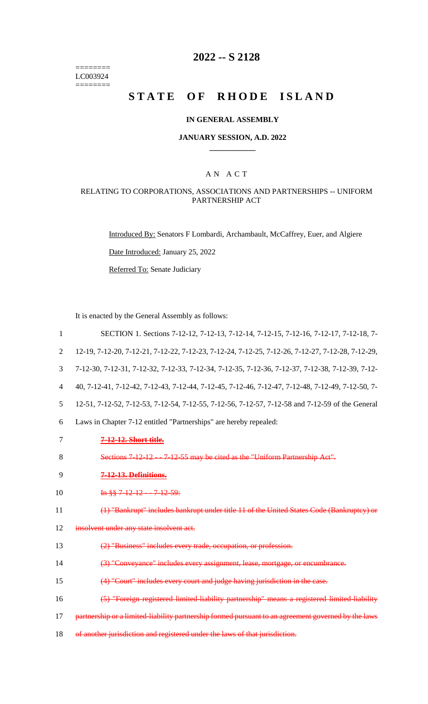======== LC003924 ========

## **2022 -- S 2128**

# **STATE OF RHODE ISLAND**

#### **IN GENERAL ASSEMBLY**

#### **JANUARY SESSION, A.D. 2022 \_\_\_\_\_\_\_\_\_\_\_\_**

### A N A C T

#### RELATING TO CORPORATIONS, ASSOCIATIONS AND PARTNERSHIPS -- UNIFORM PARTNERSHIP ACT

Introduced By: Senators F Lombardi, Archambault, McCaffrey, Euer, and Algiere

Date Introduced: January 25, 2022

Referred To: Senate Judiciary

It is enacted by the General Assembly as follows:

- 1 SECTION 1. Sections 7-12-12, 7-12-13, 7-12-14, 7-12-15, 7-12-16, 7-12-17, 7-12-18, 7-
- 2 12-19, 7-12-20, 7-12-21, 7-12-22, 7-12-23, 7-12-24, 7-12-25, 7-12-26, 7-12-27, 7-12-28, 7-12-29,
- 3 7-12-30, 7-12-31, 7-12-32, 7-12-33, 7-12-34, 7-12-35, 7-12-36, 7-12-37, 7-12-38, 7-12-39, 7-12-
- 4 40, 7-12-41, 7-12-42, 7-12-43, 7-12-44, 7-12-45, 7-12-46, 7-12-47, 7-12-48, 7-12-49, 7-12-50, 7-
- 5 12-51, 7-12-52, 7-12-53, 7-12-54, 7-12-55, 7-12-56, 7-12-57, 7-12-58 and 7-12-59 of the General
- 6 Laws in Chapter 7-12 entitled "Partnerships" are hereby repealed:
- 7 **7-12-12. Short title.**
- 8 Sections 7-12-12 7-12-55 may be cited as the "Uniform Partnership Act".
- 9 **7-12-13. Definitions.**

10 **In §§ 7-12-12 - 7-12-59:** 

11 (1) "Bankrupt" includes bankrupt under title 11 of the United States Code (Bankruptcy) or

- 12 insolvent under any state insolvent act.
- 13 (2) "Business" includes every trade, occupation, or profession.
- 14 (3) "Conveyance" includes every assignment, lease, mortgage, or encumbrance.
- 15 (4) "Court" includes every court and judge having jurisdiction in the case.
- 16 (5) "Foreign registered limited-liability partnership" means a registered limited-liability
- 17 partnership or a limited-liability partnership formed pursuant to an agreement governed by the laws
- 18 of another jurisdiction and registered under the laws of that jurisdiction.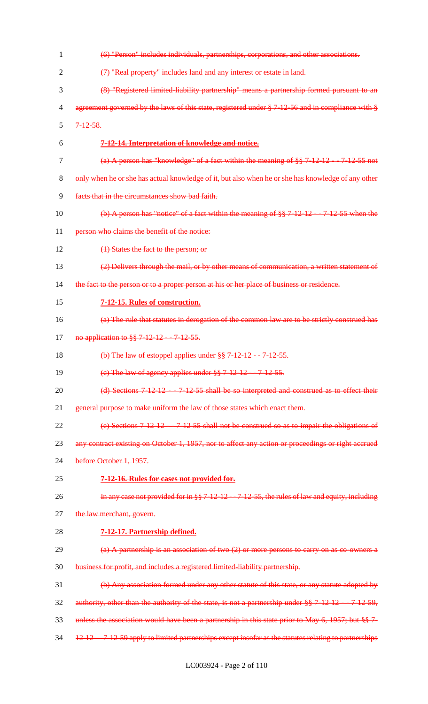| 1              | (6) "Person" includes individuals, partnerships, corporations, and other associations.                      |
|----------------|-------------------------------------------------------------------------------------------------------------|
| $\overline{2}$ | (7) "Real property" includes land and any interest or estate in land.                                       |
| 3              | (8) "Registered limited liability partnership" means a partnership formed pursuant to an                    |
| $\overline{4}$ | agreement governed by the laws of this state, registered under § 7-12-56 and in compliance with §           |
| 5              | $7 - 12 - 58$ .                                                                                             |
| 6              | 7-12-14. Interpretation of knowledge and notice.                                                            |
| 7              | (a) A person has "knowledge" of a fact within the meaning of $\S$ $\S$ 7-12-12 - 7-12-55 not                |
| 8              | only when he or she has actual knowledge of it, but also when he or she has knowledge of any other          |
| 9              | facts that in the circumstances show bad faith.                                                             |
| 10             | (b) A person has "notice" of a fact within the meaning of $\S$ $\frac{8}{9}$ 7-12-12 - - 7-12-55 when the   |
| 11             | person who claims the benefit of the notice:                                                                |
| 12             | (1) States the fact to the person; or                                                                       |
| 13             | (2) Delivers through the mail, or by other means of communication, a written statement of                   |
| 14             | the fact to the person or to a proper person at his or her place of business or residence.                  |
| 15             | 7-12-15. Rules of construction.                                                                             |
| 16             | (a) The rule that statutes in derogation of the common law are to be strictly construed has                 |
| 17             | no application to §§ 7-12-12 - 7-12-55.                                                                     |
| 18             | (b) The law of estoppel applies under $\S$ § 7-12-12 - 7-12-55.                                             |
| 19             | (e) The law of agency applies under $\S$ § 7-12-12 - 7-12-55.                                               |
| 20             | (d) Sections $7\overline{1212} - 7\overline{1255}$ shall be so interpreted and construed as to effect their |
| 21             | general purpose to make uniform the law of those states which enact them.                                   |
| 22             | (e) Sections $7-12-12-7-12-55$ shall not be construed so as to impair the obligations of                    |
| 23             | any contract existing on October 1, 1957, nor to affect any action or proceedings or right accrued          |
| 24             | before October 1, 1957.                                                                                     |
| 25             | 7-12-16. Rules for cases not provided for.                                                                  |
| 26             | In any case not provided for in §§ 7-12-12-7-12-55, the rules of law and equity, including                  |
| 27             | the law merchant, govern.                                                                                   |
| 28             | 7-12-17. Partnership defined.                                                                               |
| 29             | (a) A partnership is an association of two $(2)$ or more persons to carry on as co-owners a                 |
| 30             | business for profit, and includes a registered limited liability partnership.                               |
| 31             | (b) Any association formed under any other statute of this state, or any statute adopted by                 |
| 32             | authority, other than the authority of the state, is not a partnership under §§ 7-12-12 -- 7-12-59,         |
| 33             | unless the association would have been a partnership in this state prior to May 6, 1957; but §§ 7-          |
| 34             | 12-12 - 7-12-59 apply to limited partnerships except insofar as the statutes relating to partnerships       |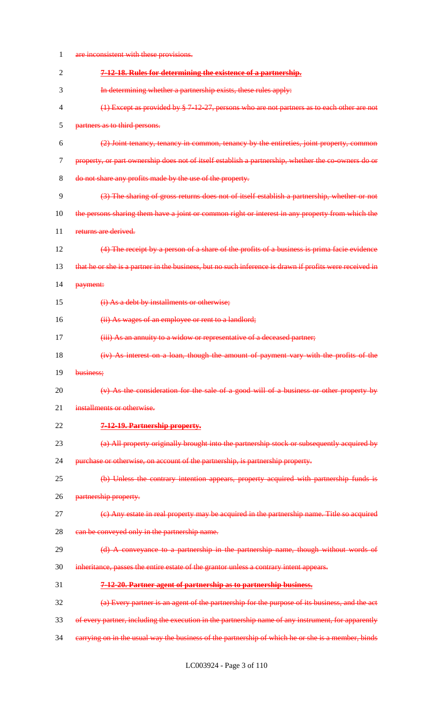| 1  | are inconsistent with these provisions.                                                                 |
|----|---------------------------------------------------------------------------------------------------------|
| 2  | 7-12-18. Rules for determining the existence of a partnership.                                          |
| 3  | In determining whether a partnership exists, these rules apply:                                         |
| 4  | (1) Except as provided by § 7-12-27, persons who are not partners as to each other are not              |
| 5  | partners as to third persons.                                                                           |
| 6  | (2) Joint tenancy, tenancy in common, tenancy by the entireties, joint property, common                 |
| 7  | property, or part ownership does not of itself establish a partnership, whether the co-owners do or     |
| 8  | do not share any profits made by the use of the property.                                               |
| 9  | (3) The sharing of gross returns does not of itself establish a partnership, whether or not             |
| 10 | the persons sharing them have a joint or common right or interest in any property from which the        |
| 11 | returns are derived.                                                                                    |
| 12 | (4) The receipt by a person of a share of the profits of a business is prima facie evidence             |
| 13 | that he or she is a partner in the business, but no such inference is drawn if profits were received in |
| 14 | payment:                                                                                                |
| 15 | (i) As a debt by installments or otherwise;                                                             |
| 16 | (ii) As wages of an employee or rent to a landlord;                                                     |
| 17 | (iii) As an annuity to a widow or representative of a deceased partner;                                 |
| 18 | (iv) As interest on a loan, though the amount of payment vary with the profits of the                   |
| 19 | business;                                                                                               |
| 20 | (v) As the consideration for the sale of a good will of a business or other property by                 |
| 21 | installments or otherwise.                                                                              |
| 22 | 7-12-19. Partnership property.                                                                          |
| 23 | (a) All property originally brought into the partnership stock or subsequently acquired by              |
| 24 | purchase or otherwise, on account of the partnership, is partnership property.                          |
| 25 | (b) Unless the contrary intention appears, property acquired with partnership funds is                  |
| 26 | partnership property.                                                                                   |
| 27 | (c) Any estate in real property may be acquired in the partnership name. Title so acquired              |
| 28 | can be conveyed only in the partnership name.                                                           |
| 29 | (d) A conveyance to a partnership in the partnership name, though without words of                      |
| 30 | inheritance, passes the entire estate of the grantor unless a contrary intent appears.                  |
| 31 | 7-12-20. Partner agent of partnership as to partnership business.                                       |
| 32 | (a) Every partner is an agent of the partnership for the purpose of its business, and the act           |
| 33 | of every partner, including the execution in the partnership name of any instrument, for apparently     |
| 34 | earrying on in the usual way the business of the partnership of which he or she is a member, binds      |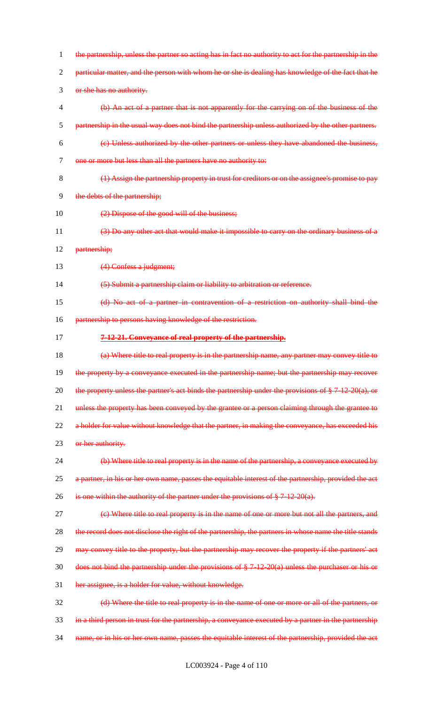| 1              | the partnership, unless the partner so acting has in fact no authority to act for the partnership in the |
|----------------|----------------------------------------------------------------------------------------------------------|
| $\overline{2}$ | particular matter, and the person with whom he or she is dealing has knowledge of the fact that he       |
| 3              | or she has no authority.                                                                                 |
| 4              | (b) An act of a partner that is not apparently for the carrying on of the business of the                |
| 5              | partnership in the usual way does not bind the partnership unless authorized by the other partners.      |
| 6              | (e) Unless authorized by the other partners or unless they have abandoned the business,                  |
| $\tau$         | one or more but less than all the partners have no authority to:                                         |
| 8              | (1) Assign the partnership property in trust for creditors or on the assignee's promise to pay           |
| 9              | the debts of the partnership;                                                                            |
| 10             | (2) Dispose of the good will of the business;                                                            |
| 11             | (3) Do any other act that would make it impossible to carry on the ordinary business of a                |
| 12             | partnership;                                                                                             |
| 13             | (4) Confess a judgment;                                                                                  |
| 14             | (5) Submit a partnership claim or liability to arbitration or reference.                                 |
| 15             | (d) No act of a partner in contravention of a restriction on authority shall bind the                    |
| 16             | partnership to persons having knowledge of the restriction.                                              |
| 17             | 7-12-21. Conveyance of real property of the partnership.                                                 |
| 18             | (a) Where title to real property is in the partnership name, any partner may convey title to             |
| 19             | the property by a conveyance executed in the partnership name; but the partnership may recover           |
| 20             | the property unless the partner's act binds the partnership under the provisions of $\S$ 7-12-20(a), or  |
| 21             | unless the property has been conveyed by the grantee or a person claiming through the grantee to         |
| 22             | a holder for value without knowledge that the partner, in making the conveyance, has exceeded his        |
| 23             | or her authority.                                                                                        |
| 24             | (b) Where title to real property is in the name of the partnership, a conveyance executed by             |
| 25             | a partner, in his or her own name, passes the equitable interest of the partnership, provided the act    |
| 26             | is one within the authority of the partner under the provisions of $\S$ 7-12-20(a).                      |
| 27             | (e) Where title to real property is in the name of one or more but not all the partners, and             |
| 28             | the record does not disclose the right of the partnership, the partners in whose name the title stands   |
| 29             | may convey title to the property, but the partnership may recover the property if the partners' act      |
| 30             | does not bind the partnership under the provisions of $§$ 7-12-20(a) unless the purchaser or his or      |
| 31             | her assignee, is a holder for value, without knowledge.                                                  |
| 32             | (d) Where the title to real property is in the name of one or more or all of the partners, or            |
| 33             | in a third person in trust for the partnership, a conveyance executed by a partner in the partnership    |
| 34             | name, or in his or her own name, passes the equitable interest of the partnership, provided the act      |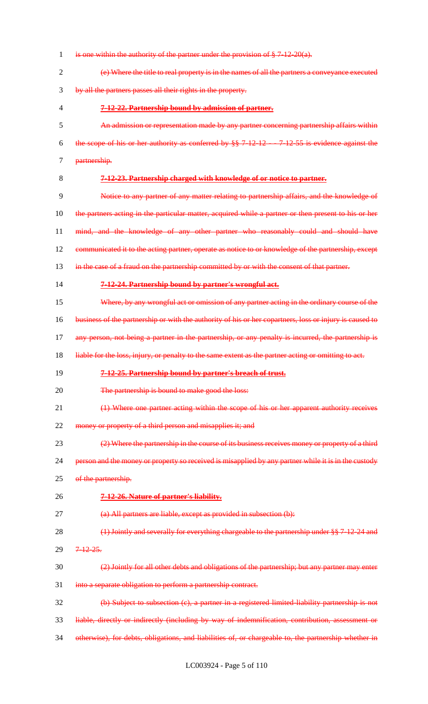1 is one within the authority of the partner under the provision of  $\frac{8}{3}$  7-12-20(a). 2 (e) Where the title to real property is in the names of all the partners a conveyance executed 3 by all the partners passes all their rights in the property. 4 **7-12-22. Partnership bound by admission of partner.** 5 An admission or representation made by any partner concerning partnership affairs within 6 the scope of his or her authority as conferred by  $\frac{8}{5}$  7-12-12 - 7-12-55 is evidence against the 7 partnership. 8 **7-12-23. Partnership charged with knowledge of or notice to partner.** 9 Notice to any partner of any matter relating to partnership affairs, and the knowledge of 10 the partners acting in the particular matter, acquired while a partner or then present to his or her 11 mind, and the knowledge of any other partner who reasonably could and should have 12 communicated it to the acting partner, operate as notice to or knowledge of the partnership, except 13 in the case of a fraud on the partnership committed by or with the consent of that partner. 14 **7-12-24. Partnership bound by partner's wrongful act.** 15 Where, by any wrongful act or omission of any partner acting in the ordinary course of the 16 business of the partnership or with the authority of his or her copartners, loss or injury is caused to 17 any person, not being a partner in the partnership, or any penalty is incurred, the partnership is 18 liable for the loss, injury, or penalty to the same extent as the partner acting or omitting to act. 19 **7-12-25. Partnership bound by partner's breach of trust.** 20 The partnership is bound to make good the loss: 21 (1) Where one partner acting within the scope of his or her apparent authority receives 22 money or property of a third person and misapplies it; and 23 (2) Where the partnership in the course of its business receives money or property of a third 24 person and the money or property so received is misapplied by any partner while it is in the custody 25 of the partnership. 26 **7-12-26. Nature of partner's liability.** 27 (a) All partners are liable, except as provided in subsection (b): 28 (1) Jointly and severally for everything chargeable to the partnership under §§ 7-12-24 and 29 7-12-25. 30 (2) Jointly for all other debts and obligations of the partnership; but any partner may enter 31 into a separate obligation to perform a partnership contract. 32 (b) Subject to subsection (c), a partner in a registered limited-liability partnership is not 33 liable, directly or indirectly (including by way of indemnification, contribution, assessment or 34 otherwise), for debts, obligations, and liabilities of, or chargeable to, the partnership whether in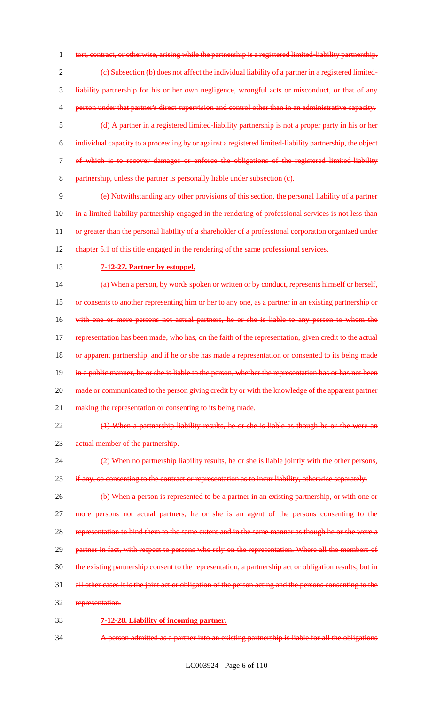1 tort, contract, or otherwise, arising while the partnership is a registered limited-liability partnership. (c) Subsection (b) does not affect the individual liability of a partner in a registered limited- liability partnership for his or her own negligence, wrongful acts or misconduct, or that of any person under that partner's direct supervision and control other than in an administrative capacity. (d) A partner in a registered limited-liability partnership is not a proper party in his or her individual capacity to a proceeding by or against a registered limited-liability partnership, the object of which is to recover damages or enforce the obligations of the registered limited-liability 8 partnership, unless the partner is personally liable under subsection (c).

9 (e) Notwithstanding any other provisions of this section, the personal liability of a partner 10 in a limited-liability partnership engaged in the rendering of professional services is not less than 11 or greater than the personal liability of a shareholder of a professional corporation organized under 12 chapter 5.1 of this title engaged in the rendering of the same professional services.

13 **7-12-27. Partner by estoppel.**

14 (a) When a person, by words spoken or written or by conduct, represents himself or herself, 15 or consents to another representing him or her to any one, as a partner in an existing partnership or 16 with one or more persons not actual partners, he or she is liable to any person to whom the 17 representation has been made, who has, on the faith of the representation, given credit to the actual 18 or apparent partnership, and if he or she has made a representation or consented to its being made 19 in a public manner, he or she is liable to the person, whether the representation has or has not been 20 made or communicated to the person giving credit by or with the knowledge of the apparent partner 21 making the representation or consenting to its being made.

22 (1) When a partnership liability results, he or she is liable as though he or she were an 23 actual member of the partnership.

24 (2) When no partnership liability results, he or she is liable jointly with the other persons,

25 if any, so consenting to the contract or representation as to incur liability, otherwise separately.

26 (b) When a person is represented to be a partner in an existing partnership, or with one or 27 more persons not actual partners, he or she is an agent of the persons consenting to the

28 representation to bind them to the same extent and in the same manner as though he or she were a

29 partner in fact, with respect to persons who rely on the representation. Where all the members of

30 the existing partnership consent to the representation, a partnership act or obligation results; but in

31 all other cases it is the joint act or obligation of the person acting and the persons consenting to the

32 representation.

33 **7-12-28. Liability of incoming partner.**

34 A person admitted as a partner into an existing partnership is liable for all the obligations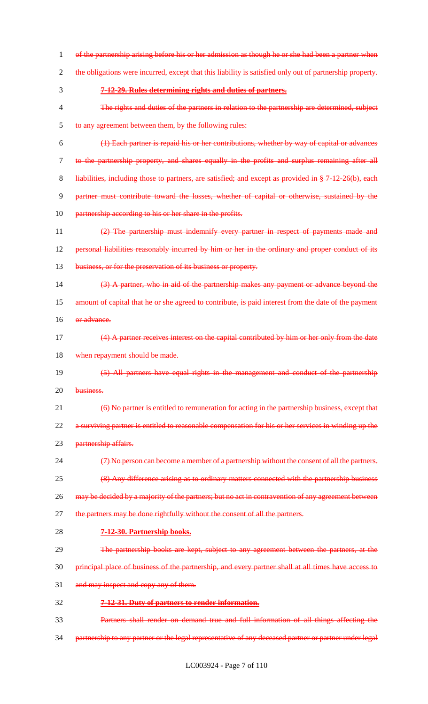| 1              | of the partnership arising before his or her admission as though he or she had been a partner when       |
|----------------|----------------------------------------------------------------------------------------------------------|
| $\overline{2}$ | the obligations were incurred, except that this liability is satisfied only out of partnership property. |
| 3              | 7-12-29. Rules determining rights and duties of partners.                                                |
| 4              | The rights and duties of the partners in relation to the partnership are determined, subject             |
| 5              | to any agreement between them, by the following rules:                                                   |
| 6              | (1) Each partner is repaid his or her contributions, whether by way of capital or advances               |
| 7              | to the partnership property, and shares equally in the profits and surplus remaining after all           |
| 8              | liabilities, including those to partners, are satisfied; and except as provided in § 7-12-26(b), each    |
| 9              | partner must contribute toward the losses, whether of capital or otherwise, sustained by the             |
| 10             | partnership according to his or her share in the profits.                                                |
| 11             | (2) The partnership must indemnify every partner in respect of payments made and                         |
| 12             | personal liabilities reasonably incurred by him or her in the ordinary and proper conduct of its         |
| 13             | business, or for the preservation of its business or property.                                           |
| 14             | (3) A partner, who in aid of the partnership makes any payment or advance beyond the                     |
| 15             | amount of capital that he or she agreed to contribute, is paid interest from the date of the payment     |
| 16             | or advance.                                                                                              |
| 17             | (4) A partner receives interest on the capital contributed by him or her only from the date              |
|                |                                                                                                          |
| 18             | when repayment should be made.                                                                           |
| 19             | (5) All partners have equal rights in the management and conduct of the partnership                      |
| 20             | business.                                                                                                |
| 21             | (6) No partner is entitled to remuneration for acting in the partnership business, except that           |
| 22             | a surviving partner is entitled to reasonable compensation for his or her services in winding up the     |
| 23             | partnership affairs.                                                                                     |
| 24             | (7) No person can become a member of a partnership without the consent of all the partners.              |
| 25             | (8) Any difference arising as to ordinary matters connected with the partnership business                |
| 26             | may be decided by a majority of the partners; but no act in contravention of any agreement between       |
| 27             | the partners may be done rightfully without the consent of all the partners.                             |
| 28             | 7-12-30. Partnership books.                                                                              |
| 29             | The partnership books are kept, subject to any agreement between the partners, at the                    |
| 30             | principal place of business of the partnership, and every partner shall at all times have access to      |
| 31             | and may inspect and copy any of them.                                                                    |
| 32             | 7-12-31. Duty of partners to render information.                                                         |
| 33             | Partners shall render on demand true and full information of all things affecting the                    |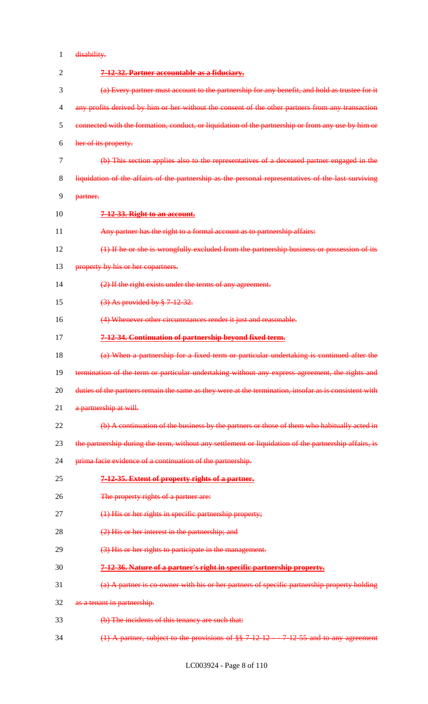disability.

| $\overline{2}$ | 7-12-32. Partner accountable as a fiduciary.                                                          |
|----------------|-------------------------------------------------------------------------------------------------------|
| 3              | (a) Every partner must account to the partnership for any benefit, and hold as trustee for it         |
| 4              | any profits derived by him or her without the consent of the other partners from any transaction      |
| 5              | connected with the formation, conduct, or liquidation of the partnership or from any use by him or    |
| 6              | her of its property.                                                                                  |
| 7              | (b) This section applies also to the representatives of a deceased partner engaged in the             |
| 8              | liquidation of the affairs of the partnership as the personal representatives of the last surviving   |
| 9              | partner.                                                                                              |
| 10             | 7-12-33. Right to an account.                                                                         |
| 11             | Any partner has the right to a formal account as to partnership affairs:                              |
| 12             | (1) If he or she is wrongfully excluded from the partnership business or possession of its            |
| 13             | property by his or her copartners.                                                                    |
| 14             | (2) If the right exists under the terms of any agreement.                                             |
| 15             | $(3)$ As provided by $§$ 7-12-32.                                                                     |
| 16             | (4) Whenever other circumstances render it just and reasonable.                                       |
| 17             | 7-12-34. Continuation of partnership beyond fixed term.                                               |
| 18             | (a) When a partnership for a fixed term or particular undertaking is continued after the              |
| 19             | termination of the term or particular undertaking without any express agreement, the rights and       |
| 20             | duties of the partners remain the same as they were at the termination, insofar as is consistent with |
| 21             | a partnership at will.                                                                                |
| 22             | (b) A continuation of the business by the partners or those of them who habitually acted in           |
| 23             | the partnership during the term, without any settlement or liquidation of the partnership affairs, is |
| 24             | prima facie evidence of a continuation of the partnership.                                            |
| 25             | 7-12-35. Extent of property rights of a partner.                                                      |
| 26             | The property rights of a partner are:                                                                 |
| 27             | (1) His or her rights in specific partnership property;                                               |
| 28             | $(2)$ His or her interest in the partnership; and                                                     |
| 29             | (3) His or her rights to participate in the management.                                               |
| 30             | 7-12-36. Nature of a partner's right in specific partnership property.                                |
| 31             | (a) A partner is co-owner with his or her partners of specific partnership property holding           |
| 32             | as a tenant in partnership.                                                                           |
| 33             | (b) The incidents of this tenancy are such that:                                                      |
| 34             | (1) A partner, subject to the provisions of $\S$ $7-12-12$ -7-12-55 and to any agreement              |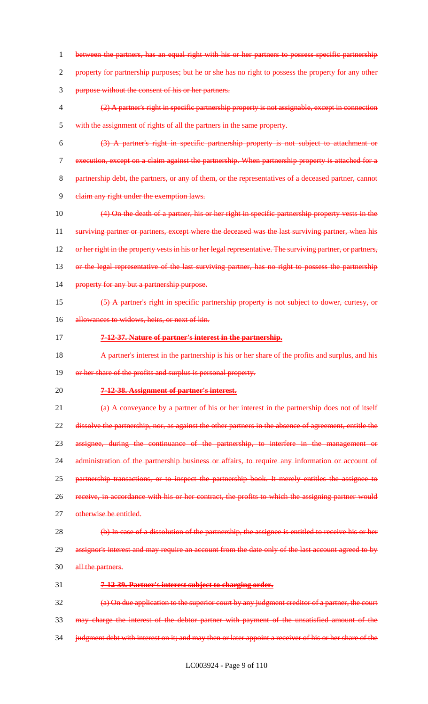1 between the partners, has an equal right with his or her partners to possess specific partnership 2 property for partnership purposes; but he or she has no right to possess the property for any other 3 purpose without the consent of his or her partners. 4 (2) A partner's right in specific partnership property is not assignable, except in connection 5 with the assignment of rights of all the partners in the same property. 6 (3) A partner's right in specific partnership property is not subject to attachment or 7 execution, except on a claim against the partnership. When partnership property is attached for a 8 partnership debt, the partners, or any of them, or the representatives of a deceased partner, cannot 9 claim any right under the exemption laws. 10 (4) On the death of a partner, his or her right in specific partnership property vests in the 11 surviving partner or partners, except where the deceased was the last surviving partner, when his 12 or her right in the property vests in his or her legal representative. The surviving partner, or partners, 13 or the legal representative of the last surviving partner, has no right to possess the partnership 14 property for any but a partnership purpose. 15 (5) A partner's right in specific partnership property is not subject to dower, curtesy, or 16 allowances to widows, heirs, or next of kin. 17 **7-12-37. Nature of partner's interest in the partnership.** 18 **A partner's interest in the partnership is his or her share of the profits and surplus, and his** 19 or her share of the profits and surplus is personal property. 20 **7-12-38. Assignment of partner's interest.** 21 (a) A conveyance by a partner of his or her interest in the partnership does not of itself 22 dissolve the partnership, nor, as against the other partners in the absence of agreement, entitle the 23 assignee, during the continuance of the partnership, to interfere in the management or 24 administration of the partnership business or affairs, to require any information or account of 25 partnership transactions, or to inspect the partnership book. It merely entitles the assignee to 26 receive, in accordance with his or her contract, the profits to which the assigning partner would 27 otherwise be entitled. 28 (b) In case of a dissolution of the partnership, the assignee is entitled to receive his or her 29 assignor's interest and may require an account from the date only of the last account agreed to by 30 all the partners. 31 **7-12-39. Partner's interest subject to charging order.** 32 (a) On due application to the superior court by any judgment creditor of a partner, the court 33 may charge the interest of the debtor partner with payment of the unsatisfied amount of the 34 judgment debt with interest on it; and may then or later appoint a receiver of his or her share of the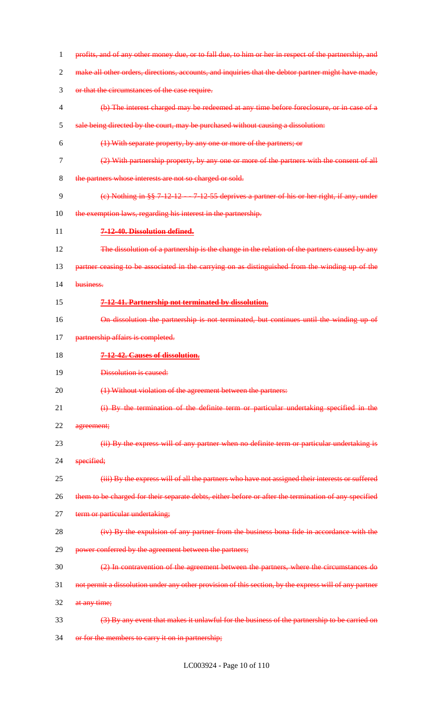| 1  | profits, and of any other money due, or to fall due, to him or her in respect of the partnership, and  |
|----|--------------------------------------------------------------------------------------------------------|
| 2  | make all other orders, directions, accounts, and inquiries that the debtor partner might have made,    |
| 3  | or that the circumstances of the case require.                                                         |
| 4  | (b) The interest charged may be redeemed at any time before foreclosure, or in case of a               |
| 5  | sale being directed by the court, may be purchased without causing a dissolution:                      |
| 6  | (1) With separate property, by any one or more of the partners; or                                     |
| 7  | (2) With partnership property, by any one or more of the partners with the consent of all              |
| 8  | the partners whose interests are not so charged or sold.                                               |
| 9  | (e) Nothing in §§ 7-12-12 - - 7-12-55 deprives a partner of his or her right, if any, under            |
| 10 | the exemption laws, regarding his interest in the partnership.                                         |
| 11 | 7-12-40. Dissolution defined.                                                                          |
| 12 | The dissolution of a partnership is the change in the relation of the partners caused by any           |
| 13 | partner ceasing to be associated in the carrying on as distinguished from the winding up of the        |
| 14 | business.                                                                                              |
| 15 | 7-12-41. Partnership not terminated by dissolution.                                                    |
| 16 | On dissolution the partnership is not terminated, but continues until the winding up of                |
| 17 | partnership affairs is completed.                                                                      |
| 18 | 7-12-42. Causes of dissolution.                                                                        |
| 19 | <b>Dissolution is caused:</b>                                                                          |
| 20 | (1) Without violation of the agreement between the partners:                                           |
| 21 | (i) By the termination of the definite term or particular undertaking specified in the                 |
| 22 | agreement;                                                                                             |
| 23 | (ii) By the express will of any partner when no definite term or particular undertaking is             |
| 24 | specified;                                                                                             |
| 25 | (iii) By the express will of all the partners who have not assigned their interests or suffered        |
| 26 | them to be charged for their separate debts, either before or after the termination of any specified   |
| 27 | term or particular undertaking;                                                                        |
| 28 | (iv) By the expulsion of any partner from the business bona fide in accordance with the                |
| 29 | power conferred by the agreement between the partners;                                                 |
| 30 | (2) In contravention of the agreement between the partners, where the circumstances do                 |
| 31 | not permit a dissolution under any other provision of this section, by the express will of any partner |
| 32 | at any time;                                                                                           |
| 33 | (3) By any event that makes it unlawful for the business of the partnership to be carried on           |
| 34 | or for the members to carry it on in partnership;                                                      |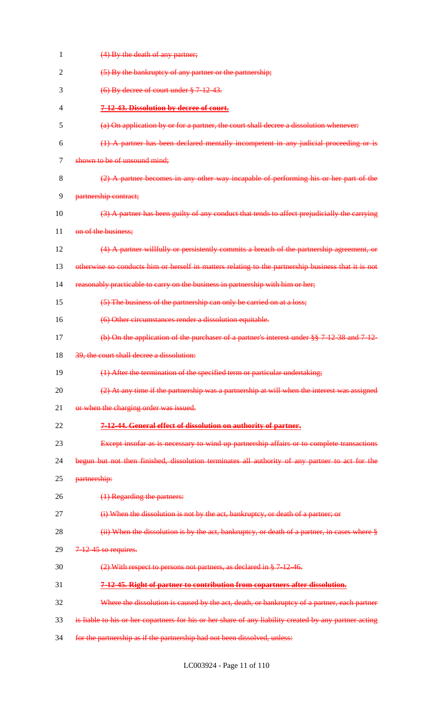| 1  | (4) By the death of any partner;                                                                       |
|----|--------------------------------------------------------------------------------------------------------|
| 2  | (5) By the bankruptcy of any partner or the partnership;                                               |
| 3  | $(6)$ By decree of court under $\frac{8}{3}$ 7-12-43.                                                  |
| 4  | 7-12-43. Dissolution by decree of court.                                                               |
| 5  | (a) On application by or for a partner, the court shall decree a dissolution whenever:                 |
| 6  | (1) A partner has been declared mentally incompetent in any judicial proceeding or is                  |
| 7  | shown to be of unsound mind:                                                                           |
| 8  | (2) A partner becomes in any other way incapable of performing his or her part of the                  |
| 9  | partnership contract;                                                                                  |
| 10 | (3) A partner has been guilty of any conduct that tends to affect prejudicially the carrying           |
| 11 | on of the business:                                                                                    |
| 12 | (4) A partner willfully or persistently commits a breach of the partnership agreement, or              |
| 13 | otherwise so conducts him or herself in matters relating to the partnership business that it is not    |
| 14 | reasonably practicable to carry on the business in partnership with him or her;                        |
| 15 | (5) The business of the partnership can only be carried on at a loss;                                  |
| 16 | (6) Other circumstances render a dissolution equitable.                                                |
| 17 | (b) On the application of the purchaser of a partner's interest under §§ 7-12-38 and 7-12-             |
| 18 | 39, the court shall decree a dissolution:                                                              |
| 19 | (1) After the termination of the specified term or particular undertaking;                             |
| 20 | (2) At any time if the partnership was a partnership at will when the interest was assigned            |
| 21 | or when the charging order was issued.                                                                 |
| 22 | 7-12-44. General effect of dissolution on authority of partner.                                        |
| 23 | Except insofar as is necessary to wind up partnership affairs or to complete transactions              |
| 24 | begun but not then finished, dissolution terminates all authority of any partner to act for the        |
| 25 | partnership:                                                                                           |
| 26 | (1) Regarding the partners:                                                                            |
| 27 | (i) When the dissolution is not by the act, bankruptcy, or death of a partner; or                      |
| 28 | (ii) When the dissolution is by the act, bankruptcy, or death of a partner, in cases where §           |
| 29 | 7-12-45 so requires.                                                                                   |
| 30 | $(2)$ With respect to persons not partners, as declared in § 7-12-46.                                  |
| 31 | 7-12-45. Right of partner to contribution from copartners after dissolution.                           |
| 32 | Where the dissolution is caused by the act, death, or bankruptcy of a partner, each partner            |
| 33 | is liable to his or her copartners for his or her share of any liability created by any partner acting |
|    |                                                                                                        |

for the partnership as if the partnership had not been dissolved, unless: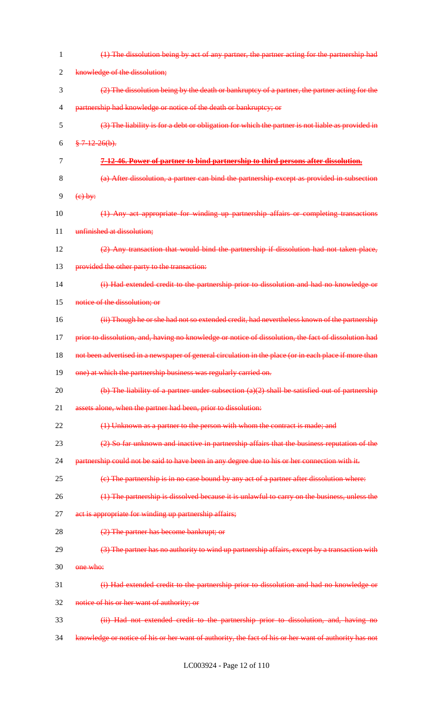| 1  | (1) The dissolution being by act of any partner, the partner acting for the partnership had           |
|----|-------------------------------------------------------------------------------------------------------|
| 2  | knowledge of the dissolution;                                                                         |
| 3  | (2) The dissolution being by the death or bankruptcy of a partner, the partner acting for the         |
| 4  | partnership had knowledge or notice of the death or bankruptcy; or                                    |
| 5  | (3) The liability is for a debt or obligation for which the partner is not liable as provided in      |
| 6  | $\frac{8}{2}$ 7 12 26(b).                                                                             |
| 7  | 7-12-46. Power of partner to bind partnership to third persons after dissolution.                     |
| 8  | (a) After dissolution, a partner can bind the partnership except as provided in subsection            |
| 9  | $(e)$ by:                                                                                             |
| 10 | (1) Any act appropriate for winding up partnership affairs or completing transactions                 |
| 11 | unfinished at dissolution;                                                                            |
| 12 | (2) Any transaction that would bind the partnership if dissolution had not taken place,               |
| 13 | provided the other party to the transaction:                                                          |
| 14 | (i) Had extended credit to the partnership prior to dissolution and had no knowledge or               |
| 15 | notice of the dissolution; or                                                                         |
| 16 | (ii) Though he or she had not so extended credit, had nevertheless known of the partnership           |
| 17 | prior to dissolution, and, having no knowledge or notice of dissolution, the fact of dissolution had  |
| 18 | not been advertised in a newspaper of general circulation in the place (or in each place if more than |
| 19 | one) at which the partnership business was regularly carried on.                                      |
| 20 | (b) The liability of a partner under subsection $(a)(2)$ shall be satisfied out of partnership        |
| 21 | assets alone, when the partner had been, prior to dissolution:                                        |
| 22 | (1) Unknown as a partner to the person with whom the contract is made; and                            |
| 23 | (2) So far unknown and inactive in partnership affairs that the business reputation of the            |
| 24 | partnership could not be said to have been in any degree due to his or her connection with it.        |
| 25 | (e) The partnership is in no case bound by any act of a partner after dissolution where:              |
| 26 | (1) The partnership is dissolved because it is unlawful to carry on the business, unless the          |
| 27 | act is appropriate for winding up partnership affairs;                                                |
| 28 | (2) The partner has become bankrupt; or                                                               |
| 29 | (3) The partner has no authority to wind up partnership affairs, except by a transaction with         |
| 30 | one who:                                                                                              |
| 31 | (i) Had extended credit to the partnership prior to dissolution and had no knowledge or               |
| 32 | notice of his or her want of authority; or                                                            |
| 33 | (ii) Had not extended credit to the partnership prior to dissolution, and, having no                  |
| 34 | knowledge or notice of his or her want of authority, the fact of his or her want of authority has not |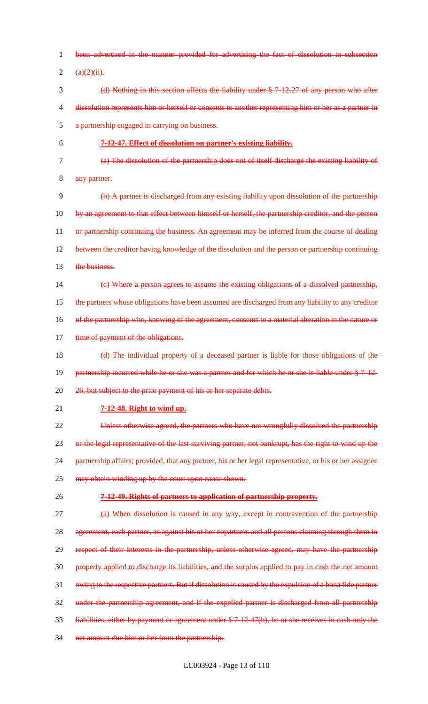| 1  | been advertised in the manner provided for advertising the fact of dissolution in subsection             |
|----|----------------------------------------------------------------------------------------------------------|
| 2  | $(a)(2)(ii)$ .                                                                                           |
| 3  | (d) Nothing in this section affects the liability under $\S$ 7-12-27 of any person who after             |
| 4  | dissolution represents him or herself or consents to another representing him or her as a partner in     |
| 5  | a partnership engaged in carrying on business.                                                           |
| 6  | 7-12-47. Effect of dissolution on partner's existing liability.                                          |
| 7  | (a) The dissolution of the partnership does not of itself discharge the existing liability of            |
| 8  | any partner.                                                                                             |
| 9  | (b) A partner is discharged from any existing liability upon dissolution of the partnership              |
| 10 | by an agreement to that effect between himself or herself, the partnership creditor, and the person      |
| 11 | or partnership continuing the business. An agreement may be inferred from the course of dealing          |
| 12 | between the creditor having knowledge of the dissolution and the person or partnership continuing        |
| 13 | the business.                                                                                            |
| 14 | (c) Where a person agrees to assume the existing obligations of a dissolved partnership,                 |
| 15 | the partners whose obligations have been assumed are discharged from any liability to any creditor       |
| 16 | of the partnership who, knowing of the agreement, consents to a material alteration in the nature or     |
| 17 | time of payment of the obligations.                                                                      |
| 18 | (d) The individual property of a deceased partner is liable for those obligations of the                 |
| 19 | partnership incurred while he or she was a partner and for which he or she is liable under § 7-12-       |
| 20 | 26, but subject to the prior payment of his or her separate debts.                                       |
| 21 | 7-12-48. Right to wind up.                                                                               |
| 22 | Unless otherwise agreed, the partners who have not wrongfully dissolved the partnership                  |
| 23 | or the legal representative of the last surviving partner, not bankrupt, has the right to wind up the    |
| 24 | partnership affairs; provided, that any partner, his or her legal representative, or his or her assignee |
| 25 | may obtain winding up by the court upon cause shown.                                                     |
| 26 | 7-12-49. Rights of partners to application of partnership property.                                      |
| 27 | (a) When dissolution is caused in any way, except in contravention of the partnership                    |
| 28 | agreement, each partner, as against his or her copartners and all persons claiming through them in       |
| 29 | respect of their interests in the partnership, unless otherwise agreed, may have the partnership         |
| 30 | property applied to discharge its liabilities, and the surplus applied to pay in cash the net amount     |
| 31 | owing to the respective partners. But if dissolution is caused by the expulsion of a bona fide partner   |
| 32 | under the partnership agreement, and if the expelled partner is discharged from all partnership          |
| 33 | liabilities, either by payment or agreement under § 7-12-47(b), he or she receives in cash only the      |
| 34 | net amount due him or her from the partnership.                                                          |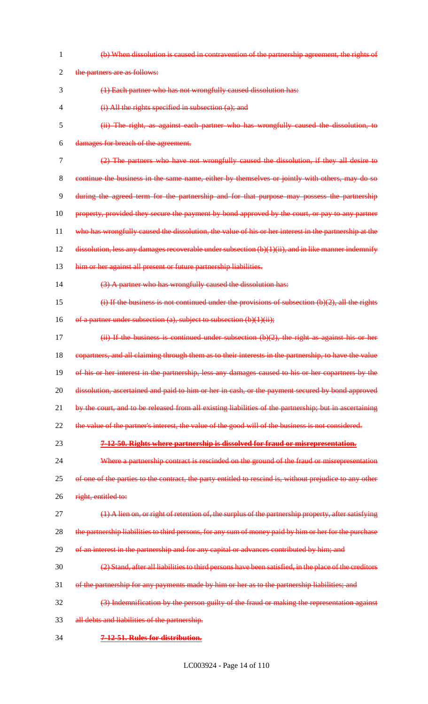| 1              | (b) When dissolution is caused in contravention of the partnership agreement, the rights of              |
|----------------|----------------------------------------------------------------------------------------------------------|
| $\overline{2}$ | the partners are as follows:                                                                             |
| 3              | (1) Each partner who has not wrongfully caused dissolution has:                                          |
| 4              | (i) All the rights specified in subsection (a); and                                                      |
| 5              | (ii) The right, as against each partner who has wrongfully caused the dissolution, to                    |
| 6              | damages for breach of the agreement.                                                                     |
| 7              | (2) The partners who have not wrongfully caused the dissolution, if they all desire to                   |
| 8              | continue the business in the same name, either by themselves or jointly with others, may do so           |
| 9              | during the agreed term for the partnership and for that purpose may possess the partnership              |
| 10             | property, provided they secure the payment by bond approved by the court, or pay to any partner          |
| 11             | who has wrongfully caused the dissolution, the value of his or her interest in the partnership at the    |
| 12             | $dissolution, less any damages$ recoverable under subsection $(b)(1)(ii)$ , and in like manner indemnify |
| 13             | him or her against all present or future partnership liabilities.                                        |
| 14             | (3) A partner who has wrongfully caused the dissolution has:                                             |
| 15             | (i) If the business is not continued under the provisions of subsection $(b)(2)$ , all the rights        |
| 16             | of a partner under subsection (a), subject to subsection (b)(1)(ii);                                     |
| 17             | (ii) If the business is continued under subsection $(b)(2)$ , the right as against his or her            |
| 18             | copartners, and all claiming through them as to their interests in the partnership, to have the value    |
| 19             | of his or her interest in the partnership, less any damages caused to his or her copartners by the       |
| 20             | dissolution, ascertained and paid to him or her in cash, or the payment secured by bond approved         |
| 21             | by the court, and to be released from all existing liabilities of the partnership; but in ascertaining   |
| 22             | the value of the partner's interest, the value of the good will of the business is not considered.       |
| 23             | 7-12-50. Rights where partnership is dissolved for fraud or misrepresentation.                           |
| 24             | Where a partnership contract is rescinded on the ground of the fraud or misrepresentation                |
| 25             | of one of the parties to the contract, the party entitled to rescind is, without prejudice to any other  |
| 26             | right, entitled to:                                                                                      |
| 27             | (1) A lien on, or right of retention of, the surplus of the partnership property, after satisfying       |
| 28             | the partnership liabilities to third persons, for any sum of money paid by him or her for the purchase   |
| 29             | of an interest in the partnership and for any capital or advances contributed by him; and                |
| 30             | (2) Stand, after all liabilities to third persons have been satisfied, in the place of the creditors     |
| 31             | of the partnership for any payments made by him or her as to the partnership liabilities; and            |
| 32             | (3) Indemnification by the person guilty of the fraud or making the representation against               |
| 33             | all debts and liabilities of the partnership.                                                            |
| 34             | 7-12-51. Rules for distribution.                                                                         |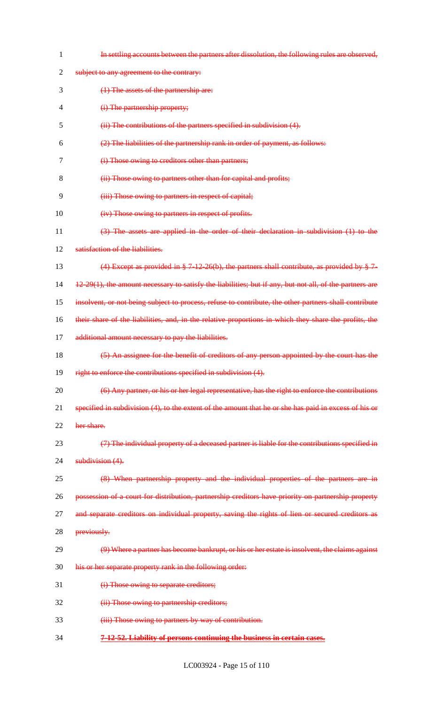| 1  | In settling accounts between the partners after dissolution, the following rules are observed,          |
|----|---------------------------------------------------------------------------------------------------------|
| 2  | subject to any agreement to the contrary:                                                               |
| 3  | (1) The assets of the partnership are:                                                                  |
| 4  | (i) The partnership property;                                                                           |
| 5  | (ii) The contributions of the partners specified in subdivision (4).                                    |
| 6  | (2) The liabilities of the partnership rank in order of payment, as follows:                            |
| 7  | (i) Those owing to creditors other than partners;                                                       |
| 8  | (ii) Those owing to partners other than for capital and profits;                                        |
| 9  | (iii) Those owing to partners in respect of capital;                                                    |
| 10 | (iv) Those owing to partners in respect of profits.                                                     |
| 11 | (3) The assets are applied in the order of their declaration in subdivision (1) to the                  |
| 12 | satisfaction of the liabilities.                                                                        |
| 13 | $(4)$ Except as provided in § 7-12-26(b), the partners shall contribute, as provided by § 7-            |
| 14 | 12-29(1), the amount necessary to satisfy the liabilities; but if any, but not all, of the partners are |
| 15 | insolvent, or not being subject to process, refuse to contribute, the other partners shall contribute   |
| 16 | their share of the liabilities, and, in the relative proportions in which they share the profits, the   |
| 17 | additional amount necessary to pay the liabilities.                                                     |
| 18 | (5) An assignee for the benefit of creditors of any person appointed by the court has the               |
| 19 | right to enforce the contributions specified in subdivision (4).                                        |
| 20 | (6) Any partner, or his or her legal representative, has the right to enforce the contributions         |
| 21 | specified in subdivision (4), to the extent of the amount that he or she has paid in excess of his or   |
| 22 | her share.                                                                                              |
| 23 | (7) The individual property of a deceased partner is liable for the contributions specified in          |
| 24 | subdivision (4).                                                                                        |
| 25 | (8) When partnership property and the individual properties of the partners are in                      |
| 26 | possession of a court for distribution, partnership creditors have priority on partnership property     |
| 27 | and separate creditors on individual property, saving the rights of lien or secured creditors as        |
| 28 | previously.                                                                                             |
| 29 | (9) Where a partner has become bankrupt, or his or her estate is insolvent, the claims against          |
| 30 | his or her separate property rank in the following order:                                               |
| 31 | (i) Those owing to separate creditors;                                                                  |
| 32 | (ii) Those owing to partnership creditors;                                                              |
| 33 | (iii) Those owing to partners by way of contribution.                                                   |
| 34 | 7-12-52. Liability of persons continuing the business in certain cases.                                 |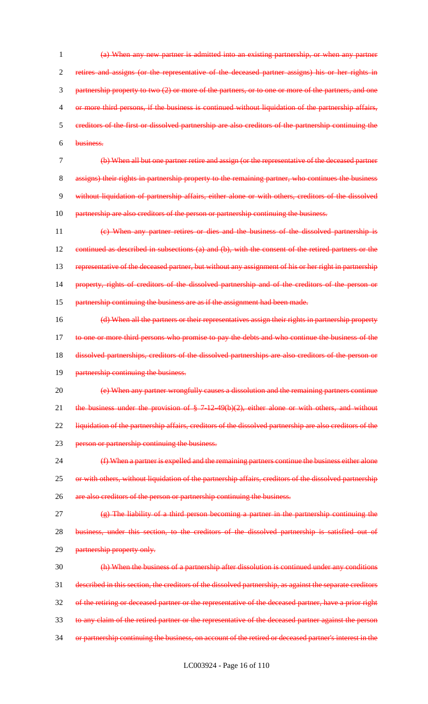(a) When any new partner is admitted into an existing partnership, or when any partner retires and assigns (or the representative of the deceased partner assigns) his or her rights in partnership property to two (2) or more of the partners, or to one or more of the partners, and one or more third persons, if the business is continued without liquidation of the partnership affairs, creditors of the first or dissolved partnership are also creditors of the partnership continuing the business.

7 (b) When all but one partner retire and assign (or the representative of the deceased partner 8 assigns) their rights in partnership property to the remaining partner, who continues the business 9 without liquidation of partnership affairs, either alone or with others, creditors of the dissolved 10 partnership are also creditors of the person or partnership continuing the business.

11 (c) When any partner retires or dies and the business of the dissolved partnership is 12 continued as described in subsections (a) and (b), with the consent of the retired partners or the 13 representative of the deceased partner, but without any assignment of his or her right in partnership 14 property, rights of creditors of the dissolved partnership and of the creditors of the person or 15 partnership continuing the business are as if the assignment had been made.

16 (d) When all the partners or their representatives assign their rights in partnership property 17 to one or more third persons who promise to pay the debts and who continue the business of the 18 dissolved partnerships, creditors of the dissolved partnerships are also creditors of the person or 19 partnership continuing the business.

20 (e) When any partner wrongfully causes a dissolution and the remaining partners continue 21 the business under the provision of  $$ 7-12-49(b)(2)$ , either alone or with others, and without 22 liquidation of the partnership affairs, creditors of the dissolved partnership are also creditors of the

23 person or partnership continuing the business.

24 (f) When a partner is expelled and the remaining partners continue the business either alone 25 or with others, without liquidation of the partnership affairs, creditors of the dissolved partnership 26 are also creditors of the person or partnership continuing the business.

27 (g) The liability of a third person becoming a partner in the partnership continuing the 28 business, under this section, to the creditors of the dissolved partnership is satisfied out of 29 partnership property only.

30 (h) When the business of a partnership after dissolution is continued under any conditions 31 described in this section, the creditors of the dissolved partnership, as against the separate creditors 32 of the retiring or deceased partner or the representative of the deceased partner, have a prior right 33 to any claim of the retired partner or the representative of the deceased partner against the person 34 or partnership continuing the business, on account of the retired or deceased partner's interest in the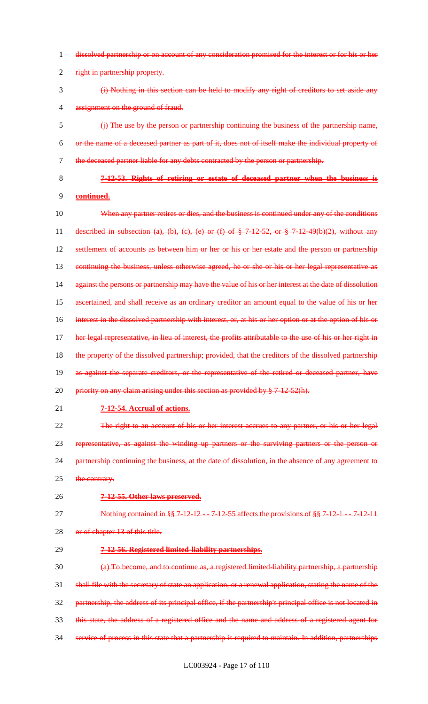dissolved partnership or on account of any consideration promised for the interest or for his or her right in partnership property. (i) Nothing in this section can be held to modify any right of creditors to set aside any 4 assignment on the ground of fraud. (j) The use by the person or partnership continuing the business of the partnership name, or the name of a deceased partner as part of it, does not of itself make the individual property of the deceased partner liable for any debts contracted by the person or partnership. **7-12-53. Rights of retiring or estate of deceased partner when the business is continued.** 10 When any partner retires or dies, and the business is continued under any of the conditions 11 described in subsection (a), (b), (c), (e) or (f) of  $\S$  7-12-52, or  $\S$  7-12-49(b)(2), without any settlement of accounts as between him or her or his or her estate and the person or partnership 13 continuing the business, unless otherwise agreed, he or she or his or her legal representative as 14 against the persons or partnership may have the value of his or her interest at the date of dissolution ascertained, and shall receive as an ordinary creditor an amount equal to the value of his or her interest in the dissolved partnership with interest, or, at his or her option or at the option of his or 17 her legal representative, in lieu of interest, the profits attributable to the use of his or her right in 18 the property of the dissolved partnership; provided, that the creditors of the dissolved partnership 19 as against the separate creditors, or the representative of the retired or deceased partner, have 20 priority on any claim arising under this section as provided by  $§ 7-12-52(h)$ . **7-12-54. Accrual of actions.** The right to an account of his or her interest accrues to any partner, or his or her legal representative, as against the winding up partners or the surviving partners or the person or partnership continuing the business, at the date of dissolution, in the absence of any agreement to 25 the contrary. **7-12-55. Other laws preserved.** 27 Nothing contained in  $\frac{88}{9}$  7 12 12 - 7 12 55 affects the provisions of  $\frac{88}{9}$  7 12 1 - 7 12 11 28 or of chapter 13 of this title. **7-12-56. Registered limited-liability partnerships.** (a) To become, and to continue as, a registered limited-liability partnership, a partnership shall file with the secretary of state an application, or a renewal application, stating the name of the partnership, the address of its principal office, if the partnership's principal office is not located in this state, the address of a registered office and the name and address of a registered agent for service of process in this state that a partnership is required to maintain. In addition, partnerships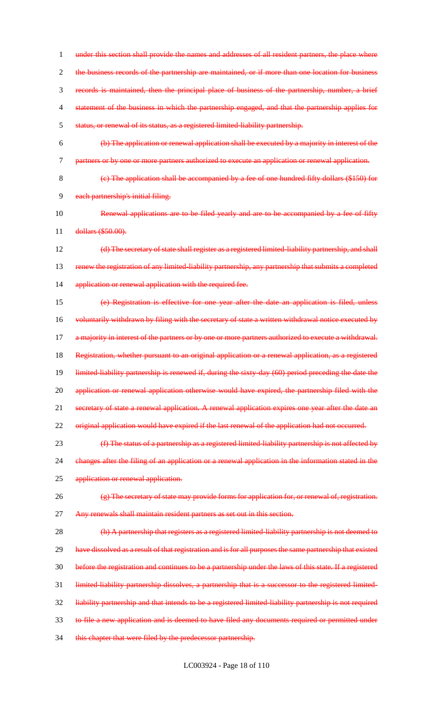1 under this section shall provide the names and addresses of all resident partners, the place where 2 the business records of the partnership are maintained, or if more than one location for business records is maintained, then the principal place of business of the partnership, number, a brief 4 statement of the business in which the partnership engaged, and that the partnership applies for status, or renewal of its status, as a registered limited-liability partnership. (b) The application or renewal application shall be executed by a majority in interest of the partners or by one or more partners authorized to execute an application or renewal application. (c) The application shall be accompanied by a fee of one hundred fifty dollars (\$150) for each partnership's initial filing.

10 Renewal applications are to be filed yearly and are to be accompanied by a fee of fifty 11 dollars (\$50.00).

12 (d) The secretary of state shall register as a registered limited-liability partnership, and shall 13 renew the registration of any limited-liability partnership, any partnership that submits a completed 14 application or renewal application with the required fee.

15 (e) Registration is effective for one year after the date an application is filed, unless 16 voluntarily withdrawn by filing with the secretary of state a written withdrawal notice executed by 17 a majority in interest of the partners or by one or more partners authorized to execute a withdrawal. 18 Registration, whether pursuant to an original application or a renewal application, as a registered 19 limited-liability partnership is renewed if, during the sixty-day (60) period preceding the date the 20 application or renewal application otherwise would have expired, the partnership filed with the 21 secretary of state a renewal application. A renewal application expires one year after the date an 22 original application would have expired if the last renewal of the application had not occurred.

23 (f) The status of a partnership as a registered limited-liability partnership is not affected by 24 changes after the filing of an application or a renewal application in the information stated in the

25 application or renewal application.

26 (g) The secretary of state may provide forms for application for, or renewal of, registration. 27 Any renewals shall maintain resident partners as set out in this section.

 (h) A partnership that registers as a registered limited-liability partnership is not deemed to 29 have dissolved as a result of that registration and is for all purposes the same partnership that existed before the registration and continues to be a partnership under the laws of this state. If a registered limited-liability partnership dissolves, a partnership that is a successor to the registered limited- liability partnership and that intends to be a registered limited-liability partnership is not required to file a new application and is deemed to have filed any documents required or permitted under 34 this chapter that were filed by the predecessor partnership.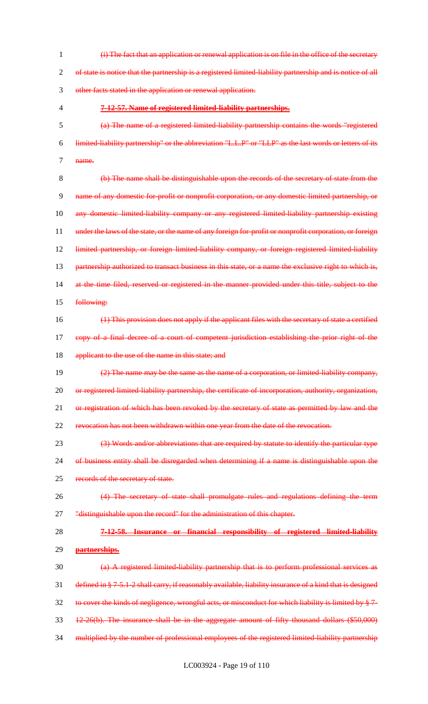1 (i) The fact that an application or renewal application is on file in the office of the secretary 2 of state is notice that the partnership is a registered limited-liability partnership and is notice of all 3 other facts stated in the application or renewal application. 4 **7-12-57. Name of registered limited-liability partnerships.** 5 (a) The name of a registered limited-liability partnership contains the words "registered 6 limited-liability partnership" or the abbreviation "L.L.P" or "LLP" as the last words or letters of its 7 name. 8 (b) The name shall be distinguishable upon the records of the secretary of state from the 9 name of any domestic for-profit or nonprofit corporation, or any domestic limited partnership, or 10 any domestic limited liability company or any registered limited liability partnership existing 11 under the laws of the state, or the name of any foreign for-profit or nonprofit corporation, or foreign 12 limited partnership, or foreign limited liability company, or foreign registered limited liability 13 partnership authorized to transact business in this state, or a name the exclusive right to which is, 14 at the time filed, reserved or registered in the manner provided under this title, subject to the 15 following: 16 (1) This provision does not apply if the applicant files with the secretary of state a certified 17 copy of a final decree of a court of competent jurisdiction establishing the prior right of the 18 applicant to the use of the name in this state; and 19 (2) The name may be the same as the name of a corporation, or limited-liability company, 20 or registered limited-liability partnership, the certificate of incorporation, authority, organization, 21 or registration of which has been revoked by the secretary of state as permitted by law and the 22 revocation has not been withdrawn within one year from the date of the revocation. 23 (3) Words and/or abbreviations that are required by statute to identify the particular type 24 of business entity shall be disregarded when determining if a name is distinguishable upon the 25 records of the secretary of state. 26 (4) The secretary of state shall promulgate rules and regulations defining the term 27 Flistinguishable upon the record" for the administration of this chapter. 28 **7-12-58. Insurance or financial responsibility of registered limited-liability**  29 **partnerships.** 30 (a) A registered limited-liability partnership that is to perform professional services as 31 defined in § 7-5.1-2 shall carry, if reasonably available, liability insurance of a kind that is designed  $32$  to cover the kinds of negligence, wrongful acts, or misconduct for which liability is limited by  $\frac{1}{2}$ . 33 12-26(b). The insurance shall be in the aggregate amount of fifty thousand dollars (\$50,000) 34 multiplied by the number of professional employees of the registered limited liability partnership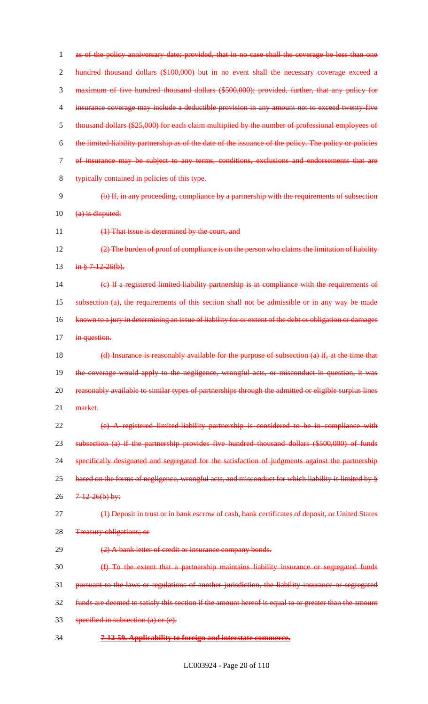1 as of the policy anniversary date; provided, that in no case shall the coverage be less than one hundred thousand dollars (\$100,000) but in no event shall the necessary coverage exceed a maximum of five hundred thousand dollars (\$500,000); provided, further, that any policy for insurance coverage may include a deductible provision in any amount not to exceed twenty-five thousand dollars (\$25,000) for each claim multiplied by the number of professional employees of the limited-liability partnership as of the date of the issuance of the policy. The policy or policies of insurance may be subject to any terms, conditions, exclusions and endorsements that are typically contained in policies of this type. (b) If, in any proceeding, compliance by a partnership with the requirements of subsection  $10 \quad$  (a) is disputed: 11 (1) That issue is determined by the court, and (2) The burden of proof of compliance is on the person who claims the limitation of liability 13 in  $\frac{1}{5}$  7-12-26(b). (c) If a registered limited-liability partnership is in compliance with the requirements of subsection (a), the requirements of this section shall not be admissible or in any way be made known to a jury in determining an issue of liability for or extent of the debt or obligation or damages 17 in question. (d) Insurance is reasonably available for the purpose of subsection (a) if, at the time that the coverage would apply to the negligence, wrongful acts, or misconduct in question, it was reasonably available to similar types of partnerships through the admitted or eligible surplus lines market. (e) A registered limited-liability partnership is considered to be in compliance with subsection (a) if the partnership provides five hundred thousand dollars (\$500,000) of funds specifically designated and segregated for the satisfaction of judgments against the partnership based on the forms of negligence, wrongful acts, and misconduct for which liability is limited by §  $26 \frac{7-12-26(b) \text{ by:}}{}$ 27 (1) Deposit in trust or in bank escrow of cash, bank certificates of deposit, or United States 28 Treasury obligations; or 29 (2) A bank letter of credit or insurance company bonds. (f) To the extent that a partnership maintains liability insurance or segregated funds pursuant to the laws or regulations of another jurisdiction, the liability insurance or segregated funds are deemed to satisfy this section if the amount hereof is equal to or greater than the amount specified in subsection (a) or (e). **7-12-59. Applicability to foreign and interstate commerce.**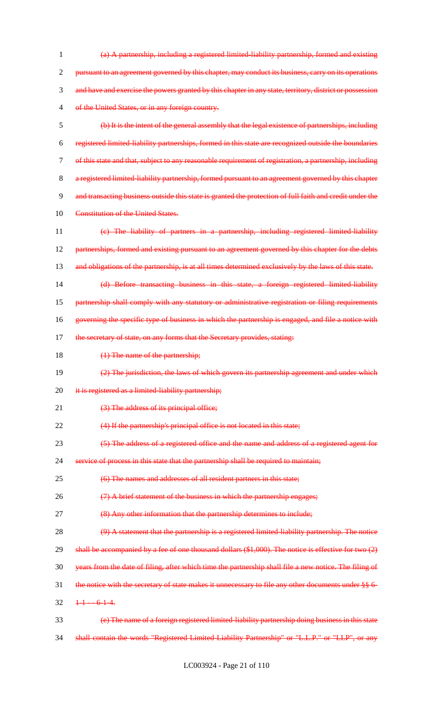1 (a) A partnership, including a registered limited-liability partnership, formed and existing 2 pursuant to an agreement governed by this chapter, may conduct its business, carry on its operations 3 and have and exercise the powers granted by this chapter in any state, territory, district or possession 4 of the United States, or in any foreign country. 5 (b) It is the intent of the general assembly that the legal existence of partnerships, including 6 registered limited-liability partnerships, formed in this state are recognized outside the boundaries 7 of this state and that, subject to any reasonable requirement of registration, a partnership, including 8 a registered limited-liability partnership, formed pursuant to an agreement governed by this chapter 9 and transacting business outside this state is granted the protection of full faith and credit under the 10 Constitution of the United States. 11 (c) The liability of partners in a partnership, including registered limited-liability 12 partnerships, formed and existing pursuant to an agreement governed by this chapter for the debts 13 and obligations of the partnership, is at all times determined exclusively by the laws of this state. 14 (d) Before transacting business in this state, a foreign registered limited-liability 15 partnership shall comply with any statutory or administrative registration or filing requirements 16 governing the specific type of business in which the partnership is engaged, and file a notice with 17 the secretary of state, on any forms that the Secretary provides, stating: 18 (1) The name of the partnership; 19 (2) The jurisdiction, the laws of which govern its partnership agreement and under which 20 it is registered as a limited-liability partnership; 21 (3) The address of its principal office; 22 (4) If the partnership's principal office is not located in this state; 23 (5) The address of a registered office and the name and address of a registered agent for 24 service of process in this state that the partnership shall be required to maintain; 25 (6) The names and addresses of all resident partners in this state; 26 (7) A brief statement of the business in which the partnership engages; 27 (8) Any other information that the partnership determines to include; 28 (9) A statement that the partnership is a registered limited-liability partnership. The notice 29 shall be accompanied by a fee of one thousand dollars (\$1,000). The notice is effective for two (2) 30 years from the date of filing, after which time the partnership shall file a new notice. The filing of 31 the notice with the secretary of state makes it unnecessary to file any other documents under §§ 6-  $32 + 1 - 6 + 4.$ 33 (e) The name of a foreign registered limited-liability partnership doing business in this state

34 shall contain the words "Registered Limited-Liability Partnership" or "L.L.P." or "LLP", or any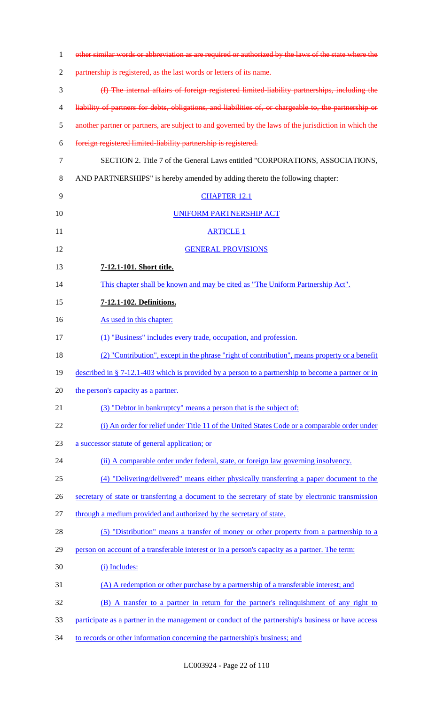| 1              | other similar words or abbreviation as are required or authorized by the laws of the state where the   |
|----------------|--------------------------------------------------------------------------------------------------------|
| $\overline{2}$ | partnership is registered, as the last words or letters of its name.                                   |
| 3              | (f) The internal affairs of foreign registered limited liability partnerships, including the           |
| $\overline{4}$ | liability of partners for debts, obligations, and liabilities of, or chargeable to, the partnership or |
| 5              | another partner or partners, are subject to and governed by the laws of the jurisdiction in which the  |
| 6              | foreign registered limited liability partnership is registered.                                        |
| $\tau$         | SECTION 2. Title 7 of the General Laws entitled "CORPORATIONS, ASSOCIATIONS,                           |
| 8              | AND PARTNERSHIPS" is hereby amended by adding thereto the following chapter:                           |
| 9              | <b>CHAPTER 12.1</b>                                                                                    |
| 10             | <b>UNIFORM PARTNERSHIP ACT</b>                                                                         |
| 11             | <b>ARTICLE 1</b>                                                                                       |
| 12             | <b>GENERAL PROVISIONS</b>                                                                              |
| 13             | 7-12.1-101. Short title.                                                                               |
| 14             | This chapter shall be known and may be cited as "The Uniform Partnership Act".                         |
| 15             | 7-12.1-102. Definitions.                                                                               |
| 16             | As used in this chapter:                                                                               |
| 17             | (1) "Business" includes every trade, occupation, and profession.                                       |
| 18             | (2) "Contribution", except in the phrase "right of contribution", means property or a benefit          |
| 19             | described in $\S$ 7-12.1-403 which is provided by a person to a partnership to become a partner or in  |
| 20             | the person's capacity as a partner.                                                                    |
| 21             | (3) "Debtor in bankruptcy" means a person that is the subject of:                                      |
| 22             | (i) An order for relief under Title 11 of the United States Code or a comparable order under           |
| 23             | a successor statute of general application; or                                                         |
| 24             | (ii) A comparable order under federal, state, or foreign law governing insolvency.                     |
| 25             | (4) "Delivering/delivered" means either physically transferring a paper document to the                |
| 26             | secretary of state or transferring a document to the secretary of state by electronic transmission     |
| 27             | through a medium provided and authorized by the secretary of state.                                    |
| 28             | (5) "Distribution" means a transfer of money or other property from a partnership to a                 |
| 29             | person on account of a transferable interest or in a person's capacity as a partner. The term:         |
| 30             | (i) Includes:                                                                                          |
| 31             | (A) A redemption or other purchase by a partnership of a transferable interest; and                    |
| 32             | (B) A transfer to a partner in return for the partner's relinquishment of any right to                 |
| 33             | participate as a partner in the management or conduct of the partnership's business or have access     |
| 34             | to records or other information concerning the partnership's business; and                             |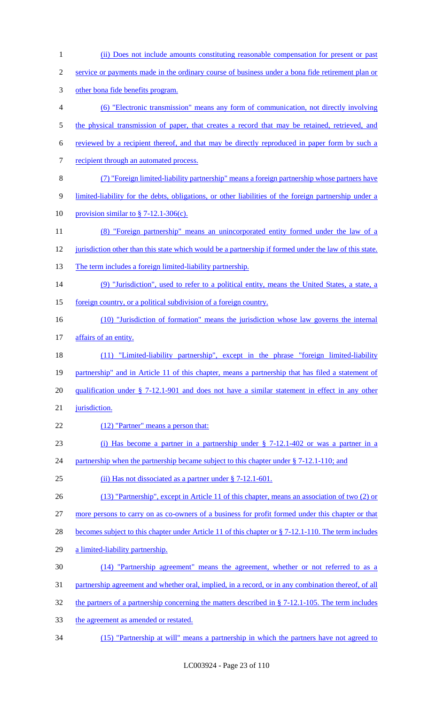- (ii) Does not include amounts constituting reasonable compensation for present or past service or payments made in the ordinary course of business under a bona fide retirement plan or other bona fide benefits program. (6) "Electronic transmission" means any form of communication, not directly involving 5 the physical transmission of paper, that creates a record that may be retained, retrieved, and reviewed by a recipient thereof, and that may be directly reproduced in paper form by such a 7 recipient through an automated process. (7) "Foreign limited-liability partnership" means a foreign partnership whose partners have limited-liability for the debts, obligations, or other liabilities of the foreign partnership under a provision similar to § 7-12.1-306(c). (8) "Foreign partnership" means an unincorporated entity formed under the law of a 12 jurisdiction other than this state which would be a partnership if formed under the law of this state. 13 The term includes a foreign limited-liability partnership. (9) "Jurisdiction", used to refer to a political entity, means the United States, a state, a 15 foreign country, or a political subdivision of a foreign country. (10) "Jurisdiction of formation" means the jurisdiction whose law governs the internal 17 affairs of an entity. (11) "Limited-liability partnership", except in the phrase "foreign limited-liability partnership" and in Article 11 of this chapter, means a partnership that has filed a statement of qualification under § 7-12.1-901 and does not have a similar statement in effect in any other 21 jurisdiction. 22 (12) "Partner" means a person that: (i) Has become a partner in a partnership under § 7-12.1-402 or was a partner in a 24 partnership when the partnership became subject to this chapter under § 7-12.1-110; and (ii) Has not dissociated as a partner under § 7-12.1-601. (13) "Partnership", except in Article 11 of this chapter, means an association of two (2) or more persons to carry on as co-owners of a business for profit formed under this chapter or that 28 becomes subject to this chapter under Article 11 of this chapter or § 7-12.1-110. The term includes a limited-liability partnership. (14) "Partnership agreement" means the agreement, whether or not referred to as a partnership agreement and whether oral, implied, in a record, or in any combination thereof, of all 32 the partners of a partnership concerning the matters described in § 7-12.1-105. The term includes 33 the agreement as amended or restated.
- (15) "Partnership at will" means a partnership in which the partners have not agreed to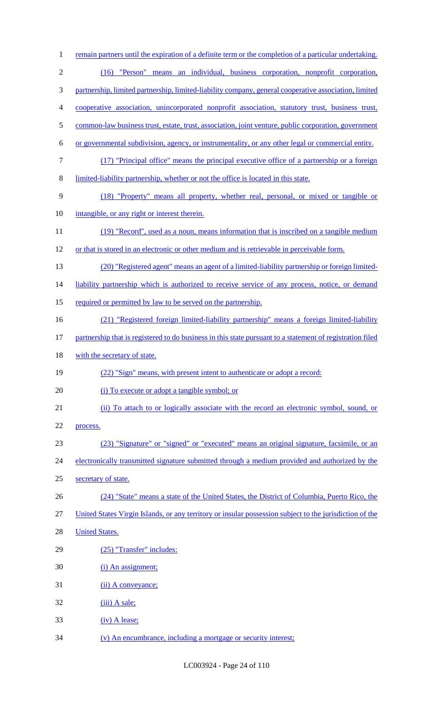| $\mathbf{1}$     | remain partners until the expiration of a definite term or the completion of a particular undertaking.    |
|------------------|-----------------------------------------------------------------------------------------------------------|
| $\sqrt{2}$       | (16) "Person" means an individual, business corporation, nonprofit corporation,                           |
| 3                | partnership, limited partnership, limited-liability company, general cooperative association, limited     |
| $\overline{4}$   | cooperative association, unincorporated nonprofit association, statutory trust, business trust,           |
| $\mathfrak{S}$   | common-law business trust, estate, trust, association, joint venture, public corporation, government      |
| 6                | or governmental subdivision, agency, or instrumentality, or any other legal or commercial entity.         |
| $\boldsymbol{7}$ | (17) "Principal office" means the principal executive office of a partnership or a foreign                |
| $8\,$            | limited-liability partnership, whether or not the office is located in this state.                        |
| 9                | (18) "Property" means all property, whether real, personal, or mixed or tangible or                       |
| 10               | intangible, or any right or interest therein.                                                             |
| 11               | (19) "Record", used as a noun, means information that is inscribed on a tangible medium                   |
| 12               | or that is stored in an electronic or other medium and is retrievable in perceivable form.                |
| 13               | (20) "Registered agent" means an agent of a limited-liability partnership or foreign limited-             |
| 14               | liability partnership which is authorized to receive service of any process, notice, or demand            |
| 15               | required or permitted by law to be served on the partnership.                                             |
| 16               | (21) "Registered foreign limited-liability partnership" means a foreign limited-liability                 |
| 17               | partnership that is registered to do business in this state pursuant to a statement of registration filed |
| 18               | with the secretary of state.                                                                              |
|                  |                                                                                                           |
| 19               | (22) "Sign" means, with present intent to authenticate or adopt a record:                                 |
| 20               | (i) To execute or adopt a tangible symbol; or                                                             |
| 21               | (ii) To attach to or logically associate with the record an electronic symbol, sound, or                  |
| 22               | process.                                                                                                  |
| 23               | (23) "Signature" or "signed" or "executed" means an original signature, facsimile, or an                  |
| 24               | electronically transmitted signature submitted through a medium provided and authorized by the            |
| 25               | secretary of state.                                                                                       |
| 26               | (24) "State" means a state of the United States, the District of Columbia, Puerto Rico, the               |
| 27               | United States Virgin Islands, or any territory or insular possession subject to the jurisdiction of the   |
| 28               | <b>United States.</b>                                                                                     |
| 29               | (25) "Transfer" includes:                                                                                 |
| 30               | (i) An assignment;                                                                                        |
| 31               | (ii) A conveyance;                                                                                        |
| 32               | $(iii)$ A sale;                                                                                           |
| 33               | $(iv)$ A lease;                                                                                           |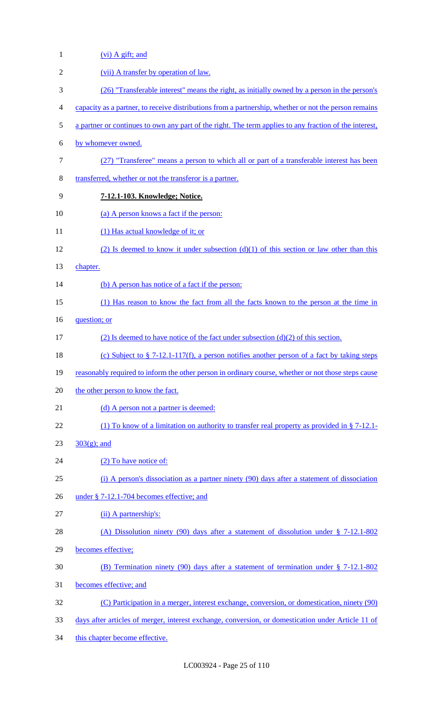| $\mathbf{1}$ | $(vi)$ A gift; and                                                                                     |
|--------------|--------------------------------------------------------------------------------------------------------|
| 2            | (vii) A transfer by operation of law.                                                                  |
| 3            | (26) "Transferable interest" means the right, as initially owned by a person in the person's           |
| 4            | capacity as a partner, to receive distributions from a partnership, whether or not the person remains  |
| 5            | a partner or continues to own any part of the right. The term applies to any fraction of the interest, |
| 6            | by whomever owned.                                                                                     |
| 7            | (27) "Transferee" means a person to which all or part of a transferable interest has been              |
| 8            | transferred, whether or not the transferor is a partner.                                               |
| 9            | 7-12.1-103. Knowledge; Notice.                                                                         |
| 10           | (a) A person knows a fact if the person:                                                               |
| 11           | (1) Has actual knowledge of it; or                                                                     |
| 12           | (2) Is deemed to know it under subsection (d)(1) of this section or law other than this                |
| 13           | chapter.                                                                                               |
| 14           | (b) A person has notice of a fact if the person:                                                       |
| 15           | (1) Has reason to know the fact from all the facts known to the person at the time in                  |
| 16           | question; or                                                                                           |
| 17           | (2) Is deemed to have notice of the fact under subsection $(d)(2)$ of this section.                    |
| 18           | (c) Subject to § 7-12.1-117(f), a person notifies another person of a fact by taking steps             |
| 19           | reasonably required to inform the other person in ordinary course, whether or not those steps cause    |
| 20           | the other person to know the fact.                                                                     |
| 21           | (d) A person not a partner is deemed:                                                                  |
| 22           | (1) To know of a limitation on authority to transfer real property as provided in $\S$ 7-12.1-         |
| 23           | $303(g)$ ; and                                                                                         |
| 24           | (2) To have notice of:                                                                                 |
| 25           | (i) A person's dissociation as a partner ninety (90) days after a statement of dissociation            |
| 26           | under § 7-12.1-704 becomes effective; and                                                              |
| 27           | (ii) A partnership's:                                                                                  |
| 28           | (A) Dissolution ninety (90) days after a statement of dissolution under § 7-12.1-802                   |
| 29           | becomes effective;                                                                                     |
| 30           | (B) Termination ninety (90) days after a statement of termination under § 7-12.1-802                   |
| 31           | becomes effective; and                                                                                 |
| 32           | (C) Participation in a merger, interest exchange, conversion, or domestication, ninety (90)            |
| 33           | days after articles of merger, interest exchange, conversion, or domestication under Article 11 of     |
| 34           | this chapter become effective.                                                                         |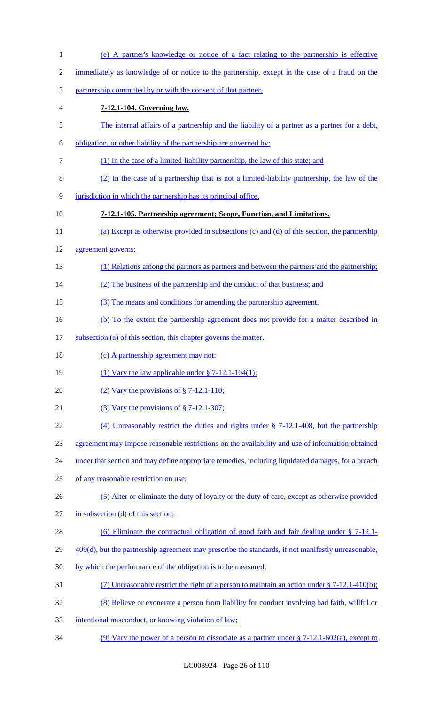| $\mathbf{1}$   | (e) A partner's knowledge or notice of a fact relating to the partnership is effective             |
|----------------|----------------------------------------------------------------------------------------------------|
| $\overline{c}$ | immediately as knowledge of or notice to the partnership, except in the case of a fraud on the     |
| 3              | partnership committed by or with the consent of that partner.                                      |
| 4              | 7-12.1-104. Governing law.                                                                         |
| 5              | The internal affairs of a partnership and the liability of a partner as a partner for a debt,      |
| 6              | obligation, or other liability of the partnership are governed by:                                 |
| 7              | (1) In the case of a limited-liability partnership, the law of this state; and                     |
| 8              | (2) In the case of a partnership that is not a limited-liability partnership, the law of the       |
| 9              | jurisdiction in which the partnership has its principal office.                                    |
| 10             | 7-12.1-105. Partnership agreement; Scope, Function, and Limitations.                               |
| 11             | (a) Except as otherwise provided in subsections (c) and (d) of this section, the partnership       |
| 12             | agreement governs:                                                                                 |
| 13             | (1) Relations among the partners as partners and between the partners and the partnership;         |
| 14             | (2) The business of the partnership and the conduct of that business; and                          |
| 15             | (3) The means and conditions for amending the partnership agreement.                               |
| 16             | (b) To the extent the partnership agreement does not provide for a matter described in             |
| 17             | subsection (a) of this section, this chapter governs the matter.                                   |
| 18             | (c) A partnership agreement may not:                                                               |
| 19             | (1) Vary the law applicable under $\S$ 7-12.1-104(1);                                              |
| 20             | (2) Vary the provisions of $\S$ 7-12.1-110;                                                        |
| 21             | (3) Vary the provisions of $\S$ 7-12.1-307;                                                        |
| 22             | (4) Unreasonably restrict the duties and rights under $\S$ 7-12.1-408, but the partnership         |
| 23             | agreement may impose reasonable restrictions on the availability and use of information obtained   |
| 24             | under that section and may define appropriate remedies, including liquidated damages, for a breach |
| 25             | of any reasonable restriction on use;                                                              |
| 26             | (5) Alter or eliminate the duty of loyalty or the duty of care, except as otherwise provided       |
| 27             | in subsection (d) of this section;                                                                 |
| 28             | (6) Eliminate the contractual obligation of good faith and fair dealing under $\S$ 7-12.1-         |
| 29             | 409(d), but the partnership agreement may prescribe the standards, if not manifestly unreasonable, |
| 30             | by which the performance of the obligation is to be measured;                                      |
| 31             | (7) Unreasonably restrict the right of a person to maintain an action under $\S$ 7-12.1-410(b);    |
| 32             | (8) Relieve or exonerate a person from liability for conduct involving bad faith, willful or       |
| 33             | intentional misconduct, or knowing violation of law;                                               |
| 34             | (9) Vary the power of a person to dissociate as a partner under $\S$ 7-12.1-602(a), except to      |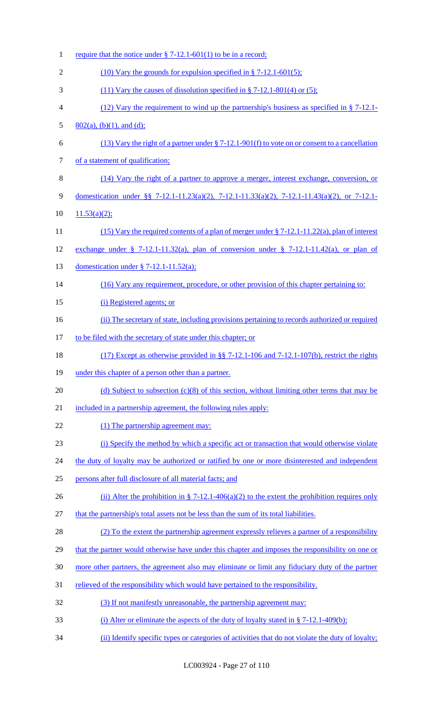| $\mathbf{1}$   | require that the notice under $\S$ 7-12.1-601(1) to be in a record;                               |
|----------------|---------------------------------------------------------------------------------------------------|
| $\overline{2}$ | (10) Vary the grounds for expulsion specified in $\S$ 7-12.1-601(5);                              |
| 3              | (11) Vary the causes of dissolution specified in $\S$ 7-12.1-801(4) or (5);                       |
| 4              | $(12)$ Vary the requirement to wind up the partnership's business as specified in § 7-12.1-       |
| 5              | $802(a)$ , (b)(1), and (d);                                                                       |
| 6              | $(13)$ Vary the right of a partner under § 7-12.1-901(f) to vote on or consent to a cancellation  |
| 7              | of a statement of qualification;                                                                  |
| $8\,$          | (14) Vary the right of a partner to approve a merger, interest exchange, conversion, or           |
| 9              | domestication under §§ 7-12.1-11.23(a)(2), 7-12.1-11.33(a)(2), 7-12.1-11.43(a)(2), or 7-12.1-     |
| 10             | $11.53(a)(2)$ ;                                                                                   |
| 11             | $(15)$ Vary the required contents of a plan of merger under § 7-12.1-11.22(a), plan of interest   |
| 12             | exchange under § 7-12.1-11.32(a), plan of conversion under § 7-12.1-11.42(a), or plan of          |
| 13             | domestication under $\S$ 7-12.1-11.52(a);                                                         |
| 14             | (16) Vary any requirement, procedure, or other provision of this chapter pertaining to:           |
| 15             | (i) Registered agents; or                                                                         |
| 16             | (ii) The secretary of state, including provisions pertaining to records authorized or required    |
| 17             | to be filed with the secretary of state under this chapter; or                                    |
| 18             | $(17)$ Except as otherwise provided in §§ 7-12.1-106 and 7-12.1-107(b), restrict the rights       |
| 19             | under this chapter of a person other than a partner.                                              |
| 20             | (d) Subject to subsection $(c)(8)$ of this section, without limiting other terms that may be      |
| 21             | included in a partnership agreement, the following rules apply:                                   |
| 22             | (1) The partnership agreement may:                                                                |
| 23             | (i) Specify the method by which a specific act or transaction that would otherwise violate        |
| 24             | the duty of loyalty may be authorized or ratified by one or more disinterested and independent    |
| 25             | persons after full disclosure of all material facts; and                                          |
| 26             | (ii) Alter the prohibition in § 7-12.1-406(a)(2) to the extent the prohibition requires only      |
| 27             | that the partnership's total assets not be less than the sum of its total liabilities.            |
| 28             | (2) To the extent the partnership agreement expressly relieves a partner of a responsibility      |
| 29             | that the partner would otherwise have under this chapter and imposes the responsibility on one or |
| 30             | more other partners, the agreement also may eliminate or limit any fiduciary duty of the partner  |
| 31             | relieved of the responsibility which would have pertained to the responsibility.                  |
| 32             | (3) If not manifestly unreasonable, the partnership agreement may:                                |
| 33             | (i) Alter or eliminate the aspects of the duty of loyalty stated in $\S$ 7-12.1-409(b);           |
| 34             | (ii) Identify specific types or categories of activities that do not violate the duty of loyalty; |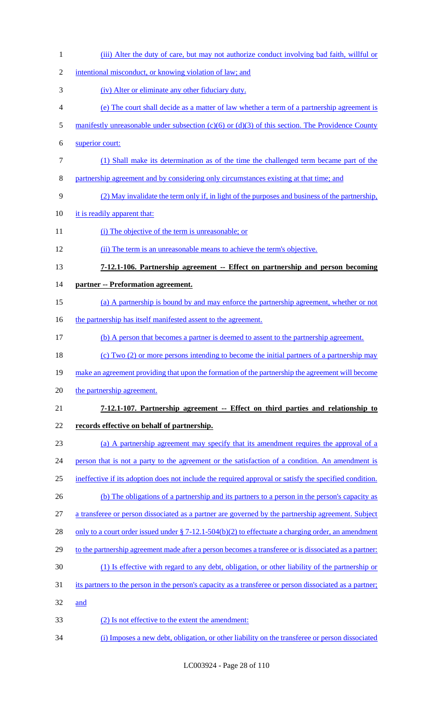| $\mathbf{1}$   | (iii) Alter the duty of care, but may not authorize conduct involving bad faith, willful or             |
|----------------|---------------------------------------------------------------------------------------------------------|
| $\overline{2}$ | intentional misconduct, or knowing violation of law; and                                                |
| 3              | (iv) Alter or eliminate any other fiduciary duty.                                                       |
| 4              | (e) The court shall decide as a matter of law whether a term of a partnership agreement is              |
| 5              | manifestly unreasonable under subsection $(c)(6)$ or $(d)(3)$ of this section. The Providence County    |
| 6              | superior court:                                                                                         |
| 7              | (1) Shall make its determination as of the time the challenged term became part of the                  |
| 8              | partnership agreement and by considering only circumstances existing at that time; and                  |
| 9              | (2) May invalidate the term only if, in light of the purposes and business of the partnership,          |
| 10             | it is readily apparent that:                                                                            |
| 11             | (i) The objective of the term is unreasonable; or                                                       |
| 12             | (ii) The term is an unreasonable means to achieve the term's objective.                                 |
| 13             | 7-12.1-106. Partnership agreement -- Effect on partnership and person becoming                          |
| 14             | partner -- Preformation agreement.                                                                      |
| 15             | (a) A partnership is bound by and may enforce the partnership agreement, whether or not                 |
| 16             | the partnership has itself manifested assent to the agreement.                                          |
| 17             | (b) A person that becomes a partner is deemed to assent to the partnership agreement.                   |
| 18             | (c) Two (2) or more persons intending to become the initial partners of a partnership may               |
| 19             | make an agreement providing that upon the formation of the partnership the agreement will become        |
| 20             | the partnership agreement.                                                                              |
| 21             | 7-12.1-107. Partnership agreement -- Effect on third parties and relationship to                        |
| 22             | records effective on behalf of partnership.                                                             |
| 23             | (a) A partnership agreement may specify that its amendment requires the approval of a                   |
| 24             | person that is not a party to the agreement or the satisfaction of a condition. An amendment is         |
| 25             | ineffective if its adoption does not include the required approval or satisfy the specified condition.  |
| 26             | (b) The obligations of a partnership and its partners to a person in the person's capacity as           |
| 27             | a transferee or person dissociated as a partner are governed by the partnership agreement. Subject      |
| 28             | only to a court order issued under $\S 7-12.1-504(b)(2)$ to effectuate a charging order, an amendment   |
| 29             | to the partnership agreement made after a person becomes a transferee or is dissociated as a partner:   |
| 30             | (1) Is effective with regard to any debt, obligation, or other liability of the partnership or          |
| 31             | its partners to the person in the person's capacity as a transferee or person dissociated as a partner; |
| 32             | and                                                                                                     |
| 33             | (2) Is not effective to the extent the amendment:                                                       |
| 34             | (i) Imposes a new debt, obligation, or other liability on the transferee or person dissociated          |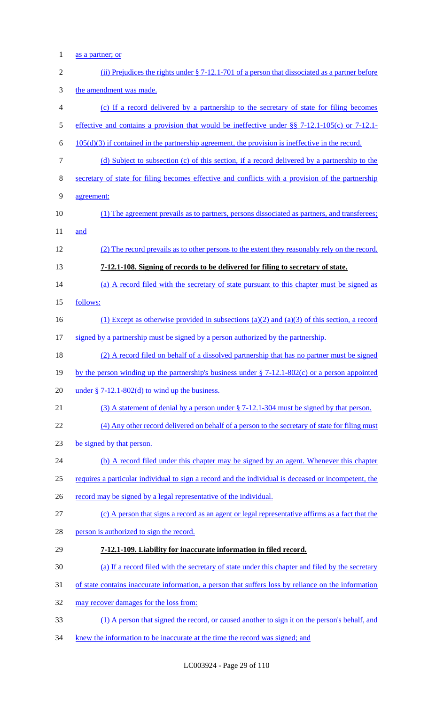1 as a partner; or

| $\overline{2}$ | (ii) Prejudices the rights under $\S$ 7-12.1-701 of a person that dissociated as a partner before    |
|----------------|------------------------------------------------------------------------------------------------------|
| 3              | the amendment was made.                                                                              |
| 4              | (c) If a record delivered by a partnership to the secretary of state for filing becomes              |
| 5              | effective and contains a provision that would be ineffective under $\S$ 7-12.1-105(c) or 7-12.1-     |
| 6              | $105(d)(3)$ if contained in the partnership agreement, the provision is ineffective in the record.   |
| 7              | (d) Subject to subsection (c) of this section, if a record delivered by a partnership to the         |
| 8              | secretary of state for filing becomes effective and conflicts with a provision of the partnership    |
| 9              | agreement:                                                                                           |
| 10             | (1) The agreement prevails as to partners, persons dissociated as partners, and transferees;         |
| 11             | and                                                                                                  |
| 12             | (2) The record prevails as to other persons to the extent they reasonably rely on the record.        |
| 13             | 7-12.1-108. Signing of records to be delivered for filing to secretary of state.                     |
| 14             | (a) A record filed with the secretary of state pursuant to this chapter must be signed as            |
| 15             | follows:                                                                                             |
| 16             | (1) Except as otherwise provided in subsections (a)(2) and (a)(3) of this section, a record          |
| 17             | signed by a partnership must be signed by a person authorized by the partnership.                    |
| 18             | (2) A record filed on behalf of a dissolved partnership that has no partner must be signed           |
| 19             | by the person winding up the partnership's business under $\S$ 7-12.1-802(c) or a person appointed   |
| 20             | under $\S$ 7-12.1-802(d) to wind up the business.                                                    |
| 21             | (3) A statement of denial by a person under $\S$ 7-12.1-304 must be signed by that person.           |
| 22             | (4) Any other record delivered on behalf of a person to the secretary of state for filing must       |
| 23             | be signed by that person.                                                                            |
| 24             | (b) A record filed under this chapter may be signed by an agent. Whenever this chapter               |
| 25             | requires a particular individual to sign a record and the individual is deceased or incompetent, the |
| 26             | record may be signed by a legal representative of the individual.                                    |
| 27             | (c) A person that signs a record as an agent or legal representative affirms as a fact that the      |
| 28             | person is authorized to sign the record.                                                             |
| 29             | 7-12.1-109. Liability for inaccurate information in filed record.                                    |
| 30             | (a) If a record filed with the secretary of state under this chapter and filed by the secretary      |
| 31             | of state contains inaccurate information, a person that suffers loss by reliance on the information  |
| 32             | may recover damages for the loss from:                                                               |
| 33             | (1) A person that signed the record, or caused another to sign it on the person's behalf, and        |

34 knew the information to be inaccurate at the time the record was signed; and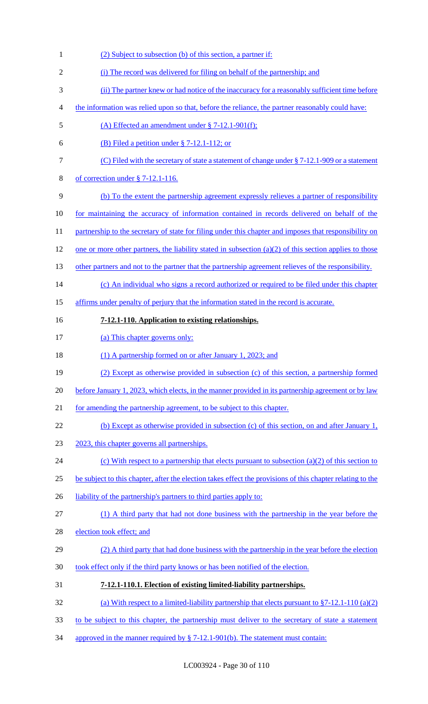| $\mathbf{1}$   | (2) Subject to subsection (b) of this section, a partner if:                                               |
|----------------|------------------------------------------------------------------------------------------------------------|
| $\overline{2}$ | (i) The record was delivered for filing on behalf of the partnership; and                                  |
| 3              | (ii) The partner knew or had notice of the inaccuracy for a reasonably sufficient time before              |
| 4              | the information was relied upon so that, before the reliance, the partner reasonably could have:           |
| 5              | (A) Effected an amendment under $\S$ 7-12.1-901(f);                                                        |
| 6              | (B) Filed a petition under $\S$ 7-12.1-112; or                                                             |
| $\tau$         | (C) Filed with the secretary of state a statement of change under $\S$ 7-12.1-909 or a statement           |
| 8              | of correction under $\S$ 7-12.1-116.                                                                       |
| 9              | (b) To the extent the partnership agreement expressly relieves a partner of responsibility                 |
| 10             | for maintaining the accuracy of information contained in records delivered on behalf of the                |
| 11             | partnership to the secretary of state for filing under this chapter and imposes that responsibility on     |
| 12             | one or more other partners, the liability stated in subsection $(a)(2)$ of this section applies to those   |
| 13             | other partners and not to the partner that the partnership agreement relieves of the responsibility.       |
| 14             | (c) An individual who signs a record authorized or required to be filed under this chapter                 |
| 15             | affirms under penalty of perjury that the information stated in the record is accurate.                    |
| 16             | 7-12.1-110. Application to existing relationships.                                                         |
| 17             | (a) This chapter governs only:                                                                             |
| 18             | (1) A partnership formed on or after January 1, 2023; and                                                  |
| 19             | (2) Except as otherwise provided in subsection (c) of this section, a partnership formed                   |
| 20             | before January 1, 2023, which elects, in the manner provided in its partnership agreement or by law        |
| 21             | for amending the partnership agreement, to be subject to this chapter.                                     |
| 22             | (b) Except as otherwise provided in subsection (c) of this section, on and after January 1,                |
| 23             | 2023, this chapter governs all partnerships.                                                               |
| 24             | (c) With respect to a partnership that elects pursuant to subsection (a)(2) of this section to             |
| 25             | be subject to this chapter, after the election takes effect the provisions of this chapter relating to the |
| 26             | liability of the partnership's partners to third parties apply to:                                         |
| 27             | (1) A third party that had not done business with the partnership in the year before the                   |
| 28             | election took effect; and                                                                                  |
| 29             | (2) A third party that had done business with the partnership in the year before the election              |
| 30             | took effect only if the third party knows or has been notified of the election.                            |
| 31             | 7-12.1-110.1. Election of existing limited-liability partnerships.                                         |
| 32             | (a) With respect to a limited-liability partnership that elects pursuant to $\S7-12.1-110$ (a)(2)          |
| 33             | to be subject to this chapter, the partnership must deliver to the secretary of state a statement          |
|                |                                                                                                            |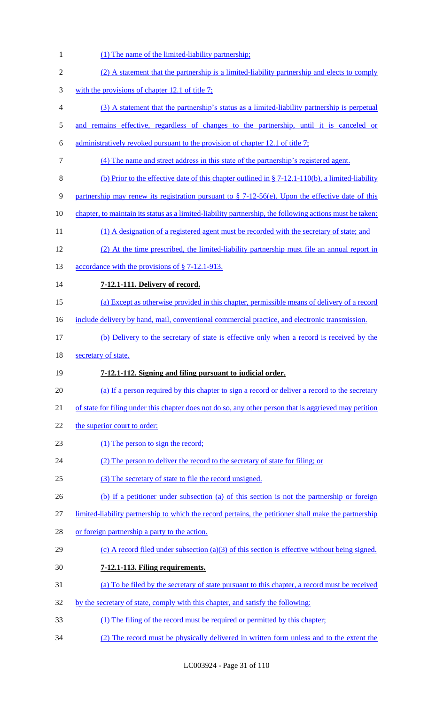(1) The name of the limited-liability partnership; (2) A statement that the partnership is a limited-liability partnership and elects to comply 3 with the provisions of chapter 12.1 of title 7; (3) A statement that the partnership's status as a limited-liability partnership is perpetual and remains effective, regardless of changes to the partnership, until it is canceled or administratively revoked pursuant to the provision of chapter 12.1 of title 7; (4) The name and street address in this state of the partnership's registered agent. (b) Prior to the effective date of this chapter outlined in § 7-12.1-110(b), a limited-liability partnership may renew its registration pursuant to § 7-12-56(e). Upon the effective date of this chapter, to maintain its status as a limited-liability partnership, the following actions must be taken: 11 (1) A designation of a registered agent must be recorded with the secretary of state; and (2) At the time prescribed, the limited-liability partnership must file an annual report in 13 accordance with the provisions of § 7-12.1-913. **7-12.1-111. Delivery of record.**  (a) Except as otherwise provided in this chapter, permissible means of delivery of a record 16 include delivery by hand, mail, conventional commercial practice, and electronic transmission. (b) Delivery to the secretary of state is effective only when a record is received by the 18 secretary of state. **7-12.1-112. Signing and filing pursuant to judicial order.**  (a) If a person required by this chapter to sign a record or deliver a record to the secretary of state for filing under this chapter does not do so, any other person that is aggrieved may petition 22 the superior court to order: 23 (1) The person to sign the record; (2) The person to deliver the record to the secretary of state for filing; or (3) The secretary of state to file the record unsigned. 26 (b) If a petitioner under subsection (a) of this section is not the partnership or foreign limited-liability partnership to which the record pertains, the petitioner shall make the partnership or foreign partnership a party to the action. (c) A record filed under subsection (a)(3) of this section is effective without being signed. **7-12.1-113. Filing requirements.**  (a) To be filed by the secretary of state pursuant to this chapter, a record must be received by the secretary of state, comply with this chapter, and satisfy the following: (1) The filing of the record must be required or permitted by this chapter; (2) The record must be physically delivered in written form unless and to the extent the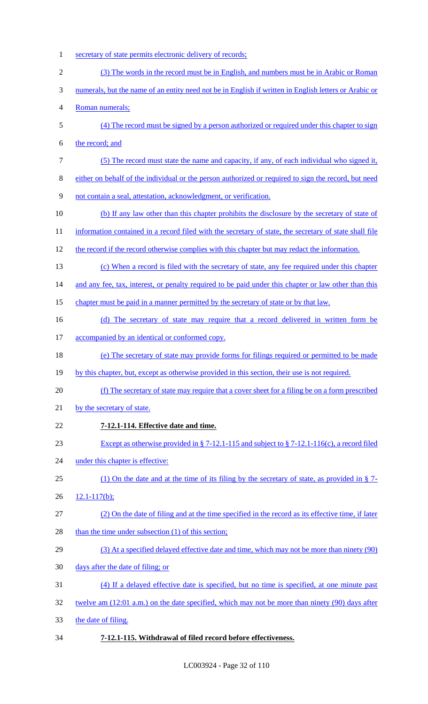secretary of state permits electronic delivery of records; (3) The words in the record must be in English, and numbers must be in Arabic or Roman numerals, but the name of an entity need not be in English if written in English letters or Arabic or Roman numerals; (4) The record must be signed by a person authorized or required under this chapter to sign the record; and (5) The record must state the name and capacity, if any, of each individual who signed it, either on behalf of the individual or the person authorized or required to sign the record, but need not contain a seal, attestation, acknowledgment, or verification. (b) If any law other than this chapter prohibits the disclosure by the secretary of state of 11 information contained in a record filed with the secretary of state, the secretary of state shall file 12 the record if the record otherwise complies with this chapter but may redact the information. (c) When a record is filed with the secretary of state, any fee required under this chapter 14 and any fee, tax, interest, or penalty required to be paid under this chapter or law other than this 15 chapter must be paid in a manner permitted by the secretary of state or by that law. (d) The secretary of state may require that a record delivered in written form be 17 accompanied by an identical or conformed copy. (e) The secretary of state may provide forms for filings required or permitted to be made by this chapter, but, except as otherwise provided in this section, their use is not required. (f) The secretary of state may require that a cover sheet for a filing be on a form prescribed 21 by the secretary of state. **7-12.1-114. Effective date and time.**  Except as otherwise provided in § 7-12.1-115 and subject to § 7-12.1-116(c), a record filed 24 under this chapter is effective: (1) On the date and at the time of its filing by the secretary of state, as provided in § 7-  $26 \frac{12.1 - 117(b)}{5}$  (2) On the date of filing and at the time specified in the record as its effective time, if later 28 than the time under subsection (1) of this section; (3) At a specified delayed effective date and time, which may not be more than ninety (90) days after the date of filing; or (4) If a delayed effective date is specified, but no time is specified, at one minute past twelve am (12:01 a.m.) on the date specified, which may not be more than ninety (90) days after the date of filing. **7-12.1-115. Withdrawal of filed record before effectiveness.**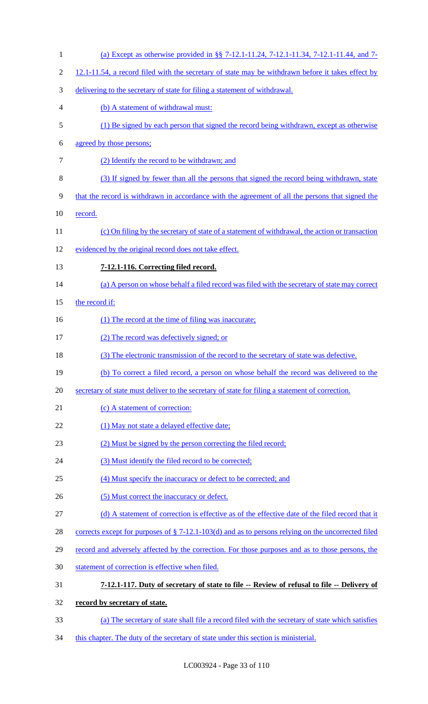(a) Except as otherwise provided in §§ 7-12.1-11.24, 7-12.1-11.34, 7-12.1-11.44, and 7- 2 12.1-11.54, a record filed with the secretary of state may be withdrawn before it takes effect by delivering to the secretary of state for filing a statement of withdrawal. (b) A statement of withdrawal must: (1) Be signed by each person that signed the record being withdrawn, except as otherwise agreed by those persons; (2) Identify the record to be withdrawn; and (3) If signed by fewer than all the persons that signed the record being withdrawn, state that the record is withdrawn in accordance with the agreement of all the persons that signed the record. (c) On filing by the secretary of state of a statement of withdrawal, the action or transaction evidenced by the original record does not take effect. **7-12.1-116. Correcting filed record.**  (a) A person on whose behalf a filed record was filed with the secretary of state may correct 15 the record if: 16 (1) The record at the time of filing was inaccurate; (2) The record was defectively signed; or (3) The electronic transmission of the record to the secretary of state was defective. (b) To correct a filed record, a person on whose behalf the record was delivered to the secretary of state must deliver to the secretary of state for filing a statement of correction. 21 (c) A statement of correction: 22 (1) May not state a delayed effective date; (2) Must be signed by the person correcting the filed record; 24 (3) Must identify the filed record to be corrected; (4) Must specify the inaccuracy or defect to be corrected; and 26 (5) Must correct the inaccuracy or defect. (d) A statement of correction is effective as of the effective date of the filed record that it corrects except for purposes of § 7-12.1-103(d) and as to persons relying on the uncorrected filed 29 record and adversely affected by the correction. For those purposes and as to those persons, the statement of correction is effective when filed. **7-12.1-117. Duty of secretary of state to file -- Review of refusal to file -- Delivery of record by secretary of state.**  (a) The secretary of state shall file a record filed with the secretary of state which satisfies 34 this chapter. The duty of the secretary of state under this section is ministerial.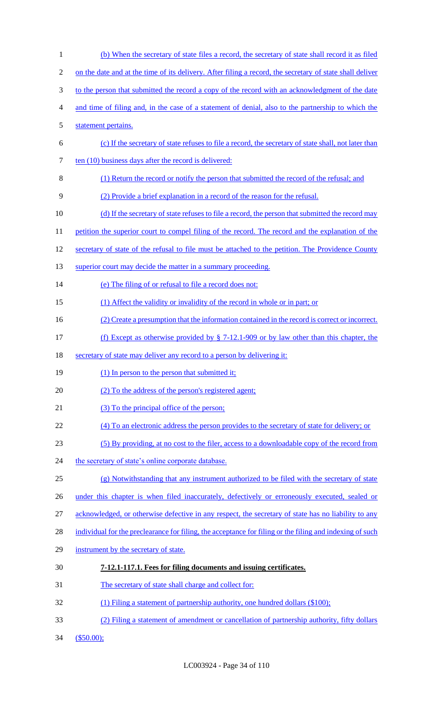| $\mathbf{1}$   | (b) When the secretary of state files a record, the secretary of state shall record it as filed             |
|----------------|-------------------------------------------------------------------------------------------------------------|
| $\mathfrak{2}$ | on the date and at the time of its delivery. After filing a record, the secretary of state shall deliver    |
| 3              | to the person that submitted the record a copy of the record with an acknowledgment of the date             |
| 4              | and time of filing and, in the case of a statement of denial, also to the partnership to which the          |
| 5              | statement pertains.                                                                                         |
| 6              | (c) If the secretary of state refuses to file a record, the secretary of state shall, not later than        |
| 7              | ten (10) business days after the record is delivered:                                                       |
| $8\,$          | (1) Return the record or notify the person that submitted the record of the refusal; and                    |
| 9              | (2) Provide a brief explanation in a record of the reason for the refusal.                                  |
| 10             | (d) If the secretary of state refuses to file a record, the person that submitted the record may            |
| 11             | petition the superior court to compel filing of the record. The record and the explanation of the           |
| 12             | secretary of state of the refusal to file must be attached to the petition. The Providence County           |
| 13             | superior court may decide the matter in a summary proceeding.                                               |
| 14             | (e) The filing of or refusal to file a record does not:                                                     |
| 15             | (1) Affect the validity or invalidity of the record in whole or in part; or                                 |
| 16             | (2) Create a presumption that the information contained in the record is correct or incorrect.              |
| 17             | (f) Except as otherwise provided by $\S$ 7-12.1-909 or by law other than this chapter, the                  |
| 18             | secretary of state may deliver any record to a person by delivering it:                                     |
| 19             | $(1)$ In person to the person that submitted it;                                                            |
| 20             | (2) To the address of the person's registered agent;                                                        |
| 21             | (3) To the principal office of the person;                                                                  |
| 22             | (4) To an electronic address the person provides to the secretary of state for delivery; or                 |
| 23             | (5) By providing, at no cost to the filer, access to a downloadable copy of the record from                 |
| 24             | the secretary of state's online corporate database.                                                         |
| 25             |                                                                                                             |
|                | (g) Notwithstanding that any instrument authorized to be filed with the secretary of state                  |
| 26             | under this chapter is when filed inaccurately, defectively or erroneously executed, sealed or               |
| 27             | <u>acknowledged</u> , or otherwise defective in any respect, the secretary of state has no liability to any |
| 28             | individual for the preclearance for filing, the acceptance for filing or the filing and indexing of such    |
| 29             | instrument by the secretary of state.                                                                       |
| 30             | 7-12.1-117.1. Fees for filing documents and issuing certificates.                                           |
| 31             | The secretary of state shall charge and collect for:                                                        |
| 32             | (1) Filing a statement of partnership authority, one hundred dollars (\$100);                               |
| 33             | (2) Filing a statement of amendment or cancellation of partnership authority, fifty dollars                 |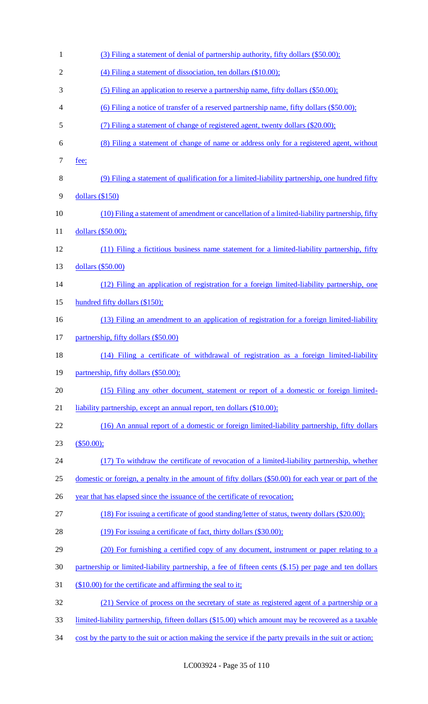| $\mathbf{1}$   | (3) Filing a statement of denial of partnership authority, fifty dollars (\$50.00);                     |
|----------------|---------------------------------------------------------------------------------------------------------|
| $\overline{2}$ | $(4)$ Filing a statement of dissociation, ten dollars $(\$10.00)$ ;                                     |
| 3              | (5) Filing an application to reserve a partnership name, fifty dollars (\$50.00);                       |
| 4              | (6) Filing a notice of transfer of a reserved partnership name, fifty dollars (\$50.00);                |
| 5              | (7) Filing a statement of change of registered agent, twenty dollars (\$20.00);                         |
| 6              | (8) Filing a statement of change of name or address only for a registered agent, without                |
| $\overline{7}$ | fee;                                                                                                    |
| 8              | (9) Filing a statement of qualification for a limited-liability partnership, one hundred fifty          |
| 9              | dollars $(\$150)$                                                                                       |
| 10             | (10) Filing a statement of amendment or cancellation of a limited-liability partnership, fifty          |
| 11             | dollars (\$50.00);                                                                                      |
| 12             | (11) Filing a fictitious business name statement for a limited-liability partnership, fifty             |
| 13             | dollars (\$50.00)                                                                                       |
| 14             | (12) Filing an application of registration for a foreign limited-liability partnership, one             |
| 15             | hundred fifty dollars (\$150);                                                                          |
| 16             | (13) Filing an amendment to an application of registration for a foreign limited-liability              |
| 17             | partnership, fifty dollars (\$50.00)                                                                    |
| 18             | (14) Filing a certificate of withdrawal of registration as a foreign limited-liability                  |
| 19             | partnership, fifty dollars (\$50.00);                                                                   |
| 20             | (15) Filing any other document, statement or report of a domestic or foreign limited-                   |
| 21             | liability partnership, except an annual report, ten dollars (\$10.00);                                  |
| 22             | (16) An annual report of a domestic or foreign limited-liability partnership, fifty dollars             |
| 23             | (\$50.00);                                                                                              |
| 24             | (17) To withdraw the certificate of revocation of a limited-liability partnership, whether              |
| 25             | domestic or foreign, a penalty in the amount of fifty dollars (\$50.00) for each year or part of the    |
| 26             | year that has elapsed since the issuance of the certificate of revocation;                              |
| 27             | (18) For issuing a certificate of good standing/letter of status, twenty dollars (\$20.00);             |
| 28             | (19) For issuing a certificate of fact, thirty dollars (\$30.00);                                       |
| 29             | (20) For furnishing a certified copy of any document, instrument or paper relating to a                 |
| 30             | partnership or limited-liability partnership, a fee of fifteen cents (\$.15) per page and ten dollars   |
| 31             | $($10.00)$ for the certificate and affirming the seal to it:                                            |
| 32             | (21) Service of process on the secretary of state as registered agent of a partnership or a             |
| 33             | limited-liability partnership, fifteen dollars (\$15.00) which amount may be recovered as a taxable     |
| 34             | cost by the party to the suit or action making the service if the party prevails in the suit or action; |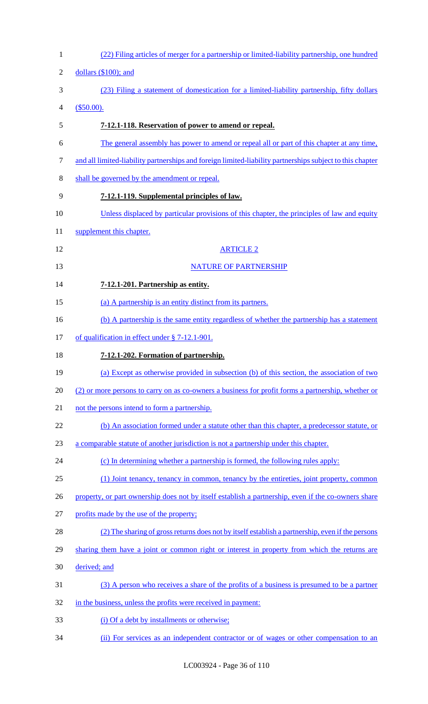| $\mathbf{1}$   | (22) Filing articles of merger for a partnership or limited-liability partnership, one hundred            |
|----------------|-----------------------------------------------------------------------------------------------------------|
| $\overline{2}$ | dollars (\$100); and                                                                                      |
| 3              | (23) Filing a statement of domestication for a limited-liability partnership, fifty dollars               |
| $\overline{4}$ | (\$50.00).                                                                                                |
| 5              | 7-12.1-118. Reservation of power to amend or repeal.                                                      |
| 6              | The general assembly has power to amend or repeal all or part of this chapter at any time,                |
| $\overline{7}$ | and all limited-liability partnerships and foreign limited-liability partnerships subject to this chapter |
| 8              | shall be governed by the amendment or repeal.                                                             |
| 9              | 7-12.1-119. Supplemental principles of law.                                                               |
| 10             | Unless displaced by particular provisions of this chapter, the principles of law and equity               |
| 11             | supplement this chapter.                                                                                  |
| 12             | <b>ARTICLE 2</b>                                                                                          |
| 13             | <b>NATURE OF PARTNERSHIP</b>                                                                              |
| 14             | 7-12.1-201. Partnership as entity.                                                                        |
| 15             | (a) A partnership is an entity distinct from its partners.                                                |
| 16             | (b) A partnership is the same entity regardless of whether the partnership has a statement                |
| 17             | of qualification in effect under § 7-12.1-901.                                                            |
| 18             | 7-12.1-202. Formation of partnership.                                                                     |
| 19             | (a) Except as otherwise provided in subsection (b) of this section, the association of two                |
| 20             | (2) or more persons to carry on as co-owners a business for profit forms a partnership, whether or        |
| 21             | not the persons intend to form a partnership.                                                             |
| 22             | (b) An association formed under a statute other than this chapter, a predecessor statute, or              |
| 23             | a comparable statute of another jurisdiction is not a partnership under this chapter.                     |
| 24             | (c) In determining whether a partnership is formed, the following rules apply:                            |
| 25             | (1) Joint tenancy, tenancy in common, tenancy by the entireties, joint property, common                   |
| 26             | property, or part ownership does not by itself establish a partnership, even if the co-owners share       |
| 27             | profits made by the use of the property;                                                                  |
| 28             | (2) The sharing of gross returns does not by itself establish a partnership, even if the persons          |
| 29             | sharing them have a joint or common right or interest in property from which the returns are              |
| 30             | derived; and                                                                                              |
| 31             | (3) A person who receives a share of the profits of a business is presumed to be a partner                |
| 32             | in the business, unless the profits were received in payment:                                             |
| 33             | (i) Of a debt by installments or otherwise;                                                               |
| 34             | (ii) For services as an independent contractor or of wages or other compensation to an                    |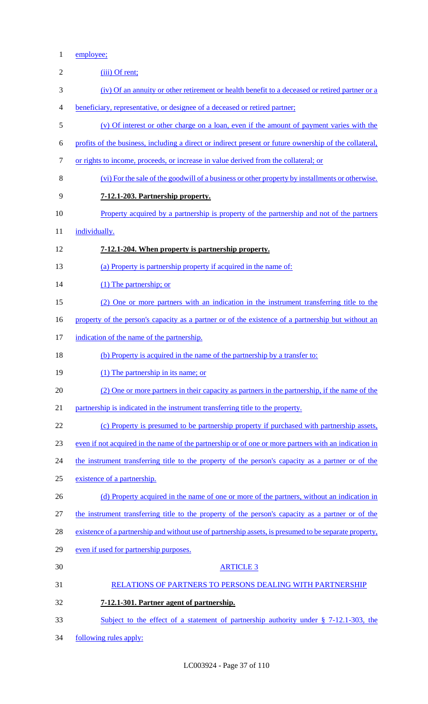1 employee;

| $\overline{2}$ | (iii) Of rent;                                                                                         |
|----------------|--------------------------------------------------------------------------------------------------------|
| 3              | (iv) Of an annuity or other retirement or health benefit to a deceased or retired partner or a         |
| 4              | beneficiary, representative, or designee of a deceased or retired partner;                             |
| 5              | (v) Of interest or other charge on a loan, even if the amount of payment varies with the               |
| 6              | profits of the business, including a direct or indirect present or future ownership of the collateral, |
| $\tau$         | or rights to income, proceeds, or increase in value derived from the collateral; or                    |
| 8              | (vi) For the sale of the goodwill of a business or other property by installments or otherwise.        |
| 9              | 7-12.1-203. Partnership property.                                                                      |
| 10             | <u>Property acquired by a partnership is property of the partnership and not of the partners</u>       |
| 11             | individually.                                                                                          |
| 12             | 7-12.1-204. When property is partnership property.                                                     |
| 13             | (a) Property is partnership property if acquired in the name of:                                       |
| 14             | (1) The partnership; or                                                                                |
| 15             | (2) One or more partners with an indication in the instrument transferring title to the                |
| 16             | property of the person's capacity as a partner or of the existence of a partnership but without an     |
| 17             | indication of the name of the partnership.                                                             |
| 18             | (b) Property is acquired in the name of the partnership by a transfer to:                              |
| 19             | (1) The partnership in its name; or                                                                    |
| 20             | (2) One or more partners in their capacity as partners in the partnership, if the name of the          |
| 21             | partnership is indicated in the instrument transferring title to the property.                         |
| 22             | (c) Property is presumed to be partnership property if purchased with partnership assets,              |
| 23             | even if not acquired in the name of the partnership or of one or more partners with an indication in   |
| 24             | the instrument transferring title to the property of the person's capacity as a partner or of the      |
| 25             | existence of a partnership.                                                                            |
| 26             | (d) Property acquired in the name of one or more of the partners, without an indication in             |
| 27             | the instrument transferring title to the property of the person's capacity as a partner or of the      |
| 28             | existence of a partnership and without use of partnership assets, is presumed to be separate property, |
| 29             | even if used for partnership purposes.                                                                 |
| 30             | <b>ARTICLE 3</b>                                                                                       |
| 31             | RELATIONS OF PARTNERS TO PERSONS DEALING WITH PARTNERSHIP                                              |
| 32             | 7-12.1-301. Partner agent of partnership.                                                              |
| 33             | <u>Subject to the effect of a statement of partnership authority under § 7-12.1-303, the</u>           |
| 34             | following rules apply:                                                                                 |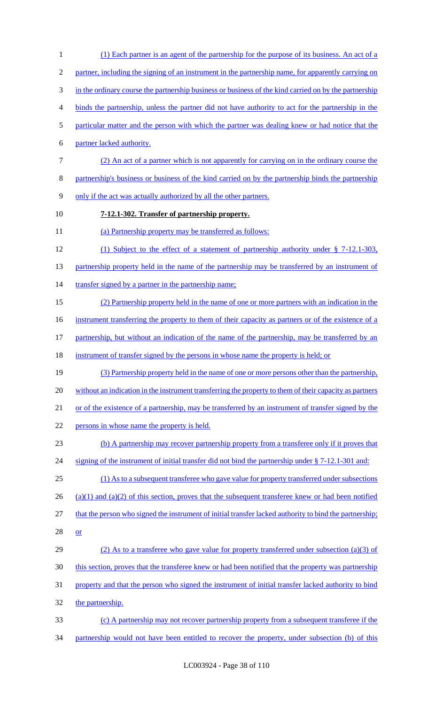(1) Each partner is an agent of the partnership for the purpose of its business. An act of a partner, including the signing of an instrument in the partnership name, for apparently carrying on 3 in the ordinary course the partnership business or business of the kind carried on by the partnership binds the partnership, unless the partner did not have authority to act for the partnership in the 5 particular matter and the person with which the partner was dealing knew or had notice that the partner lacked authority. (2) An act of a partner which is not apparently for carrying on in the ordinary course the partnership's business or business of the kind carried on by the partnership binds the partnership only if the act was actually authorized by all the other partners. **7-12.1-302. Transfer of partnership property.**  11 (a) Partnership property may be transferred as follows: (1) Subject to the effect of a statement of partnership authority under § 7-12.1-303, 13 partnership property held in the name of the partnership may be transferred by an instrument of 14 transfer signed by a partner in the partnership name; (2) Partnership property held in the name of one or more partners with an indication in the 16 instrument transferring the property to them of their capacity as partners or of the existence of a partnership, but without an indication of the name of the partnership, may be transferred by an 18 instrument of transfer signed by the persons in whose name the property is held; or (3) Partnership property held in the name of one or more persons other than the partnership, 20 without an indication in the instrument transferring the property to them of their capacity as partners or of the existence of a partnership, may be transferred by an instrument of transfer signed by the 22 persons in whose name the property is held. (b) A partnership may recover partnership property from a transferee only if it proves that 24 signing of the instrument of initial transfer did not bind the partnership under § 7-12.1-301 and: (1) As to a subsequent transferee who gave value for property transferred under subsections (a)(1) and (a)(2) of this section, proves that the subsequent transferee knew or had been notified that the person who signed the instrument of initial transfer lacked authority to bind the partnership; or (2) As to a transferee who gave value for property transferred under subsection (a)(3) of this section, proves that the transferee knew or had been notified that the property was partnership property and that the person who signed the instrument of initial transfer lacked authority to bind 32 the partnership. (c) A partnership may not recover partnership property from a subsequent transferee if the partnership would not have been entitled to recover the property, under subsection (b) of this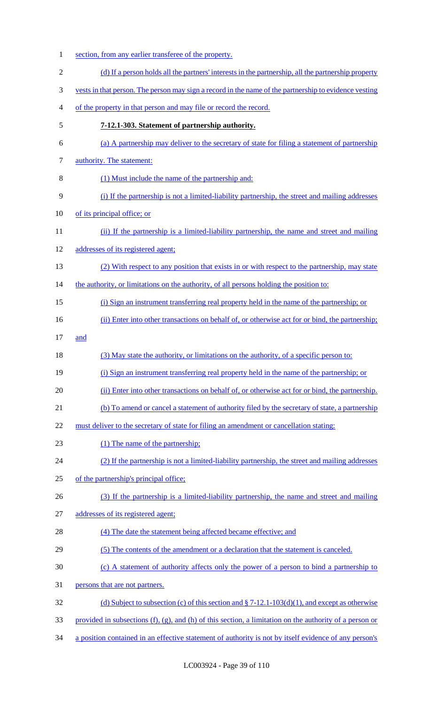section, from any earlier transferee of the property. 2 (d) If a person holds all the partners' interests in the partnership, all the partnership property vests in that person. The person may sign a record in the name of the partnership to evidence vesting of the property in that person and may file or record the record. **7-12.1-303. Statement of partnership authority.**  (a) A partnership may deliver to the secretary of state for filing a statement of partnership authority. The statement: (1) Must include the name of the partnership and: (i) If the partnership is not a limited-liability partnership, the street and mailing addresses of its principal office; or (ii) If the partnership is a limited-liability partnership, the name and street and mailing addresses of its registered agent; (2) With respect to any position that exists in or with respect to the partnership, may state 14 the authority, or limitations on the authority, of all persons holding the position to: (i) Sign an instrument transferring real property held in the name of the partnership; or 16 (ii) Enter into other transactions on behalf of, or otherwise act for or bind, the partnership; and (3) May state the authority, or limitations on the authority, of a specific person to: (i) Sign an instrument transferring real property held in the name of the partnership; or (ii) Enter into other transactions on behalf of, or otherwise act for or bind, the partnership. (b) To amend or cancel a statement of authority filed by the secretary of state, a partnership 22 must deliver to the secretary of state for filing an amendment or cancellation stating: 23 (1) The name of the partnership; (2) If the partnership is not a limited-liability partnership, the street and mailing addresses of the partnership's principal office; (3) If the partnership is a limited-liability partnership, the name and street and mailing addresses of its registered agent; 28 (4) The date the statement being affected became effective; and (5) The contents of the amendment or a declaration that the statement is canceled. (c) A statement of authority affects only the power of a person to bind a partnership to persons that are not partners. 32 (d) Subject to subsection (c) of this section and § 7-12.1-103(d)(1), and except as otherwise provided in subsections (f), (g), and (h) of this section, a limitation on the authority of a person or a position contained in an effective statement of authority is not by itself evidence of any person's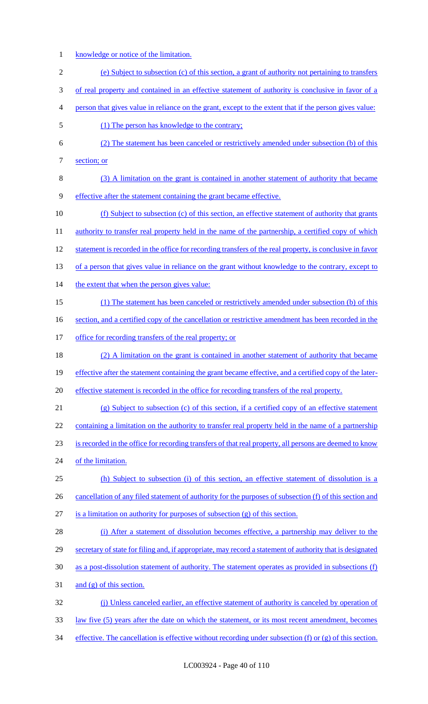1 knowledge or notice of the limitation.

| $\sqrt{2}$ | (e) Subject to subsection (c) of this section, a grant of authority not pertaining to transfers             |
|------------|-------------------------------------------------------------------------------------------------------------|
| 3          | of real property and contained in an effective statement of authority is conclusive in favor of a           |
| 4          | person that gives value in reliance on the grant, except to the extent that if the person gives value:      |
| 5          | (1) The person has knowledge to the contrary;                                                               |
| 6          | (2) The statement has been canceled or restrictively amended under subsection (b) of this                   |
| 7          | section; or                                                                                                 |
| $8\,$      | (3) A limitation on the grant is contained in another statement of authority that became                    |
| 9          | effective after the statement containing the grant became effective.                                        |
| 10         | (f) Subject to subsection (c) of this section, an effective statement of authority that grants              |
| 11         | authority to transfer real property held in the name of the partnership, a certified copy of which          |
| 12         | statement is recorded in the office for recording transfers of the real property, is conclusive in favor    |
| 13         | of a person that gives value in reliance on the grant without knowledge to the contrary, except to          |
| 14         | the extent that when the person gives value:                                                                |
| 15         | (1) The statement has been canceled or restrictively amended under subsection (b) of this                   |
| 16         | section, and a certified copy of the cancellation or restrictive amendment has been recorded in the         |
| 17         | office for recording transfers of the real property; or                                                     |
| 18         | (2) A limitation on the grant is contained in another statement of authority that became                    |
| 19         | effective after the statement containing the grant became effective, and a certified copy of the later-     |
| 20         | effective statement is recorded in the office for recording transfers of the real property.                 |
| 21         | $(g)$ Subject to subsection $(c)$ of this section, if a certified copy of an effective statement            |
| 22         | containing a limitation on the authority to transfer real property held in the name of a partnership        |
| 23         | is recorded in the office for recording transfers of that real property, all persons are deemed to know     |
| 24         | of the limitation.                                                                                          |
| 25         | (h) Subject to subsection (i) of this section, an effective statement of dissolution is a                   |
| 26         | cancellation of any filed statement of authority for the purposes of subsection (f) of this section and     |
| 27         | is a limitation on authority for purposes of subsection $(g)$ of this section.                              |
| 28         | (i) After a statement of dissolution becomes effective, a partnership may deliver to the                    |
| 29         | secretary of state for filing and, if appropriate, may record a statement of authority that is designated   |
| 30         | as a post-dissolution statement of authority. The statement operates as provided in subsections (f)         |
| 31         | and $(g)$ of this section.                                                                                  |
| 32         | (j) Unless canceled earlier, an effective statement of authority is canceled by operation of                |
| 33         | law five (5) years after the date on which the statement, or its most recent amendment, becomes             |
| 34         | effective. The cancellation is effective without recording under subsection $(f)$ or $(g)$ of this section. |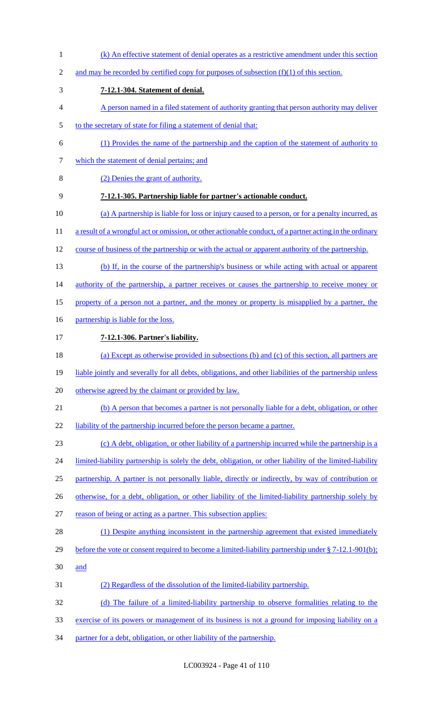1 (k) An effective statement of denial operates as a restrictive amendment under this section 2 and may be recorded by certified copy for purposes of subsection  $(f)(1)$  of this section. **7-12.1-304. Statement of denial.**  A person named in a filed statement of authority granting that person authority may deliver to the secretary of state for filing a statement of denial that: (1) Provides the name of the partnership and the caption of the statement of authority to which the statement of denial pertains; and (2) Denies the grant of authority. **7-12.1-305. Partnership liable for partner's actionable conduct.**  (a) A partnership is liable for loss or injury caused to a person, or for a penalty incurred, as 11 a result of a wrongful act or omission, or other actionable conduct, of a partner acting in the ordinary course of business of the partnership or with the actual or apparent authority of the partnership. (b) If, in the course of the partnership's business or while acting with actual or apparent 14 authority of the partnership, a partner receives or causes the partnership to receive money or property of a person not a partner, and the money or property is misapplied by a partner, the 16 partnership is liable for the loss. **7-12.1-306. Partner's liability.**  (a) Except as otherwise provided in subsections (b) and (c) of this section, all partners are liable jointly and severally for all debts, obligations, and other liabilities of the partnership unless 20 otherwise agreed by the claimant or provided by law. (b) A person that becomes a partner is not personally liable for a debt, obligation, or other 22 liability of the partnership incurred before the person became a partner. (c) A debt, obligation, or other liability of a partnership incurred while the partnership is a 24 limited-liability partnership is solely the debt, obligation, or other liability of the limited-liability partnership. A partner is not personally liable, directly or indirectly, by way of contribution or 26 otherwise, for a debt, obligation, or other liability of the limited-liability partnership solely by reason of being or acting as a partner. This subsection applies: 28 (1) Despite anything inconsistent in the partnership agreement that existed immediately 29 before the vote or consent required to become a limited-liability partnership under § 7-12.1-901(b); and (2) Regardless of the dissolution of the limited-liability partnership. (d) The failure of a limited-liability partnership to observe formalities relating to the exercise of its powers or management of its business is not a ground for imposing liability on a 34 partner for a debt, obligation, or other liability of the partnership.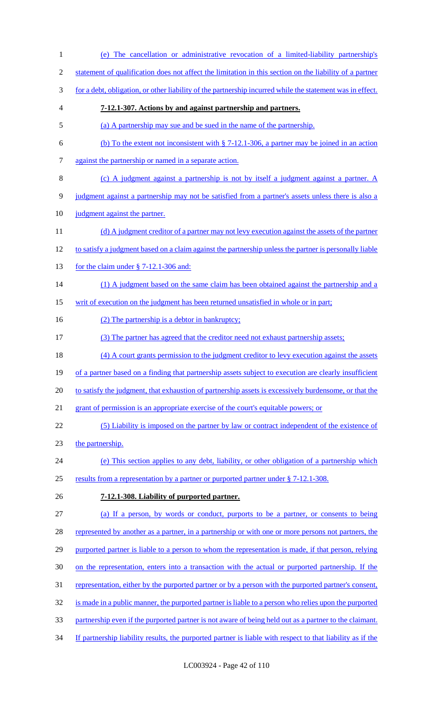(e) The cancellation or administrative revocation of a limited-liability partnership's statement of qualification does not affect the limitation in this section on the liability of a partner for a debt, obligation, or other liability of the partnership incurred while the statement was in effect. **7-12.1-307. Actions by and against partnership and partners.**  (a) A partnership may sue and be sued in the name of the partnership. (b) To the extent not inconsistent with § 7-12.1-306, a partner may be joined in an action against the partnership or named in a separate action. (c) A judgment against a partnership is not by itself a judgment against a partner. A judgment against a partnership may not be satisfied from a partner's assets unless there is also a 10 judgment against the partner. 11 (d) A judgment creditor of a partner may not levy execution against the assets of the partner to satisfy a judgment based on a claim against the partnership unless the partner is personally liable 13 for the claim under § 7-12.1-306 and: 14 (1) A judgment based on the same claim has been obtained against the partnership and a 15 writ of execution on the judgment has been returned unsatisfied in whole or in part; 16 (2) The partnership is a debtor in bankruptcy; (3) The partner has agreed that the creditor need not exhaust partnership assets; (4) A court grants permission to the judgment creditor to levy execution against the assets of a partner based on a finding that partnership assets subject to execution are clearly insufficient 20 to satisfy the judgment, that exhaustion of partnership assets is excessively burdensome, or that the grant of permission is an appropriate exercise of the court's equitable powers; or (5) Liability is imposed on the partner by law or contract independent of the existence of the partnership. (e) This section applies to any debt, liability, or other obligation of a partnership which 25 results from a representation by a partner or purported partner under § 7-12.1-308. **7-12.1-308. Liability of purported partner.**  (a) If a person, by words or conduct, purports to be a partner, or consents to being 28 represented by another as a partner, in a partnership or with one or more persons not partners, the 29 purported partner is liable to a person to whom the representation is made, if that person, relying on the representation, enters into a transaction with the actual or purported partnership. If the 31 representation, either by the purported partner or by a person with the purported partner's consent, 32 is made in a public manner, the purported partner is liable to a person who relies upon the purported partnership even if the purported partner is not aware of being held out as a partner to the claimant. If partnership liability results, the purported partner is liable with respect to that liability as if the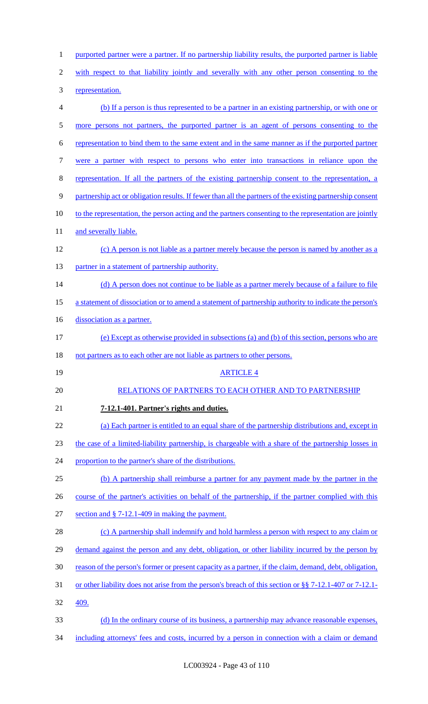| 1  | purported partner were a partner. If no partnership liability results, the purported partner is liable    |
|----|-----------------------------------------------------------------------------------------------------------|
| 2  | with respect to that liability jointly and severally with any other person consenting to the              |
| 3  | representation.                                                                                           |
| 4  | (b) If a person is thus represented to be a partner in an existing partnership, or with one or            |
| 5  | more persons not partners, the purported partner is an agent of persons consenting to the                 |
| 6  | representation to bind them to the same extent and in the same manner as if the purported partner         |
| 7  | were a partner with respect to persons who enter into transactions in reliance upon the                   |
| 8  | representation. If all the partners of the existing partnership consent to the representation, a          |
| 9  | partnership act or obligation results. If fewer than all the partners of the existing partnership consent |
| 10 | to the representation, the person acting and the partners consenting to the representation are jointly    |
| 11 | and severally liable.                                                                                     |
| 12 | (c) A person is not liable as a partner merely because the person is named by another as a                |
| 13 | partner in a statement of partnership authority.                                                          |
| 14 | (d) A person does not continue to be liable as a partner merely because of a failure to file              |
| 15 | a statement of dissociation or to amend a statement of partnership authority to indicate the person's     |
| 16 | dissociation as a partner.                                                                                |
| 17 | (e) Except as otherwise provided in subsections (a) and (b) of this section, persons who are              |
|    |                                                                                                           |
| 18 | not partners as to each other are not liable as partners to other persons.                                |
| 19 | <b>ARTICLE 4</b>                                                                                          |
| 20 | RELATIONS OF PARTNERS TO EACH OTHER AND TO PARTNERSHIP                                                    |
| 21 | 7-12.1-401. Partner's rights and duties.                                                                  |
| 22 | (a) Each partner is entitled to an equal share of the partnership distributions and, except in            |
| 23 | the case of a limited-liability partnership, is chargeable with a share of the partnership losses in      |
| 24 | proportion to the partner's share of the distributions.                                                   |
| 25 | (b) A partnership shall reimburse a partner for any payment made by the partner in the                    |
| 26 | course of the partner's activities on behalf of the partnership, if the partner complied with this        |
| 27 | section and $\S$ 7-12.1-409 in making the payment.                                                        |
| 28 | (c) A partnership shall indemnify and hold harmless a person with respect to any claim or                 |
| 29 | demand against the person and any debt, obligation, or other liability incurred by the person by          |
| 30 | reason of the person's former or present capacity as a partner, if the claim, demand, debt, obligation,   |
| 31 | or other liability does not arise from the person's breach of this section or $\S$ 7-12.1-407 or 7-12.1-  |
| 32 | 409.                                                                                                      |
| 33 | (d) In the ordinary course of its business, a partnership may advance reasonable expenses,                |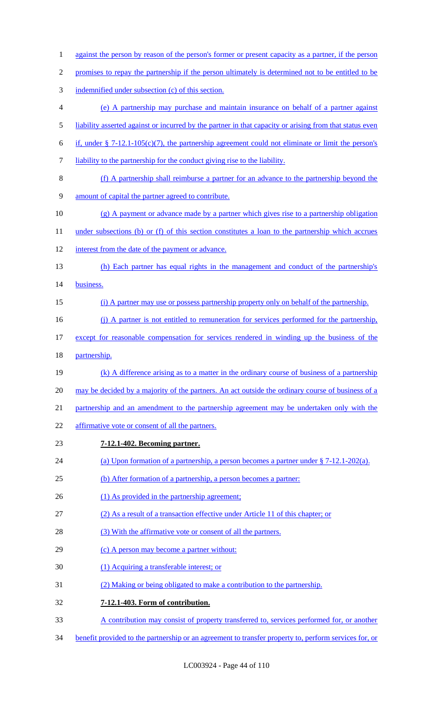1 against the person by reason of the person's former or present capacity as a partner, if the person promises to repay the partnership if the person ultimately is determined not to be entitled to be indemnified under subsection (c) of this section. (e) A partnership may purchase and maintain insurance on behalf of a partner against 5 liability asserted against or incurred by the partner in that capacity or arising from that status even if, under § 7-12.1-105(c)(7), the partnership agreement could not eliminate or limit the person's liability to the partnership for the conduct giving rise to the liability. (f) A partnership shall reimburse a partner for an advance to the partnership beyond the amount of capital the partner agreed to contribute. 10 (g) A payment or advance made by a partner which gives rise to a partnership obligation 11 under subsections (b) or (f) of this section constitutes a loan to the partnership which accrues interest from the date of the payment or advance. (h) Each partner has equal rights in the management and conduct of the partnership's business. (i) A partner may use or possess partnership property only on behalf of the partnership. 16 (j) A partner is not entitled to remuneration for services performed for the partnership, except for reasonable compensation for services rendered in winding up the business of the 18 partnership. (k) A difference arising as to a matter in the ordinary course of business of a partnership 20 may be decided by a majority of the partners. An act outside the ordinary course of business of a partnership and an amendment to the partnership agreement may be undertaken only with the 22 affirmative vote or consent of all the partners. **7-12.1-402. Becoming partner.**  (a) Upon formation of a partnership, a person becomes a partner under § 7-12.1-202(a). (b) After formation of a partnership, a person becomes a partner: 26 (1) As provided in the partnership agreement; (2) As a result of a transaction effective under Article 11 of this chapter; or 28 (3) With the affirmative vote or consent of all the partners. (c) A person may become a partner without: (1) Acquiring a transferable interest; or (2) Making or being obligated to make a contribution to the partnership. **7-12.1-403. Form of contribution.**  A contribution may consist of property transferred to, services performed for, or another 34 benefit provided to the partnership or an agreement to transfer property to, perform services for, or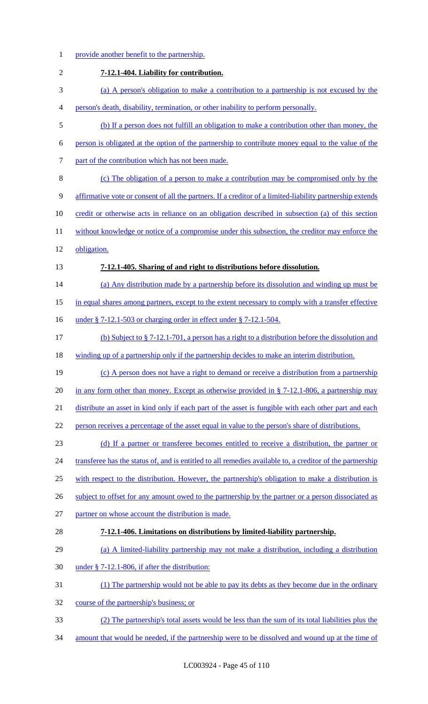1 provide another benefit to the partnership. **7-12.1-404. Liability for contribution.**  (a) A person's obligation to make a contribution to a partnership is not excused by the person's death, disability, termination, or other inability to perform personally. (b) If a person does not fulfill an obligation to make a contribution other than money, the person is obligated at the option of the partnership to contribute money equal to the value of the 7 part of the contribution which has not been made. (c) The obligation of a person to make a contribution may be compromised only by the affirmative vote or consent of all the partners. If a creditor of a limited-liability partnership extends credit or otherwise acts in reliance on an obligation described in subsection (a) of this section 11 without knowledge or notice of a compromise under this subsection, the creditor may enforce the obligation. **7-12.1-405. Sharing of and right to distributions before dissolution.**  14 (a) Any distribution made by a partnership before its dissolution and winding up must be in equal shares among partners, except to the extent necessary to comply with a transfer effective under § 7-12.1-503 or charging order in effect under § 7-12.1-504. (b) Subject to § 7-12.1-701, a person has a right to a distribution before the dissolution and winding up of a partnership only if the partnership decides to make an interim distribution. (c) A person does not have a right to demand or receive a distribution from a partnership 20 in any form other than money. Except as otherwise provided in § 7-12.1-806, a partnership may distribute an asset in kind only if each part of the asset is fungible with each other part and each person receives a percentage of the asset equal in value to the person's share of distributions. (d) If a partner or transferee becomes entitled to receive a distribution, the partner or 24 transferee has the status of, and is entitled to all remedies available to, a creditor of the partnership with respect to the distribution. However, the partnership's obligation to make a distribution is 26 subject to offset for any amount owed to the partnership by the partner or a person dissociated as partner on whose account the distribution is made. **7-12.1-406. Limitations on distributions by limited-liability partnership.**  (a) A limited-liability partnership may not make a distribution, including a distribution under § 7-12.1-806, if after the distribution: (1) The partnership would not be able to pay its debts as they become due in the ordinary course of the partnership's business; or (2) The partnership's total assets would be less than the sum of its total liabilities plus the 34 amount that would be needed, if the partnership were to be dissolved and wound up at the time of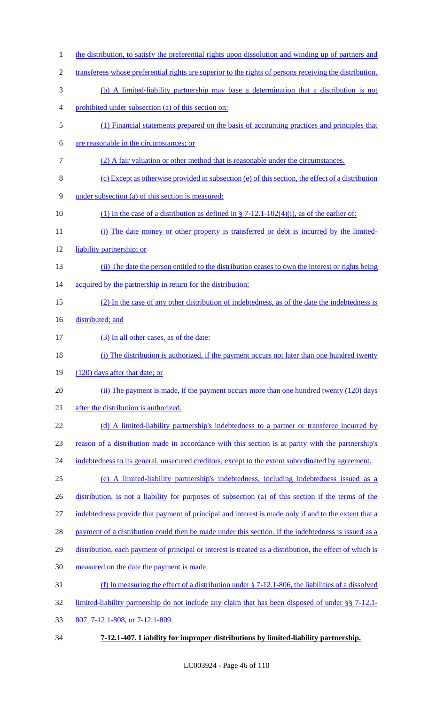| $\mathbf{1}$   | the distribution, to satisfy the preferential rights upon dissolution and winding up of partners and     |
|----------------|----------------------------------------------------------------------------------------------------------|
| $\sqrt{2}$     | transferees whose preferential rights are superior to the rights of persons receiving the distribution.  |
| 3              | (b) A limited-liability partnership may base a determination that a distribution is not                  |
| $\overline{4}$ | prohibited under subsection (a) of this section on:                                                      |
| 5              | (1) Financial statements prepared on the basis of accounting practices and principles that               |
| 6              | are reasonable in the circumstances; or                                                                  |
| $\tau$         | (2) A fair valuation or other method that is reasonable under the circumstances.                         |
| 8              | (c) Except as otherwise provided in subsection (e) of this section, the effect of a distribution         |
| 9              | under subsection (a) of this section is measured:                                                        |
| 10             | (1) In the case of a distribution as defined in § 7-12.1-102(4)(i), as of the earlier of:                |
| 11             | (i) The date money or other property is transferred or debt is incurred by the limited-                  |
| 12             | liability partnership; or                                                                                |
| 13             | (ii) The date the person entitled to the distribution ceases to own the interest or rights being         |
| 14             | acquired by the partnership in return for the distribution;                                              |
| 15             | (2) In the case of any other distribution of indebtedness, as of the date the indebtedness is            |
| 16             | distributed; and                                                                                         |
| 17             | (3) In all other cases, as of the date:                                                                  |
| 18             | (i) The distribution is authorized, if the payment occurs not later than one hundred twenty              |
| 19             | (120) days after that date; or                                                                           |
| 20             | (ii) The payment is made, if the payment occurs more than one hundred twenty (120) days                  |
| 21             | after the distribution is authorized.                                                                    |
| 22             | (d) A limited-liability partnership's indebtedness to a partner or transferee incurred by                |
| 23             | reason of a distribution made in accordance with this section is at parity with the partnership's        |
| 24             | indebtedness to its general, unsecured creditors, except to the extent subordinated by agreement.        |
| 25             | (e) A limited-liability partnership's indebtedness, including indebtedness issued as a                   |
| 26             | distribution, is not a liability for purposes of subsection (a) of this section if the terms of the      |
| 27             | indebtedness provide that payment of principal and interest is made only if and to the extent that a     |
| 28             | payment of a distribution could then be made under this section. If the indebtedness is issued as a      |
| 29             | distribution, each payment of principal or interest is treated as a distribution, the effect of which is |
| 30             | measured on the date the payment is made.                                                                |
| 31             | (f) In measuring the effect of a distribution under $\S$ 7-12.1-806, the liabilities of a dissolved      |
| 32             | limited-liability partnership do not include any claim that has been disposed of under $\S$ § 7-12.1-    |
| 33             | 807, 7-12.1-808, or 7-12.1-809.                                                                          |
| 34             | 7-12.1-407. Liability for improper distributions by limited-liability partnership.                       |

LC003924 - Page 46 of 110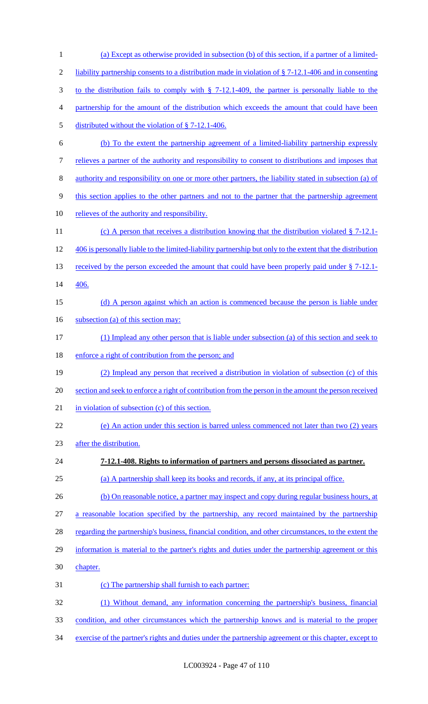| $\mathbf{1}$   | (a) Except as otherwise provided in subsection (b) of this section, if a partner of a limited-             |
|----------------|------------------------------------------------------------------------------------------------------------|
| $\overline{2}$ | liability partnership consents to a distribution made in violation of $\S$ 7-12.1-406 and in consenting    |
| 3              | to the distribution fails to comply with $\S$ 7-12.1-409, the partner is personally liable to the          |
| $\overline{4}$ | partnership for the amount of the distribution which exceeds the amount that could have been               |
| $\mathfrak{S}$ | distributed without the violation of $\S$ 7-12.1-406.                                                      |
| 6              | (b) To the extent the partnership agreement of a limited-liability partnership expressly                   |
| $\tau$         | relieves a partner of the authority and responsibility to consent to distributions and imposes that        |
| $8\,$          | authority and responsibility on one or more other partners, the liability stated in subsection (a) of      |
| 9              | this section applies to the other partners and not to the partner that the partnership agreement           |
| 10             | relieves of the authority and responsibility.                                                              |
| 11             | (c) A person that receives a distribution knowing that the distribution violated $\S$ 7-12.1-              |
| 12             | 406 is personally liable to the limited-liability partnership but only to the extent that the distribution |
| 13             | <u>received by the person exceeded the amount that could have been properly paid under § 7-12.1-</u>       |
| 14             | 406.                                                                                                       |
| 15             | (d) A person against which an action is commenced because the person is liable under                       |
| 16             | subsection (a) of this section may:                                                                        |
| 17             | (1) Implead any other person that is liable under subsection (a) of this section and seek to               |
| 18             | enforce a right of contribution from the person; and                                                       |
| 19             | (2) Implead any person that received a distribution in violation of subsection (c) of this                 |
| 20             | section and seek to enforce a right of contribution from the person in the amount the person received      |
| 21             | in violation of subsection (c) of this section.                                                            |
| 22             | (e) An action under this section is barred unless commenced not later than two (2) years                   |
| 23             | after the distribution.                                                                                    |
| 24             | 7-12.1-408. Rights to information of partners and persons dissociated as partner.                          |
| 25             | (a) A partnership shall keep its books and records, if any, at its principal office.                       |
| 26             | (b) On reasonable notice, a partner may inspect and copy during regular business hours, at                 |
| 27             | a reasonable location specified by the partnership, any record maintained by the partnership               |
| 28             | regarding the partnership's business, financial condition, and other circumstances, to the extent the      |
| 29             | information is material to the partner's rights and duties under the partnership agreement or this         |
| 30             | chapter.                                                                                                   |
| 31             | (c) The partnership shall furnish to each partner:                                                         |
| 32             | (1) Without demand, any information concerning the partnership's business, financial                       |
| 33             | condition, and other circumstances which the partnership knows and is material to the proper               |
| 34             | exercise of the partner's rights and duties under the partnership agreement or this chapter, except to     |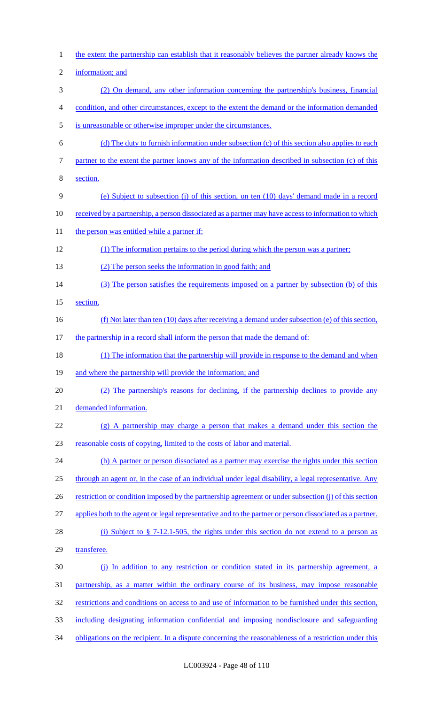| $\mathbf{1}$   | the extent the partnership can establish that it reasonably believes the partner already knows the       |
|----------------|----------------------------------------------------------------------------------------------------------|
| $\overline{2}$ | information; and                                                                                         |
| 3              | (2) On demand, any other information concerning the partnership's business, financial                    |
| 4              | condition, and other circumstances, except to the extent the demand or the information demanded          |
| 5              | is unreasonable or otherwise improper under the circumstances.                                           |
| 6              | (d) The duty to furnish information under subsection (c) of this section also applies to each            |
| 7              | partner to the extent the partner knows any of the information described in subsection (c) of this       |
| 8              | section.                                                                                                 |
| 9              | (e) Subject to subsection (j) of this section, on ten (10) days' demand made in a record                 |
| 10             | received by a partnership, a person dissociated as a partner may have access to information to which     |
| 11             | the person was entitled while a partner if:                                                              |
| 12             | (1) The information pertains to the period during which the person was a partner;                        |
| 13             | (2) The person seeks the information in good faith; and                                                  |
| 14             | (3) The person satisfies the requirements imposed on a partner by subsection (b) of this                 |
| 15             | section.                                                                                                 |
| 16             | (f) Not later than ten (10) days after receiving a demand under subsection (e) of this section,          |
| 17             | the partnership in a record shall inform the person that made the demand of:                             |
| 18             | (1) The information that the partnership will provide in response to the demand and when                 |
| 19             | and where the partnership will provide the information; and                                              |
| 20             | (2) The partnership's reasons for declining, if the partnership declines to provide any                  |
| 21             | demanded information.                                                                                    |
| 22             | $(g)$ A partnership may charge a person that makes a demand under this section the                       |
| 23             | reasonable costs of copying, limited to the costs of labor and material.                                 |
| 24             | (h) A partner or person dissociated as a partner may exercise the rights under this section              |
| 25             | through an agent or, in the case of an individual under legal disability, a legal representative. Any    |
| 26             | restriction or condition imposed by the partnership agreement or under subsection (j) of this section    |
| 27             | applies both to the agent or legal representative and to the partner or person dissociated as a partner. |
| 28             | (i) Subject to $\S$ 7-12.1-505, the rights under this section do not extend to a person as               |
| 29             | transferee.                                                                                              |
| 30             | (j) In addition to any restriction or condition stated in its partnership agreement, a                   |
| 31             | partnership, as a matter within the ordinary course of its business, may impose reasonable               |
| 32             | restrictions and conditions on access to and use of information to be furnished under this section,      |
| 33             | including designating information confidential and imposing nondisclosure and safeguarding               |
| 34             | obligations on the recipient. In a dispute concerning the reasonableness of a restriction under this     |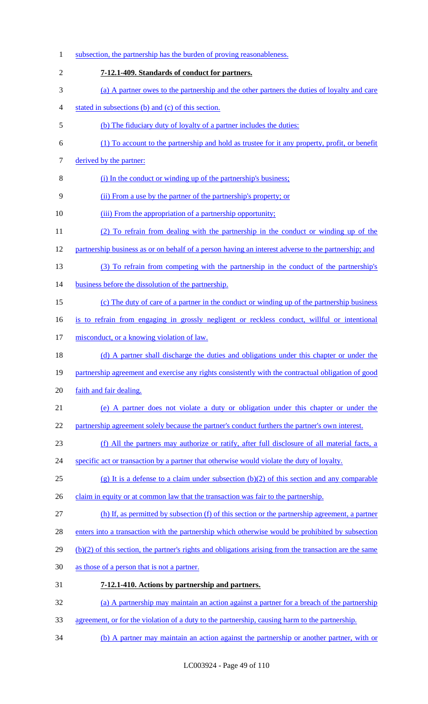| $\mathbf{1}$   | subsection, the partnership has the burden of proving reasonableness.                                  |
|----------------|--------------------------------------------------------------------------------------------------------|
| $\overline{2}$ | 7-12.1-409. Standards of conduct for partners.                                                         |
| 3              | (a) A partner owes to the partnership and the other partners the duties of loyalty and care            |
| 4              | stated in subsections (b) and (c) of this section.                                                     |
| 5              | (b) The fiduciary duty of loyalty of a partner includes the duties:                                    |
| 6              | (1) To account to the partnership and hold as trustee for it any property, profit, or benefit          |
| 7              | derived by the partner:                                                                                |
| 8              | (i) In the conduct or winding up of the partnership's business;                                        |
| 9              | (ii) From a use by the partner of the partnership's property; or                                       |
| 10             | (iii) From the appropriation of a partnership opportunity;                                             |
| 11             | (2) To refrain from dealing with the partnership in the conduct or winding up of the                   |
| 12             | partnership business as or on behalf of a person having an interest adverse to the partnership; and    |
| 13             | (3) To refrain from competing with the partnership in the conduct of the partnership's                 |
| 14             | business before the dissolution of the partnership.                                                    |
| 15             | (c) The duty of care of a partner in the conduct or winding up of the partnership business             |
| 16             | is to refrain from engaging in grossly negligent or reckless conduct, willful or intentional           |
| 17             | misconduct, or a knowing violation of law.                                                             |
| 18             | (d) A partner shall discharge the duties and obligations under this chapter or under the               |
| 19             | partnership agreement and exercise any rights consistently with the contractual obligation of good     |
| 20             | faith and fair dealing.                                                                                |
| 21             | (e) A partner does not violate a duty or obligation under this chapter or under the                    |
| 22             | partnership agreement solely because the partner's conduct furthers the partner's own interest.        |
| 23             | (f) All the partners may authorize or ratify, after full disclosure of all material facts, a           |
| 24             | specific act or transaction by a partner that otherwise would violate the duty of loyalty.             |
| 25             | (g) It is a defense to a claim under subsection (b)(2) of this section and any comparable              |
| 26             | claim in equity or at common law that the transaction was fair to the partnership.                     |
| 27             | (h) If, as permitted by subsection (f) of this section or the partnership agreement, a partner         |
| 28             | enters into a transaction with the partnership which otherwise would be prohibited by subsection       |
| 29             | (b)(2) of this section, the partner's rights and obligations arising from the transaction are the same |
| 30             | as those of a person that is not a partner.                                                            |
| 31             | 7-12.1-410. Actions by partnership and partners.                                                       |
| 32             | (a) A partnership may maintain an action against a partner for a breach of the partnership             |
| 33             | agreement, or for the violation of a duty to the partnership, causing harm to the partnership.         |
| 34             | (b) A partner may maintain an action against the partnership or another partner, with or               |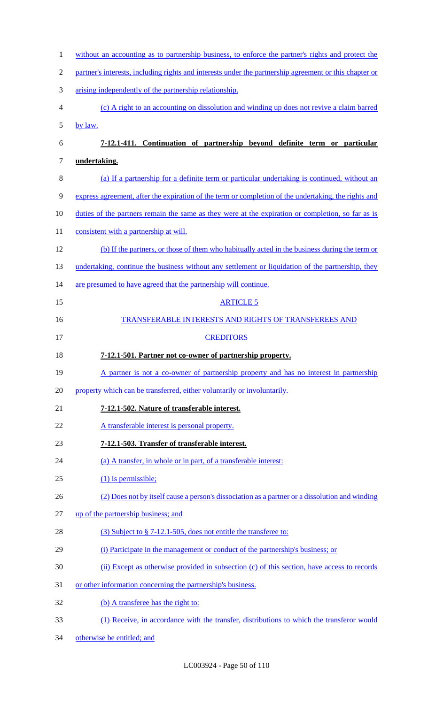| $\mathbf{1}$   | without an accounting as to partnership business, to enforce the partner's rights and protect the      |
|----------------|--------------------------------------------------------------------------------------------------------|
| $\mathfrak{2}$ | partner's interests, including rights and interests under the partnership agreement or this chapter or |
| 3              | arising independently of the partnership relationship.                                                 |
| 4              | (c) A right to an accounting on dissolution and winding up does not revive a claim barred              |
| 5              | by law.                                                                                                |
| 6              | 7-12.1-411. Continuation of partnership beyond definite term or particular                             |
| 7              | undertaking.                                                                                           |
| 8              | (a) If a partnership for a definite term or particular undertaking is continued, without an            |
| 9              | express agreement, after the expiration of the term or completion of the undertaking, the rights and   |
| 10             | duties of the partners remain the same as they were at the expiration or completion, so far as is      |
| 11             | consistent with a partnership at will.                                                                 |
| 12             | (b) If the partners, or those of them who habitually acted in the business during the term or          |
| 13             | undertaking, continue the business without any settlement or liquidation of the partnership, they      |
| 14             | are presumed to have agreed that the partnership will continue.                                        |
| 15             | <b>ARTICLE 5</b>                                                                                       |
| 16             | TRANSFERABLE INTERESTS AND RIGHTS OF TRANSFEREES AND                                                   |
| 17             | <b>CREDITORS</b>                                                                                       |
| 18             | 7-12.1-501. Partner not co-owner of partnership property.                                              |
| 19             | A partner is not a co-owner of partnership property and has no interest in partnership                 |
| 20             | property which can be transferred, either voluntarily or involuntarily.                                |
| 21             | 7-12.1-502. Nature of transferable interest.                                                           |
| 22             | A transferable interest is personal property.                                                          |
| 23             | 7-12.1-503. Transfer of transferable interest.                                                         |
| 24             | (a) A transfer, in whole or in part, of a transferable interest:                                       |
| 25             | (1) Is permissible;                                                                                    |
| 26             | (2) Does not by itself cause a person's dissociation as a partner or a dissolution and winding         |
| 27             | up of the partnership business; and                                                                    |
| 28             | $(3)$ Subject to § 7-12.1-505, does not entitle the transferee to:                                     |
| 29             | (i) Participate in the management or conduct of the partnership's business; or                         |
| 30             | (ii) Except as otherwise provided in subsection (c) of this section, have access to records            |
| 31             | or other information concerning the partnership's business.                                            |
|                |                                                                                                        |
| 32             | (b) A transferee has the right to:                                                                     |
| 33             | (1) Receive, in accordance with the transfer, distributions to which the transferor would              |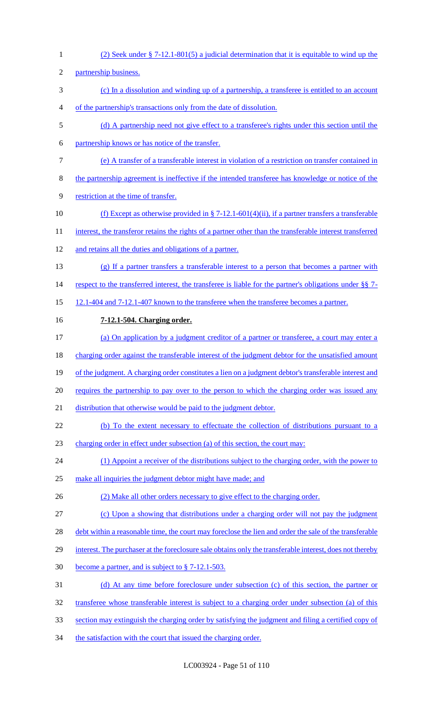(2) Seek under § 7-12.1-801(5) a judicial determination that it is equitable to wind up the partnership business. (c) In a dissolution and winding up of a partnership, a transferee is entitled to an account of the partnership's transactions only from the date of dissolution. (d) A partnership need not give effect to a transferee's rights under this section until the partnership knows or has notice of the transfer. (e) A transfer of a transferable interest in violation of a restriction on transfer contained in the partnership agreement is ineffective if the intended transferee has knowledge or notice of the restriction at the time of transfer. (f) Except as otherwise provided in § 7-12.1-601(4)(ii), if a partner transfers a transferable 11 interest, the transferor retains the rights of a partner other than the transferable interest transferred and retains all the duties and obligations of a partner. (g) If a partner transfers a transferable interest to a person that becomes a partner with 14 respect to the transferred interest, the transferee is liable for the partner's obligations under §§ 7- 12.1-404 and 7-12.1-407 known to the transferee when the transferee becomes a partner. **7-12.1-504. Charging order.**  (a) On application by a judgment creditor of a partner or transferee, a court may enter a 18 charging order against the transferable interest of the judgment debtor for the unsatisfied amount 19 of the judgment. A charging order constitutes a lien on a judgment debtor's transferable interest and 20 requires the partnership to pay over to the person to which the charging order was issued any distribution that otherwise would be paid to the judgment debtor. (b) To the extent necessary to effectuate the collection of distributions pursuant to a charging order in effect under subsection (a) of this section, the court may: (1) Appoint a receiver of the distributions subject to the charging order, with the power to make all inquiries the judgment debtor might have made; and (2) Make all other orders necessary to give effect to the charging order. (c) Upon a showing that distributions under a charging order will not pay the judgment debt within a reasonable time, the court may foreclose the lien and order the sale of the transferable interest. The purchaser at the foreclosure sale obtains only the transferable interest, does not thereby become a partner, and is subject to § 7-12.1-503. (d) At any time before foreclosure under subsection (c) of this section, the partner or transferee whose transferable interest is subject to a charging order under subsection (a) of this section may extinguish the charging order by satisfying the judgment and filing a certified copy of 34 the satisfaction with the court that issued the charging order.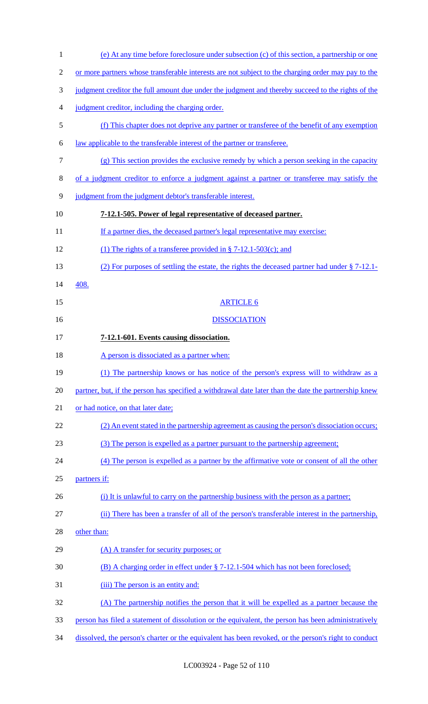| $\mathbf{1}$   | (e) At any time before foreclosure under subsection (c) of this section, a partnership or one        |
|----------------|------------------------------------------------------------------------------------------------------|
| $\mathfrak{2}$ | or more partners whose transferable interests are not subject to the charging order may pay to the   |
| 3              | judgment creditor the full amount due under the judgment and thereby succeed to the rights of the    |
| $\overline{4}$ | judgment creditor, including the charging order.                                                     |
| 5              | (f) This chapter does not deprive any partner or transferee of the benefit of any exemption          |
| 6              | law applicable to the transferable interest of the partner or transferee.                            |
| $\overline{7}$ | (g) This section provides the exclusive remedy by which a person seeking in the capacity             |
| 8              | of a judgment creditor to enforce a judgment against a partner or transferee may satisfy the         |
| 9              | judgment from the judgment debtor's transferable interest.                                           |
| 10             | 7-12.1-505. Power of legal representative of deceased partner.                                       |
| 11             | If a partner dies, the deceased partner's legal representative may exercise:                         |
| 12             | (1) The rights of a transferee provided in $\S$ 7-12.1-503(c); and                                   |
| 13             | (2) For purposes of settling the estate, the rights the deceased partner had under $\S$ 7-12.1-      |
| 14             | 408.                                                                                                 |
| 15             | <b>ARTICLE 6</b>                                                                                     |
| 16             | <b>DISSOCIATION</b>                                                                                  |
| 17             | 7-12.1-601. Events causing dissociation.                                                             |
| 18             | A person is dissociated as a partner when:                                                           |
| 19             | (1) The partnership knows or has notice of the person's express will to withdraw as a                |
| 20             | partner, but, if the person has specified a withdrawal date later than the date the partnership knew |
| 21             | or had notice, on that later date;                                                                   |
| 22             | (2) An event stated in the partnership agreement as causing the person's dissociation occurs;        |
| 23             | (3) The person is expelled as a partner pursuant to the partnership agreement;                       |
| 24             | (4) The person is expelled as a partner by the affirmative vote or consent of all the other          |
| 25             | partners if:                                                                                         |
| 26             | (i) It is unlawful to carry on the partnership business with the person as a partner;                |
| 27             | (ii) There has been a transfer of all of the person's transferable interest in the partnership,      |
| 28             | other than:                                                                                          |
| 29             | (A) A transfer for security purposes; or                                                             |
| 30             | (B) A charging order in effect under § 7-12.1-504 which has not been foreclosed;                     |
| 31             | (iii) The person is an entity and:                                                                   |
| 32             | (A) The partnership notifies the person that it will be expelled as a partner because the            |
| 33             | person has filed a statement of dissolution or the equivalent, the person has been administratively  |
| 34             | dissolved, the person's charter or the equivalent has been revoked, or the person's right to conduct |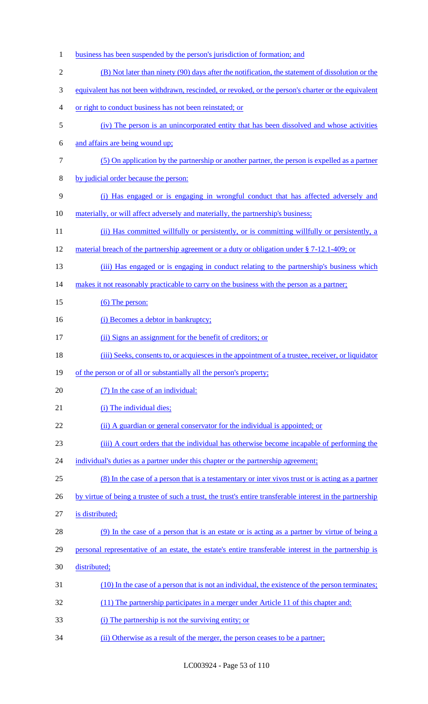- 1 business has been suspended by the person's jurisdiction of formation; and (B) Not later than ninety (90) days after the notification, the statement of dissolution or the equivalent has not been withdrawn, rescinded, or revoked, or the person's charter or the equivalent or right to conduct business has not been reinstated; or (iv) The person is an unincorporated entity that has been dissolved and whose activities and affairs are being wound up; (5) On application by the partnership or another partner, the person is expelled as a partner by judicial order because the person: (i) Has engaged or is engaging in wrongful conduct that has affected adversely and materially, or will affect adversely and materially, the partnership's business; (ii) Has committed willfully or persistently, or is committing willfully or persistently, a material breach of the partnership agreement or a duty or obligation under § 7-12.1-409; or 13 (iii) Has engaged or is engaging in conduct relating to the partnership's business which 14 makes it not reasonably practicable to carry on the business with the person as a partner; 15 (6) The person: 16 (i) Becomes a debtor in bankruptcy; 17 (ii) Signs an assignment for the benefit of creditors; or (iii) Seeks, consents to, or acquiesces in the appointment of a trustee, receiver, or liquidator of the person or of all or substantially all the person's property; 20 (7) In the case of an individual: 21 (i) The individual dies; 22 (ii) A guardian or general conservator for the individual is appointed; or (iii) A court orders that the individual has otherwise become incapable of performing the 24 individual's duties as a partner under this chapter or the partnership agreement; (8) In the case of a person that is a testamentary or inter vivos trust or is acting as a partner 26 by virtue of being a trustee of such a trust, the trust's entire transferable interest in the partnership is distributed; (9) In the case of a person that is an estate or is acting as a partner by virtue of being a personal representative of an estate, the estate's entire transferable interest in the partnership is distributed; (10) In the case of a person that is not an individual, the existence of the person terminates; (11) The partnership participates in a merger under Article 11 of this chapter and: (i) The partnership is not the surviving entity; or
- (ii) Otherwise as a result of the merger, the person ceases to be a partner;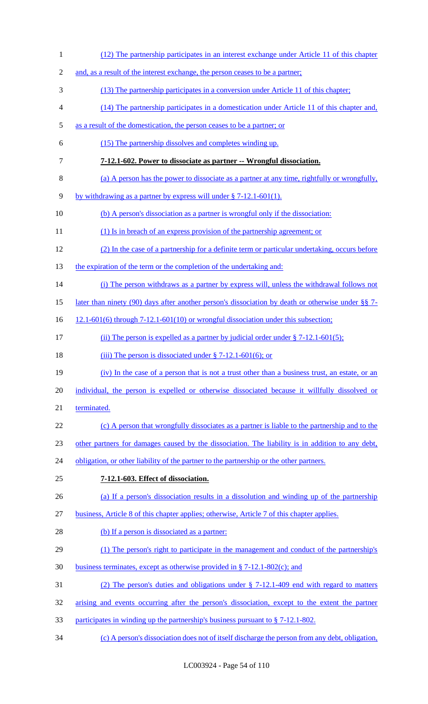| $\mathbf{1}$   | (12) The partnership participates in an interest exchange under Article 11 of this chapter          |
|----------------|-----------------------------------------------------------------------------------------------------|
| $\overline{2}$ | and, as a result of the interest exchange, the person ceases to be a partner;                       |
| 3              | (13) The partnership participates in a conversion under Article 11 of this chapter;                 |
| 4              | (14) The partnership participates in a domestication under Article 11 of this chapter and,          |
| 5              | as a result of the domestication, the person ceases to be a partner; or                             |
| 6              | (15) The partnership dissolves and completes winding up.                                            |
| 7              | 7-12.1-602. Power to dissociate as partner -- Wrongful dissociation.                                |
| 8              | (a) A person has the power to dissociate as a partner at any time, rightfully or wrongfully,        |
| 9              | by withdrawing as a partner by express will under $\S$ 7-12.1-601(1).                               |
| 10             | (b) A person's dissociation as a partner is wrongful only if the dissociation:                      |
| 11             | (1) Is in breach of an express provision of the partnership agreement; or                           |
| 12             | (2) In the case of a partnership for a definite term or particular undertaking, occurs before       |
| 13             | the expiration of the term or the completion of the undertaking and:                                |
| 14             | (i) The person withdraws as a partner by express will, unless the withdrawal follows not            |
| 15             | later than ninety (90) days after another person's dissociation by death or otherwise under $\S$ 7. |
| 16             | 12.1-601(6) through 7-12.1-601(10) or wrongful dissociation under this subsection;                  |
| 17             | (ii) The person is expelled as a partner by judicial order under $\S 7-12.1-601(5)$ ;               |
| 18             | (iii) The person is dissociated under $\S$ 7-12.1-601(6); or                                        |
| 19             | (iv) In the case of a person that is not a trust other than a business trust, an estate, or an      |
| 20             | individual, the person is expelled or otherwise dissociated because it willfully dissolved or       |
| 21             | terminated.                                                                                         |
| 22             | (c) A person that wrongfully dissociates as a partner is liable to the partnership and to the       |
| 23             | other partners for damages caused by the dissociation. The liability is in addition to any debt,    |
| 24             | obligation, or other liability of the partner to the partnership or the other partners.             |
| 25             | 7-12.1-603. Effect of dissociation.                                                                 |
| 26             | (a) If a person's dissociation results in a dissolution and winding up of the partnership           |
| 27             | business, Article 8 of this chapter applies; otherwise, Article 7 of this chapter applies.          |
| 28             | (b) If a person is dissociated as a partner:                                                        |
| 29             | (1) The person's right to participate in the management and conduct of the partnership's            |
| 30             | business terminates, except as otherwise provided in $\S$ 7-12.1-802(c); and                        |
| 31             | (2) The person's duties and obligations under $\S$ 7-12.1-409 end with regard to matters            |
|                |                                                                                                     |
| 32             | arising and events occurring after the person's dissociation, except to the extent the partner      |
| 33             | participates in winding up the partnership's business pursuant to § 7-12.1-802.                     |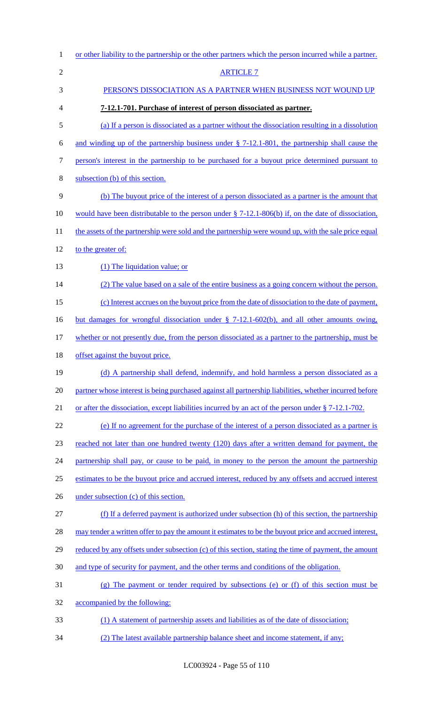| $\mathbf{1}$   | or other liability to the partnership or the other partners which the person incurred while a partner. |
|----------------|--------------------------------------------------------------------------------------------------------|
| $\overline{2}$ | <b>ARTICLE 7</b>                                                                                       |
| 3              | PERSON'S DISSOCIATION AS A PARTNER WHEN BUSINESS NOT WOUND UP                                          |
| 4              | 7-12.1-701. Purchase of interest of person dissociated as partner.                                     |
| 5              | (a) If a person is dissociated as a partner without the dissociation resulting in a dissolution        |
| 6              | and winding up of the partnership business under $\S$ 7-12.1-801, the partnership shall cause the      |
| 7              | person's interest in the partnership to be purchased for a buyout price determined pursuant to         |
| 8              | subsection (b) of this section.                                                                        |
| 9              | (b) The buyout price of the interest of a person dissociated as a partner is the amount that           |
| 10             | would have been distributable to the person under $\S$ 7-12.1-806(b) if, on the date of dissociation,  |
| 11             | the assets of the partnership were sold and the partnership were wound up, with the sale price equal   |
| 12             | to the greater of:                                                                                     |
| 13             | (1) The liquidation value; or                                                                          |
| 14             | (2) The value based on a sale of the entire business as a going concern without the person.            |
| 15             | (c) Interest accrues on the buyout price from the date of dissociation to the date of payment,         |
| 16             | but damages for wrongful dissociation under § 7-12.1-602(b), and all other amounts owing,              |
| 17             | whether or not presently due, from the person dissociated as a partner to the partnership, must be     |
| 18             | offset against the buyout price.                                                                       |
| 19             | (d) A partnership shall defend, indemnify, and hold harmless a person dissociated as a                 |
| 20             | partner whose interest is being purchased against all partnership liabilities, whether incurred before |
| 21             | or after the dissociation, except liabilities incurred by an act of the person under § 7-12.1-702.     |
| 22             | (e) If no agreement for the purchase of the interest of a person dissociated as a partner is           |
| 23             | reached not later than one hundred twenty (120) days after a written demand for payment, the           |
| 24             | partnership shall pay, or cause to be paid, in money to the person the amount the partnership          |
| 25             | estimates to be the buyout price and accrued interest, reduced by any offsets and accrued interest     |
| 26             | under subsection (c) of this section.                                                                  |
| 27             | (f) If a deferred payment is authorized under subsection (h) of this section, the partnership          |
| 28             | may tender a written offer to pay the amount it estimates to be the buyout price and accrued interest, |
| 29             | reduced by any offsets under subsection (c) of this section, stating the time of payment, the amount   |
| 30             | and type of security for payment, and the other terms and conditions of the obligation.                |
| 31             | $(g)$ The payment or tender required by subsections (e) or (f) of this section must be                 |
| 32             | accompanied by the following:                                                                          |
| 33             | (1) A statement of partnership assets and liabilities as of the date of dissociation;                  |
| 34             | (2) The latest available partnership balance sheet and income statement, if any;                       |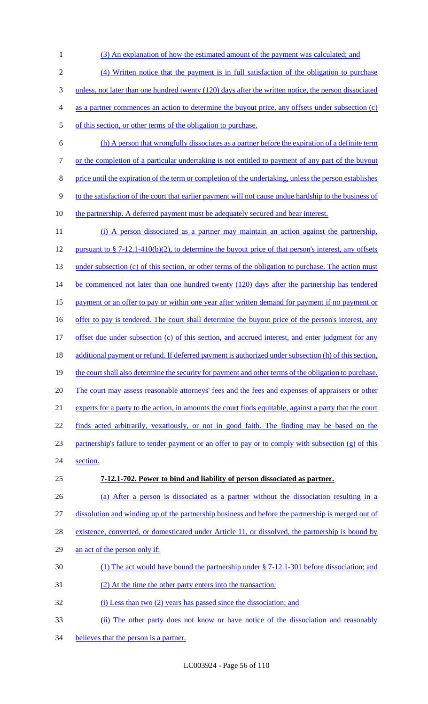(3) An explanation of how the estimated amount of the payment was calculated; and (4) Written notice that the payment is in full satisfaction of the obligation to purchase unless, not later than one hundred twenty (120) days after the written notice, the person dissociated as a partner commences an action to determine the buyout price, any offsets under subsection (c) of this section, or other terms of the obligation to purchase.

 (h) A person that wrongfully dissociates as a partner before the expiration of a definite term or the completion of a particular undertaking is not entitled to payment of any part of the buyout price until the expiration of the term or completion of the undertaking, unless the person establishes to the satisfaction of the court that earlier payment will not cause undue hardship to the business of 10 the partnership. A deferred payment must be adequately secured and bear interest.

11 (i) A person dissociated as a partner may maintain an action against the partnership, 12 pursuant to § 7-12.1-410(b)(2), to determine the buyout price of that person's interest, any offsets 13 under subsection (c) of this section, or other terms of the obligation to purchase. The action must 14 be commenced not later than one hundred twenty (120) days after the partnership has tendered payment or an offer to pay or within one year after written demand for payment if no payment or 16 offer to pay is tendered. The court shall determine the buyout price of the person's interest, any 17 offset due under subsection (c) of this section, and accrued interest, and enter judgment for any 18 additional payment or refund. If deferred payment is authorized under subsection (h) of this section, 19 the court shall also determine the security for payment and other terms of the obligation to purchase. 20 The court may assess reasonable attorneys' fees and the fees and expenses of appraisers or other experts for a party to the action, in amounts the court finds equitable, against a party that the court finds acted arbitrarily, vexatiously, or not in good faith. The finding may be based on the partnership's failure to tender payment or an offer to pay or to comply with subsection (g) of this section. **7-12.1-702. Power to bind and liability of person dissociated as partner.**  (a) After a person is dissociated as a partner without the dissociation resulting in a dissolution and winding up of the partnership business and before the partnership is merged out of 28 existence, converted, or domesticated under Article 11, or dissolved, the partnership is bound by

- an act of the person only if:
- (1) The act would have bound the partnership under § 7-12.1-301 before dissociation; and
- (2) At the time the other party enters into the transaction:
- (i) Less than two (2) years has passed since the dissociation; and
- (ii) The other party does not know or have notice of the dissociation and reasonably
- believes that the person is a partner.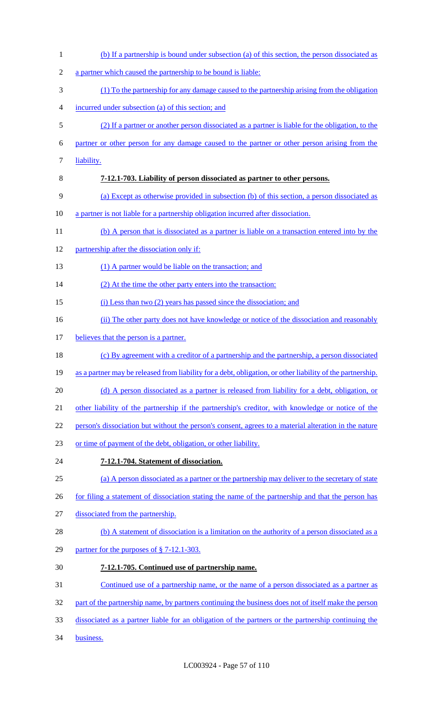| $\mathbf{1}$   | (b) If a partnership is bound under subsection (a) of this section, the person dissociated as              |
|----------------|------------------------------------------------------------------------------------------------------------|
| $\overline{2}$ | a partner which caused the partnership to be bound is liable:                                              |
| 3              | (1) To the partnership for any damage caused to the partnership arising from the obligation                |
| 4              | incurred under subsection (a) of this section; and                                                         |
| 5              | (2) If a partner or another person dissociated as a partner is liable for the obligation, to the           |
| 6              | partner or other person for any damage caused to the partner or other person arising from the              |
| $\tau$         | liability.                                                                                                 |
| 8              | 7-12.1-703. Liability of person dissociated as partner to other persons.                                   |
| 9              | (a) Except as otherwise provided in subsection (b) of this section, a person dissociated as                |
| 10             | a partner is not liable for a partnership obligation incurred after dissociation.                          |
| 11             | (b) A person that is dissociated as a partner is liable on a transaction entered into by the               |
| 12             | partnership after the dissociation only if:                                                                |
| 13             | (1) A partner would be liable on the transaction; and                                                      |
| 14             | (2) At the time the other party enters into the transaction:                                               |
| 15             | (i) Less than two (2) years has passed since the dissociation; and                                         |
| 16             | (ii) The other party does not have knowledge or notice of the dissociation and reasonably                  |
| 17             | believes that the person is a partner.                                                                     |
| 18             | (c) By agreement with a creditor of a partnership and the partnership, a person dissociated                |
| 19             | as a partner may be released from liability for a debt, obligation, or other liability of the partnership. |
| 20             | (d) A person dissociated as a partner is released from liability for a debt, obligation, or                |
| 21             | other liability of the partnership if the partnership's creditor, with knowledge or notice of the          |
| 22             | person's dissociation but without the person's consent, agrees to a material alteration in the nature      |
| 23             | or time of payment of the debt, obligation, or other liability.                                            |
| 24             | 7-12.1-704. Statement of dissociation.                                                                     |
| 25             | (a) A person dissociated as a partner or the partnership may deliver to the secretary of state             |
| 26             | for filing a statement of dissociation stating the name of the partnership and that the person has         |
| 27             | dissociated from the partnership.                                                                          |
| 28             | (b) A statement of dissociation is a limitation on the authority of a person dissociated as a              |
| 29             | partner for the purposes of $\S$ 7-12.1-303.                                                               |
| 30             | 7-12.1-705. Continued use of partnership name.                                                             |
| 31             | Continued use of a partnership name, or the name of a person dissociated as a partner as                   |
| 32             | part of the partnership name, by partners continuing the business does not of itself make the person       |
| 33             | dissociated as a partner liable for an obligation of the partners or the partnership continuing the        |
| 34             | business.                                                                                                  |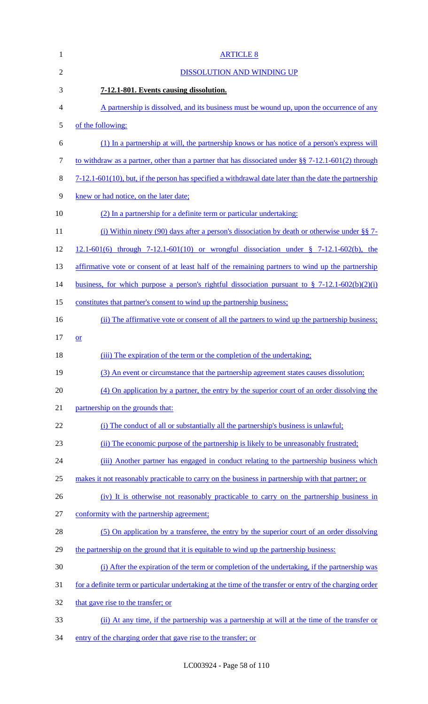| 1              | <b>ARTICLE 8</b>                                                                                          |
|----------------|-----------------------------------------------------------------------------------------------------------|
| $\overline{2}$ | DISSOLUTION AND WINDING UP                                                                                |
| 3              | 7-12.1-801. Events causing dissolution.                                                                   |
| $\overline{4}$ | A partnership is dissolved, and its business must be wound up, upon the occurrence of any                 |
| 5              | of the following:                                                                                         |
| 6              | (1) In a partnership at will, the partnership knows or has notice of a person's express will              |
| $\overline{7}$ | to withdraw as a partner, other than a partner that has dissociated under $\S$ § 7-12.1-601(2) through    |
| 8              | $7-12.1-601(10)$ , but, if the person has specified a withdrawal date later than the date the partnership |
| 9              | knew or had notice, on the later date;                                                                    |
| 10             | (2) In a partnership for a definite term or particular undertaking:                                       |
| 11             | (i) Within ninety (90) days after a person's dissociation by death or otherwise under $\S$ 7-             |
| 12             | $12.1 - 601(6)$ through 7-12.1-601(10) or wrongful dissociation under § 7-12.1-602(b), the                |
| 13             | affirmative vote or consent of at least half of the remaining partners to wind up the partnership         |
| 14             | business, for which purpose a person's rightful dissociation pursuant to $\S$ 7-12.1-602(b)(2)(i)         |
| 15             | constitutes that partner's consent to wind up the partnership business;                                   |
| 16             | (ii) The affirmative vote or consent of all the partners to wind up the partnership business;             |
| 17             | or                                                                                                        |
| 18             | (iii) The expiration of the term or the completion of the undertaking:                                    |
| 19             | (3) An event or circumstance that the partnership agreement states causes dissolution;                    |
| 20             | (4) On application by a partner, the entry by the superior court of an order dissolving the               |
| 21             | partnership on the grounds that:                                                                          |
| 22             | (i) The conduct of all or substantially all the partnership's business is unlawful;                       |
| 23             | (ii) The economic purpose of the partnership is likely to be unreasonably frustrated;                     |
| 24             | (iii) Another partner has engaged in conduct relating to the partnership business which                   |
| 25             | makes it not reasonably practicable to carry on the business in partnership with that partner; or         |
| 26             | (iv) It is otherwise not reasonably practicable to carry on the partnership business in                   |
| 27             | conformity with the partnership agreement;                                                                |
| 28             | (5) On application by a transferee, the entry by the superior court of an order dissolving                |
| 29             | the partnership on the ground that it is equitable to wind up the partnership business:                   |
| 30             | (i) After the expiration of the term or completion of the undertaking, if the partnership was             |
| 31             | for a definite term or particular undertaking at the time of the transfer or entry of the charging order  |
| 32             | that gave rise to the transfer; or                                                                        |
| 33             | (ii) At any time, if the partnership was a partnership at will at the time of the transfer or             |
| 34             | entry of the charging order that gave rise to the transfer; or                                            |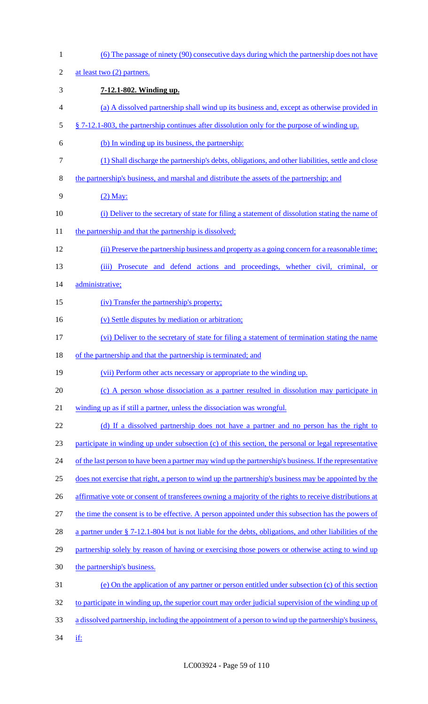| $\mathbf{1}$   | (6) The passage of ninety (90) consecutive days during which the partnership does not have                 |
|----------------|------------------------------------------------------------------------------------------------------------|
| $\overline{2}$ | at least two $(2)$ partners.                                                                               |
| 3              | 7-12.1-802. Winding up.                                                                                    |
| $\overline{4}$ | (a) A dissolved partnership shall wind up its business and, except as otherwise provided in                |
| $\mathfrak{S}$ | § 7-12.1-803, the partnership continues after dissolution only for the purpose of winding up.              |
| 6              | (b) In winding up its business, the partnership:                                                           |
| $\tau$         | (1) Shall discharge the partnership's debts, obligations, and other liabilities, settle and close          |
| $8\,$          | the partnership's business, and marshal and distribute the assets of the partnership; and                  |
| 9              | $(2)$ May:                                                                                                 |
| 10             | (i) Deliver to the secretary of state for filing a statement of dissolution stating the name of            |
| 11             | the partnership and that the partnership is dissolved;                                                     |
| 12             | (ii) Preserve the partnership business and property as a going concern for a reasonable time;              |
| 13             | Prosecute and defend actions and proceedings, whether civil, criminal, or<br>(iii)                         |
| 14             | administrative;                                                                                            |
| 15             | (iv) Transfer the partnership's property;                                                                  |
| 16             | (v) Settle disputes by mediation or arbitration;                                                           |
| 17             | (vi) Deliver to the secretary of state for filing a statement of termination stating the name              |
|                |                                                                                                            |
| 18             | of the partnership and that the partnership is terminated; and                                             |
| 19             | (vii) Perform other acts necessary or appropriate to the winding up.                                       |
| 20             | (c) A person whose dissociation as a partner resulted in dissolution may participate in                    |
| 21             | winding up as if still a partner, unless the dissociation was wrongful.                                    |
| 22             | (d) If a dissolved partnership does not have a partner and no person has the right to                      |
| 23             | participate in winding up under subsection (c) of this section, the personal or legal representative       |
| 24             | of the last person to have been a partner may wind up the partnership's business. If the representative    |
| 25             | does not exercise that right, a person to wind up the partnership's business may be appointed by the       |
| 26             | affirmative vote or consent of transferees owning a majority of the rights to receive distributions at     |
| 27             | the time the consent is to be effective. A person appointed under this subsection has the powers of        |
| 28             | a partner under $\S$ 7-12.1-804 but is not liable for the debts, obligations, and other liabilities of the |
| 29             | partnership solely by reason of having or exercising those powers or otherwise acting to wind up           |
| 30             | the partnership's business.                                                                                |
| 31             | (e) On the application of any partner or person entitled under subsection (c) of this section              |
| 32             | to participate in winding up, the superior court may order judicial supervision of the winding up of       |
| 33             | a dissolved partnership, including the appointment of a person to wind up the partnership's business,      |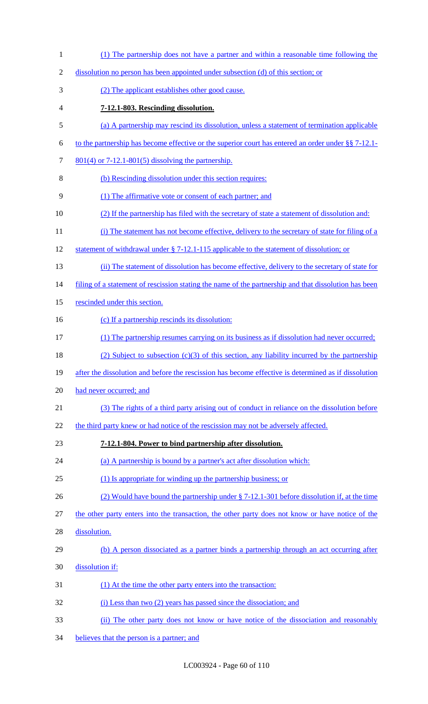| $\mathbf{1}$   | (1) The partnership does not have a partner and within a reasonable time following the                |
|----------------|-------------------------------------------------------------------------------------------------------|
| $\mathfrak{2}$ | dissolution no person has been appointed under subsection (d) of this section; or                     |
| 3              | (2) The applicant establishes other good cause.                                                       |
| 4              | 7-12.1-803. Rescinding dissolution.                                                                   |
| 5              | (a) A partnership may rescind its dissolution, unless a statement of termination applicable           |
| 6              | to the partnership has become effective or the superior court has entered an order under $\S$ 7-12.1- |
| 7              | $801(4)$ or 7-12.1-801(5) dissolving the partnership.                                                 |
| 8              | (b) Rescinding dissolution under this section requires:                                               |
| 9              | (1) The affirmative vote or consent of each partner; and                                              |
| 10             | (2) If the partnership has filed with the secretary of state a statement of dissolution and:          |
| 11             | (i) The statement has not become effective, delivery to the secretary of state for filing of a        |
| 12             | statement of withdrawal under $\S$ 7-12.1-115 applicable to the statement of dissolution; or          |
| 13             | (ii) The statement of dissolution has become effective, delivery to the secretary of state for        |
| 14             | filing of a statement of rescission stating the name of the partnership and that dissolution has been |
| 15             | rescinded under this section.                                                                         |
| 16             | (c) If a partnership rescinds its dissolution:                                                        |
| 17             | (1) The partnership resumes carrying on its business as if dissolution had never occurred;            |
| 18             | (2) Subject to subsection (c)(3) of this section, any liability incurred by the partnership           |
| 19             | after the dissolution and before the rescission has become effective is determined as if dissolution  |
| 20             | had never occurred; and                                                                               |
| 21             | (3) The rights of a third party arising out of conduct in reliance on the dissolution before          |
| 22             | the third party knew or had notice of the rescission may not be adversely affected.                   |
| 23             | 7-12.1-804. Power to bind partnership after dissolution.                                              |
| 24             | (a) A partnership is bound by a partner's act after dissolution which:                                |
| 25             | (1) Is appropriate for winding up the partnership business; or                                        |
| 26             | (2) Would have bound the partnership under $\S$ 7-12.1-301 before dissolution if, at the time         |
| 27             | the other party enters into the transaction, the other party does not know or have notice of the      |
| 28             | dissolution.                                                                                          |
| 29             | (b) A person dissociated as a partner binds a partnership through an act occurring after              |
| 30             | dissolution if:                                                                                       |
| 31             | (1) At the time the other party enters into the transaction:                                          |
| 32             | (i) Less than two (2) years has passed since the dissociation; and                                    |
| 33             | (ii) The other party does not know or have notice of the dissociation and reasonably                  |
| 34             | believes that the person is a partner; and                                                            |

LC003924 - Page 60 of 110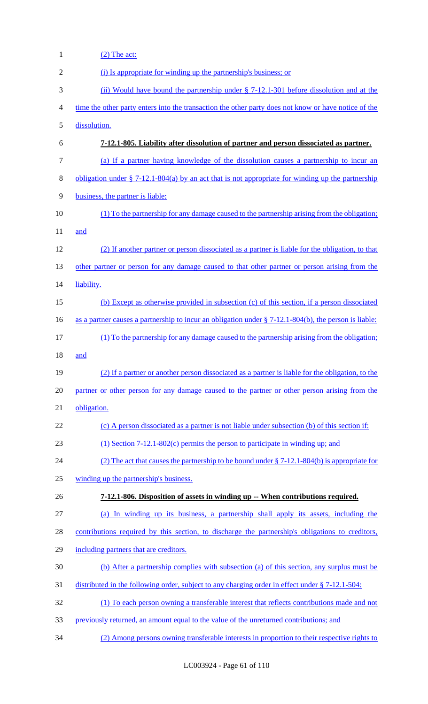| $\mathbf{1}$   | $(2)$ The act:                                                                                           |
|----------------|----------------------------------------------------------------------------------------------------------|
| $\overline{2}$ | (i) Is appropriate for winding up the partnership's business; or                                         |
| 3              | (ii) Would have bound the partnership under § 7-12.1-301 before dissolution and at the                   |
| 4              | time the other party enters into the transaction the other party does not know or have notice of the     |
| 5              | dissolution.                                                                                             |
| 6              | 7-12.1-805. Liability after dissolution of partner and person dissociated as partner.                    |
| 7              | (a) If a partner having knowledge of the dissolution causes a partnership to incur an                    |
| 8              | obligation under § 7-12.1-804(a) by an act that is not appropriate for winding up the partnership        |
| 9              | business, the partner is liable:                                                                         |
| 10             | (1) To the partnership for any damage caused to the partnership arising from the obligation;             |
| 11             | and                                                                                                      |
| 12             | (2) If another partner or person dissociated as a partner is liable for the obligation, to that          |
| 13             | other partner or person for any damage caused to that other partner or person arising from the           |
| 14             | liability.                                                                                               |
| 15             | (b) Except as otherwise provided in subsection (c) of this section, if a person dissociated              |
| 16             | as a partner causes a partnership to incur an obligation under $\S$ 7-12.1-804(b), the person is liable: |
| 17             | (1) To the partnership for any damage caused to the partnership arising from the obligation;             |
| 18             | <u>and</u>                                                                                               |
| 19             | (2) If a partner or another person dissociated as a partner is liable for the obligation, to the         |
| 20             | partner or other person for any damage caused to the partner or other person arising from the            |
| 21             | obligation.                                                                                              |
| 22             | (c) A person dissociated as a partner is not liable under subsection (b) of this section if:             |
| 23             | $(1)$ Section 7-12.1-802 $(c)$ permits the person to participate in winding up; and                      |
| 24             | (2) The act that causes the partnership to be bound under $\S$ 7-12.1-804(b) is appropriate for          |
| 25             | winding up the partnership's business.                                                                   |
| 26             | 7-12.1-806. Disposition of assets in winding up -- When contributions required.                          |
| 27             | (a) In winding up its business, a partnership shall apply its assets, including the                      |
| 28             | contributions required by this section, to discharge the partnership's obligations to creditors,         |
| 29             | including partners that are creditors.                                                                   |
| 30             | (b) After a partnership complies with subsection (a) of this section, any surplus must be                |
| 31             | <u>distributed in the following order, subject to any charging order in effect under § 7-12.1-504:</u>   |
| 32             | (1) To each person owning a transferable interest that reflects contributions made and not               |
| 33             | previously returned, an amount equal to the value of the unreturned contributions; and                   |
| 34             | (2) Among persons owning transferable interests in proportion to their respective rights to              |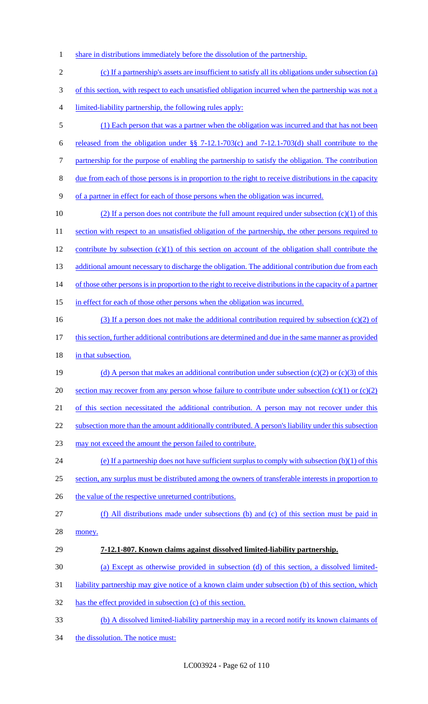- 1 share in distributions immediately before the dissolution of the partnership.
- 2 (c) If a partnership's assets are insufficient to satisfy all its obligations under subsection (a) 3 of this section, with respect to each unsatisfied obligation incurred when the partnership was not a 4 limited-liability partnership, the following rules apply: 5 (1) Each person that was a partner when the obligation was incurred and that has not been 6 released from the obligation under §§ 7-12.1-703(c) and 7-12.1-703(d) shall contribute to the
- 7 partnership for the purpose of enabling the partnership to satisfy the obligation. The contribution
- 8 due from each of those persons is in proportion to the right to receive distributions in the capacity
- 9 of a partner in effect for each of those persons when the obligation was incurred.
- 10 (2) If a person does not contribute the full amount required under subsection  $(c)(1)$  of this 11 section with respect to an unsatisfied obligation of the partnership, the other persons required to 12 contribute by subsection (c)(1) of this section on account of the obligation shall contribute the 13 additional amount necessary to discharge the obligation. The additional contribution due from each 14 of those other persons is in proportion to the right to receive distributions in the capacity of a partner 15 in effect for each of those other persons when the obligation was incurred. 16 (3) If a person does not make the additional contribution required by subsection (c)(2) of
- 17 this section, further additional contributions are determined and due in the same manner as provided 18 in that subsection.
- 19 (d) A person that makes an additional contribution under subsection  $(c)(2)$  or  $(c)(3)$  of this 20 section may recover from any person whose failure to contribute under subsection  $(c)(1)$  or  $(c)(2)$
- 21 of this section necessitated the additional contribution. A person may not recover under this

22 subsection more than the amount additionally contributed. A person's liability under this subsection

23 may not exceed the amount the person failed to contribute.

24 (e) If a partnership does not have sufficient surplus to comply with subsection (b)(1) of this 25 section, any surplus must be distributed among the owners of transferable interests in proportion to

- 26 the value of the respective unreturned contributions.
- 27 (f) All distributions made under subsections (b) and (c) of this section must be paid in
- 28 money.

## 29 **7-12.1-807. Known claims against dissolved limited-liability partnership.**

- 30 (a) Except as otherwise provided in subsection (d) of this section, a dissolved limited-
- 31 liability partnership may give notice of a known claim under subsection (b) of this section, which
- 32 has the effect provided in subsection (c) of this section.
- 33 (b) A dissolved limited-liability partnership may in a record notify its known claimants of
- 34 the dissolution. The notice must: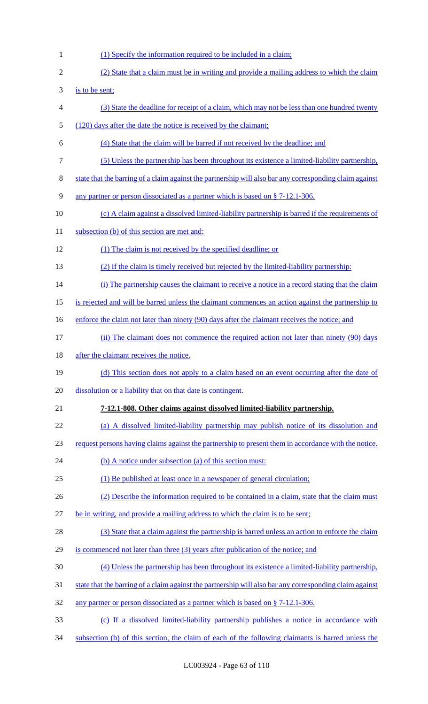- (1) Specify the information required to be included in a claim;
- (2) State that a claim must be in writing and provide a mailing address to which the claim
- is to be sent;
- (3) State the deadline for receipt of a claim, which may not be less than one hundred twenty
- (120) days after the date the notice is received by the claimant;
- (4) State that the claim will be barred if not received by the deadline; and
- (5) Unless the partnership has been throughout its existence a limited-liability partnership,
- state that the barring of a claim against the partnership will also bar any corresponding claim against
- any partner or person dissociated as a partner which is based on § 7-12.1-306.
- (c) A claim against a dissolved limited-liability partnership is barred if the requirements of
- 11 subsection (b) of this section are met and:
- (1) The claim is not received by the specified deadline; or
- (2) If the claim is timely received but rejected by the limited-liability partnership:
- 14 (i) The partnership causes the claimant to receive a notice in a record stating that the claim
- is rejected and will be barred unless the claimant commences an action against the partnership to
- 16 enforce the claim not later than ninety (90) days after the claimant receives the notice; and
- 17 (ii) The claimant does not commence the required action not later than ninety (90) days
- 18 after the claimant receives the notice.
- 19 (d) This section does not apply to a claim based on an event occurring after the date of
- 20 dissolution or a liability that on that date is contingent.
- **7-12.1-808. Other claims against dissolved limited-liability partnership.**
- (a) A dissolved limited-liability partnership may publish notice of its dissolution and
- request persons having claims against the partnership to present them in accordance with the notice.
- 24 (b) A notice under subsection (a) of this section must:
- (1) Be published at least once in a newspaper of general circulation;
- (2) Describe the information required to be contained in a claim, state that the claim must
- be in writing, and provide a mailing address to which the claim is to be sent;
- 28 (3) State that a claim against the partnership is barred unless an action to enforce the claim
- is commenced not later than three (3) years after publication of the notice; and
- (4) Unless the partnership has been throughout its existence a limited-liability partnership,
- 31 state that the barring of a claim against the partnership will also bar any corresponding claim against
- any partner or person dissociated as a partner which is based on § 7-12.1-306.
- (c) If a dissolved limited-liability partnership publishes a notice in accordance with
- subsection (b) of this section, the claim of each of the following claimants is barred unless the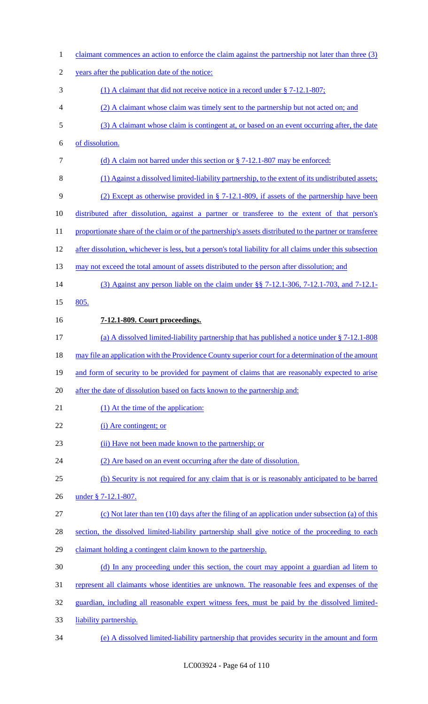| $\mathbf{1}$   | claimant commences an action to enforce the claim against the partnership not later than three (3)        |
|----------------|-----------------------------------------------------------------------------------------------------------|
| $\mathfrak{2}$ | years after the publication date of the notice:                                                           |
| 3              | (1) A claimant that did not receive notice in a record under § 7-12.1-807;                                |
| 4              | (2) A claimant whose claim was timely sent to the partnership but not acted on; and                       |
| 5              | (3) A claimant whose claim is contingent at, or based on an event occurring after, the date               |
| 6              | of dissolution.                                                                                           |
| 7              | (d) A claim not barred under this section or $\S$ 7-12.1-807 may be enforced:                             |
| 8              | (1) Against a dissolved limited-liability partnership, to the extent of its undistributed assets;         |
| 9              | (2) Except as otherwise provided in $\S$ 7-12.1-809, if assets of the partnership have been               |
| 10             | distributed after dissolution, against a partner or transferee to the extent of that person's             |
| 11             | proportionate share of the claim or of the partnership's assets distributed to the partner or transferee  |
| 12             | after dissolution, whichever is less, but a person's total liability for all claims under this subsection |
| 13             | may not exceed the total amount of assets distributed to the person after dissolution; and                |
| 14             | (3) Against any person liable on the claim under $\S$ § 7-12.1-306, 7-12.1-703, and 7-12.1-               |
| 15             | 805.                                                                                                      |
| 16             | 7-12.1-809. Court proceedings.                                                                            |
| 17             | (a) A dissolved limited-liability partnership that has published a notice under $\S$ 7-12.1-808           |
| 18             | may file an application with the Providence County superior court for a determination of the amount       |
| 19             | and form of security to be provided for payment of claims that are reasonably expected to arise           |
| 20             | after the date of dissolution based on facts known to the partnership and:                                |
| 21             | (1) At the time of the application:                                                                       |
| 22             | (i) Are contingent; or                                                                                    |
| 23             | (ii) Have not been made known to the partnership; or                                                      |
| 24             | (2) Are based on an event occurring after the date of dissolution.                                        |
| 25             | (b) Security is not required for any claim that is or is reasonably anticipated to be barred              |
| 26             | under § 7-12.1-807.                                                                                       |
| 27             | (c) Not later than ten (10) days after the filing of an application under subsection (a) of this          |
| 28             | section, the dissolved limited-liability partnership shall give notice of the proceeding to each          |
| 29             | claimant holding a contingent claim known to the partnership.                                             |
| 30             | (d) In any proceeding under this section, the court may appoint a guardian ad litem to                    |
| 31             | represent all claimants whose identities are unknown. The reasonable fees and expenses of the             |
| 32             | guardian, including all reasonable expert witness fees, must be paid by the dissolved limited-            |
| 33             | liability partnership.                                                                                    |
|                |                                                                                                           |

(e) A dissolved limited-liability partnership that provides security in the amount and form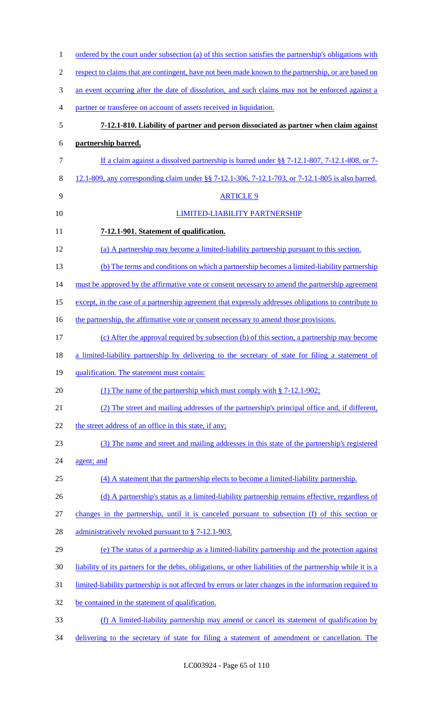| $\mathbf{1}$   | ordered by the court under subsection (a) of this section satisfies the partnership's obligations with      |
|----------------|-------------------------------------------------------------------------------------------------------------|
| $\sqrt{2}$     | respect to claims that are contingent, have not been made known to the partnership, or are based on         |
| $\mathfrak{Z}$ | an event occurring after the date of dissolution, and such claims may not be enforced against a             |
| $\overline{4}$ | partner or transferee on account of assets received in liquidation.                                         |
| 5              | 7-12.1-810. Liability of partner and person dissociated as partner when claim against                       |
| 6              | partnership barred.                                                                                         |
| $\tau$         | If a claim against a dissolved partnership is barred under $\S$ § 7-12.1-807, 7-12.1-808, or 7-             |
| $8\,$          | 12.1-809, any corresponding claim under §§ 7-12.1-306, 7-12.1-703, or 7-12.1-805 is also barred.            |
| 9              | <b>ARTICLE 9</b>                                                                                            |
| 10             | <b>LIMITED-LIABILITY PARTNERSHIP</b>                                                                        |
| 11             | 7-12.1-901. Statement of qualification.                                                                     |
| 12             | (a) A partnership may become a limited-liability partnership pursuant to this section.                      |
| 13             | (b) The terms and conditions on which a partnership becomes a limited-liability partnership                 |
| 14             | must be approved by the affirmative vote or consent necessary to amend the partnership agreement            |
| 15             | except, in the case of a partnership agreement that expressly addresses obligations to contribute to        |
| 16             | the partnership, the affirmative vote or consent necessary to amend those provisions.                       |
| 17             | (c) After the approval required by subsection (b) of this section, a partnership may become                 |
| 18             | a limited-liability partnership by delivering to the secretary of state for filing a statement of           |
| 19             | qualification. The statement must contain:                                                                  |
| 20             | (1) The name of the partnership which must comply with $\S$ 7-12.1-902;                                     |
| 21             | (2) The street and mailing addresses of the partnership's principal office and, if different,               |
| 22             | the street address of an office in this state, if any;                                                      |
| 23             | (3) The name and street and mailing addresses in this state of the partnership's registered                 |
| 24             | agent; and                                                                                                  |
| 25             | (4) A statement that the partnership elects to become a limited-liability partnership.                      |
| 26             | (d) A partnership's status as a limited-liability partnership remains effective, regardless of              |
| 27             | changes in the partnership, until it is canceled pursuant to subsection (f) of this section or              |
| 28             | administratively revoked pursuant to § 7-12.1-903.                                                          |
| 29             | (e) The status of a partnership as a limited-liability partnership and the protection against               |
| 30             | liability of its partners for the debts, obligations, or other liabilities of the partnership while it is a |
| 31             | limited-liability partnership is not affected by errors or later changes in the information required to     |
| 32             | be contained in the statement of qualification.                                                             |
| 33             | (f) A limited-liability partnership may amend or cancel its statement of qualification by                   |
| 34             | delivering to the secretary of state for filing a statement of amendment or cancellation. The               |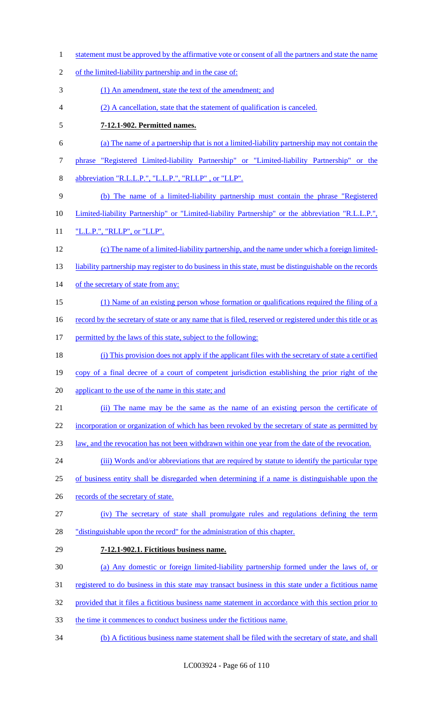1 statement must be approved by the affirmative vote or consent of all the partners and state the name of the limited-liability partnership and in the case of: (1) An amendment, state the text of the amendment; and (2) A cancellation, state that the statement of qualification is canceled. **7-12.1-902. Permitted names.**  (a) The name of a partnership that is not a limited-liability partnership may not contain the phrase "Registered Limited-liability Partnership" or "Limited-liability Partnership" or the abbreviation "R.L.L.P.", "L.L.P.", "RLLP" , or "LLP". (b) The name of a limited-liability partnership must contain the phrase "Registered Limited-liability Partnership" or "Limited-liability Partnership" or the abbreviation "R.L.L.P.", "L.L.P.", "RLLP", or "LLP". (c) The name of a limited-liability partnership, and the name under which a foreign limited-13 liability partnership may register to do business in this state, must be distinguishable on the records 14 of the secretary of state from any: (1) Name of an existing person whose formation or qualifications required the filing of a 16 record by the secretary of state or any name that is filed, reserved or registered under this title or as 17 permitted by the laws of this state, subject to the following: (i) This provision does not apply if the applicant files with the secretary of state a certified copy of a final decree of a court of competent jurisdiction establishing the prior right of the applicant to the use of the name in this state; and (ii) The name may be the same as the name of an existing person the certificate of 22 incorporation or organization of which has been revoked by the secretary of state as permitted by law, and the revocation has not been withdrawn within one year from the date of the revocation. 24 (iii) Words and/or abbreviations that are required by statute to identify the particular type of business entity shall be disregarded when determining if a name is distinguishable upon the 26 records of the secretary of state. (iv) The secretary of state shall promulgate rules and regulations defining the term "distinguishable upon the record" for the administration of this chapter. **7-12.1-902.1. Fictitious business name.**  (a) Any domestic or foreign limited-liability partnership formed under the laws of, or 31 registered to do business in this state may transact business in this state under a fictitious name provided that it files a fictitious business name statement in accordance with this section prior to the time it commences to conduct business under the fictitious name. (b) A fictitious business name statement shall be filed with the secretary of state, and shall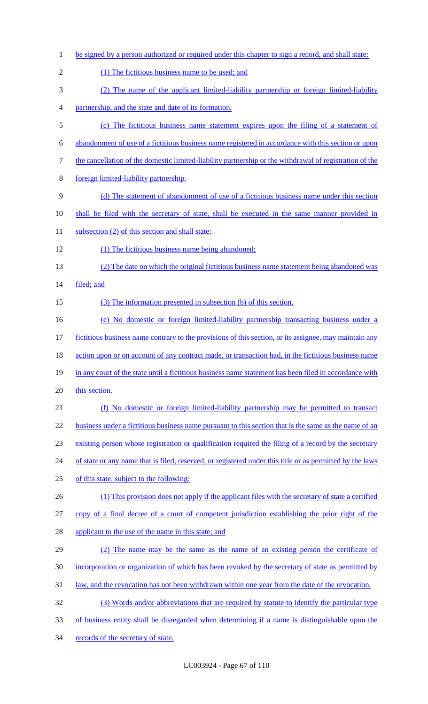1 be signed by a person authorized or required under this chapter to sign a record, and shall state: 2 (1) The fictitious business name to be used; and (2) The name of the applicant limited-liability partnership or foreign limited-liability partnership, and the state and date of its formation. (c) The fictitious business name statement expires upon the filing of a statement of abandonment of use of a fictitious business name registered in accordance with this section or upon 7 the cancellation of the domestic limited-liability partnership or the withdrawal of registration of the foreign limited-liability partnership. (d) The statement of abandonment of use of a fictitious business name under this section shall be filed with the secretary of state, shall be executed in the same manner provided in 11 subsection (2) of this section and shall state: 12 (1) The fictitious business name being abandoned; (2) The date on which the original fictitious business name statement being abandoned was filed; and (3) The information presented in subsection (b) of this section. (e) No domestic or foreign limited-liability partnership transacting business under a fictitious business name contrary to the provisions of this section, or its assignee, may maintain any 18 action upon or on account of any contract made, or transaction had, in the fictitious business name 19 in any court of the state until a fictitious business name statement has been filed in accordance with 20 this section. (f) No domestic or foreign limited-liability partnership may be permitted to transact 22 business under a fictitious business name pursuant to this section that is the same as the name of an existing person whose registration or qualification required the filing of a record by the secretary 24 of state or any name that is filed, reserved, or registered under this title or as permitted by the laws of this state, subject to the following: (1) This provision does not apply if the applicant files with the secretary of state a certified copy of a final decree of a court of competent jurisdiction establishing the prior right of the 28 applicant to the use of the name in this state; and (2) The name may be the same as the name of an existing person the certificate of incorporation or organization of which has been revoked by the secretary of state as permitted by 31 law, and the revocation has not been withdrawn within one year from the date of the revocation. (3) Words and/or abbreviations that are required by statute to identify the particular type of business entity shall be disregarded when determining if a name is distinguishable upon the 34 records of the secretary of state.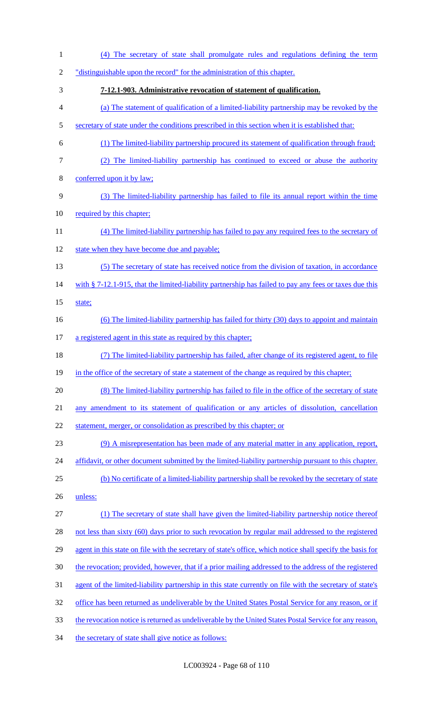| $\mathbf{1}$   | (4) The secretary of state shall promulgate rules and regulations defining the term                        |
|----------------|------------------------------------------------------------------------------------------------------------|
| $\overline{2}$ | "distinguishable upon the record" for the administration of this chapter.                                  |
| 3              | 7-12.1-903. Administrative revocation of statement of qualification.                                       |
| 4              | (a) The statement of qualification of a limited-liability partnership may be revoked by the                |
| 5              | secretary of state under the conditions prescribed in this section when it is established that:            |
| 6              | (1) The limited-liability partnership procured its statement of qualification through fraud;               |
| 7              | (2) The limited-liability partnership has continued to exceed or abuse the authority                       |
| 8              | conferred upon it by law;                                                                                  |
| 9              | (3) The limited-liability partnership has failed to file its annual report within the time                 |
| 10             | required by this chapter;                                                                                  |
| 11             | (4) The limited-liability partnership has failed to pay any required fees to the secretary of              |
| 12             | state when they have become due and payable;                                                               |
| 13             | (5) The secretary of state has received notice from the division of taxation, in accordance                |
| 14             | with $\S$ 7-12.1-915, that the limited-liability partnership has failed to pay any fees or taxes due this  |
| 15             | state;                                                                                                     |
| 16             | (6) The limited-liability partnership has failed for thirty (30) days to appoint and maintain              |
| 17             | a registered agent in this state as required by this chapter;                                              |
| 18             | (7) The limited-liability partnership has failed, after change of its registered agent, to file            |
| 19             | in the office of the secretary of state a statement of the change as required by this chapter;             |
| 20             | (8) The limited-liability partnership has failed to file in the office of the secretary of state           |
| 21             | any amendment to its statement of qualification or any articles of dissolution, cancellation               |
| 22             | statement, merger, or consolidation as prescribed by this chapter; or                                      |
| 23             | (9) A misrepresentation has been made of any material matter in any application, report,                   |
| 24             | affidavit, or other document submitted by the limited-liability partnership pursuant to this chapter.      |
| 25             | (b) No certificate of a limited-liability partnership shall be revoked by the secretary of state           |
| 26             | unless:                                                                                                    |
| 27             | (1) The secretary of state shall have given the limited-liability partnership notice thereof               |
| 28             | not less than sixty (60) days prior to such revocation by regular mail addressed to the registered         |
| 29             | agent in this state on file with the secretary of state's office, which notice shall specify the basis for |
| 30             | the revocation; provided, however, that if a prior mailing addressed to the address of the registered      |
| 31             | agent of the limited-liability partnership in this state currently on file with the secretary of state's   |
| 32             | office has been returned as undeliverable by the United States Postal Service for any reason, or if        |
| 33             | the revocation notice is returned as undeliverable by the United States Postal Service for any reason,     |
| 34             | the secretary of state shall give notice as follows:                                                       |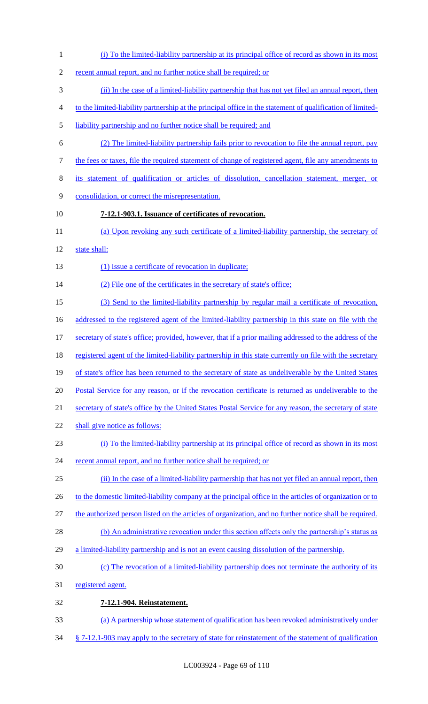(i) To the limited-liability partnership at its principal office of record as shown in its most 2 recent annual report, and no further notice shall be required; or (ii) In the case of a limited-liability partnership that has not yet filed an annual report, then to the limited-liability partnership at the principal office in the statement of qualification of limited- liability partnership and no further notice shall be required; and (2) The limited-liability partnership fails prior to revocation to file the annual report, pay the fees or taxes, file the required statement of change of registered agent, file any amendments to its statement of qualification or articles of dissolution, cancellation statement, merger, or consolidation, or correct the misrepresentation. **7-12.1-903.1. Issuance of certificates of revocation.**  (a) Upon revoking any such certificate of a limited-liability partnership, the secretary of state shall: 13 (1) Issue a certificate of revocation in duplicate; 14 (2) File one of the certificates in the secretary of state's office; (3) Send to the limited-liability partnership by regular mail a certificate of revocation, 16 addressed to the registered agent of the limited-liability partnership in this state on file with the 17 secretary of state's office; provided, however, that if a prior mailing addressed to the address of the 18 registered agent of the limited-liability partnership in this state currently on file with the secretary of state's office has been returned to the secretary of state as undeliverable by the United States 20 Postal Service for any reason, or if the revocation certificate is returned as undeliverable to the secretary of state's office by the United States Postal Service for any reason, the secretary of state shall give notice as follows: (i) To the limited-liability partnership at its principal office of record as shown in its most 24 recent annual report, and no further notice shall be required; or (ii) In the case of a limited-liability partnership that has not yet filed an annual report, then 26 to the domestic limited-liability company at the principal office in the articles of organization or to the authorized person listed on the articles of organization, and no further notice shall be required. 28 (b) An administrative revocation under this section affects only the partnership's status as 29 a limited-liability partnership and is not an event causing dissolution of the partnership. (c) The revocation of a limited-liability partnership does not terminate the authority of its registered agent. **7-12.1-904. Reinstatement.**  (a) A partnership whose statement of qualification has been revoked administratively under § 7-12.1-903 may apply to the secretary of state for reinstatement of the statement of qualification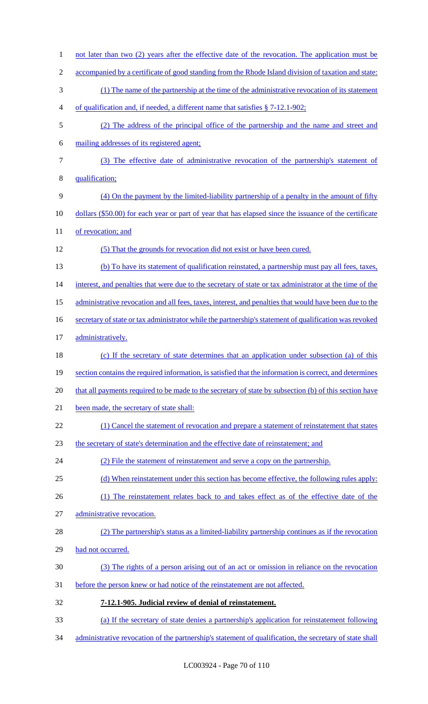| $\mathbf{1}$   | not later than two (2) years after the effective date of the revocation. The application must be        |
|----------------|---------------------------------------------------------------------------------------------------------|
| $\overline{2}$ | accompanied by a certificate of good standing from the Rhode Island division of taxation and state:     |
| 3              | (1) The name of the partnership at the time of the administrative revocation of its statement           |
| 4              | of qualification and, if needed, a different name that satisfies § 7-12.1-902;                          |
| 5              | (2) The address of the principal office of the partnership and the name and street and                  |
| 6              | mailing addresses of its registered agent;                                                              |
| 7              | (3) The effective date of administrative revocation of the partnership's statement of                   |
| 8              | qualification;                                                                                          |
| 9              | (4) On the payment by the limited-liability partnership of a penalty in the amount of fifty             |
| 10             | dollars (\$50.00) for each year or part of year that has elapsed since the issuance of the certificate  |
| 11             | of revocation; and                                                                                      |
| 12             | (5) That the grounds for revocation did not exist or have been cured.                                   |
| 13             | (b) To have its statement of qualification reinstated, a partnership must pay all fees, taxes,          |
| 14             | interest, and penalties that were due to the secretary of state or tax administrator at the time of the |
| 15             | administrative revocation and all fees, taxes, interest, and penalties that would have been due to the  |
| 16             | secretary of state or tax administrator while the partnership's statement of qualification was revoked  |
| 17             | administratively.                                                                                       |
| 18             | (c) If the secretary of state determines that an application under subsection (a) of this               |
| 19             | section contains the required information, is satisfied that the information is correct, and determines |
| 20             | that all payments required to be made to the secretary of state by subsection (b) of this section have  |
| 21             | been made, the secretary of state shall:                                                                |
| 22             | (1) Cancel the statement of revocation and prepare a statement of reinstatement that states             |
| 23             | the secretary of state's determination and the effective date of reinstatement; and                     |
| 24             | (2) File the statement of reinstatement and serve a copy on the partnership.                            |
| 25             | (d) When reinstatement under this section has become effective, the following rules apply:              |
| 26             | (1) The reinstatement relates back to and takes effect as of the effective date of the                  |
| 27             | administrative revocation.                                                                              |
| 28             | (2) The partnership's status as a limited-liability partnership continues as if the revocation          |
| 29             | had not occurred.                                                                                       |
| 30             | (3) The rights of a person arising out of an act or omission in reliance on the revocation              |
| 31             | before the person knew or had notice of the reinstatement are not affected.                             |
| 32             | 7-12.1-905. Judicial review of denial of reinstatement.                                                 |
| 33             | (a) If the secretary of state denies a partnership's application for reinstatement following            |
|                |                                                                                                         |

34 administrative revocation of the partnership's statement of qualification, the secretary of state shall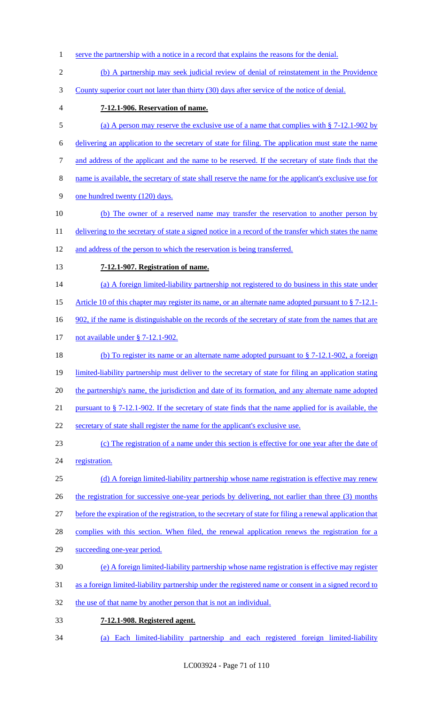- 1 serve the partnership with a notice in a record that explains the reasons for the denial. (b) A partnership may seek judicial review of denial of reinstatement in the Providence County superior court not later than thirty (30) days after service of the notice of denial. **7-12.1-906. Reservation of name.**  (a) A person may reserve the exclusive use of a name that complies with § 7-12.1-902 by delivering an application to the secretary of state for filing. The application must state the name and address of the applicant and the name to be reserved. If the secretary of state finds that the name is available, the secretary of state shall reserve the name for the applicant's exclusive use for 9 one hundred twenty (120) days. (b) The owner of a reserved name may transfer the reservation to another person by 11 delivering to the secretary of state a signed notice in a record of the transfer which states the name 12 and address of the person to which the reservation is being transferred. **7-12.1-907. Registration of name.**  (a) A foreign limited-liability partnership not registered to do business in this state under 15 Article 10 of this chapter may register its name, or an alternate name adopted pursuant to § 7-12.1-16 902, if the name is distinguishable on the records of the secretary of state from the names that are not available under § 7-12.1-902. 18 (b) To register its name or an alternate name adopted pursuant to § 7-12.1-902, a foreign limited-liability partnership must deliver to the secretary of state for filing an application stating 20 the partnership's name, the jurisdiction and date of its formation, and any alternate name adopted pursuant to § 7-12.1-902. If the secretary of state finds that the name applied for is available, the secretary of state shall register the name for the applicant's exclusive use. (c) The registration of a name under this section is effective for one year after the date of 24 registration. (d) A foreign limited-liability partnership whose name registration is effective may renew 26 the registration for successive one-year periods by delivering, not earlier than three (3) months before the expiration of the registration, to the secretary of state for filing a renewal application that 28 complies with this section. When filed, the renewal application renews the registration for a
- succeeding one-year period.
- (e) A foreign limited-liability partnership whose name registration is effective may register
- as a foreign limited-liability partnership under the registered name or consent in a signed record to
- 32 the use of that name by another person that is not an individual.
- **7-12.1-908. Registered agent.**
- (a) Each limited-liability partnership and each registered foreign limited-liability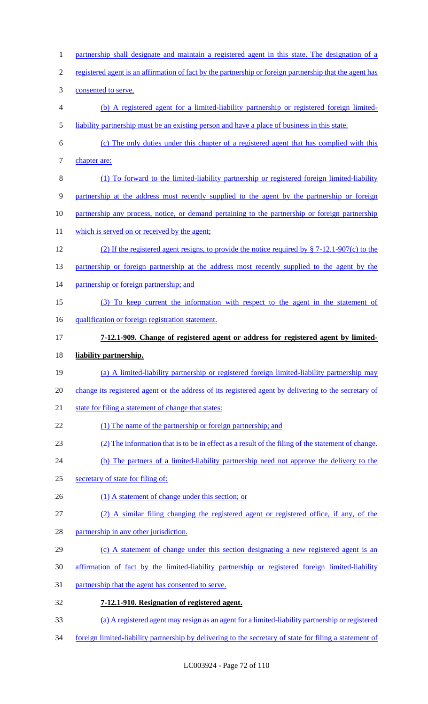- 1 partnership shall designate and maintain a registered agent in this state. The designation of a 2 registered agent is an affirmation of fact by the partnership or foreign partnership that the agent has consented to serve. (b) A registered agent for a limited-liability partnership or registered foreign limited- liability partnership must be an existing person and have a place of business in this state. (c) The only duties under this chapter of a registered agent that has complied with this 7 chapter are: (1) To forward to the limited-liability partnership or registered foreign limited-liability partnership at the address most recently supplied to the agent by the partnership or foreign partnership any process, notice, or demand pertaining to the partnership or foreign partnership 11 which is served on or received by the agent; (2) If the registered agent resigns, to provide the notice required by § 7-12.1-907(c) to the 13 partnership or foreign partnership at the address most recently supplied to the agent by the 14 partnership or foreign partnership; and (3) To keep current the information with respect to the agent in the statement of 16 qualification or foreign registration statement. **7-12.1-909. Change of registered agent or address for registered agent by limited- liability partnership.**  (a) A limited-liability partnership or registered foreign limited-liability partnership may change its registered agent or the address of its registered agent by delivering to the secretary of 21 state for filing a statement of change that states: 22 (1) The name of the partnership or foreign partnership; and (2) The information that is to be in effect as a result of the filing of the statement of change. (b) The partners of a limited-liability partnership need not approve the delivery to the secretary of state for filing of: 26 (1) A statement of change under this section; or (2) A similar filing changing the registered agent or registered office, if any, of the partnership in any other jurisdiction. 29 (c) A statement of change under this section designating a new registered agent is an affirmation of fact by the limited-liability partnership or registered foreign limited-liability partnership that the agent has consented to serve. **7-12.1-910. Resignation of registered agent.**  (a) A registered agent may resign as an agent for a limited-liability partnership or registered
- foreign limited-liability partnership by delivering to the secretary of state for filing a statement of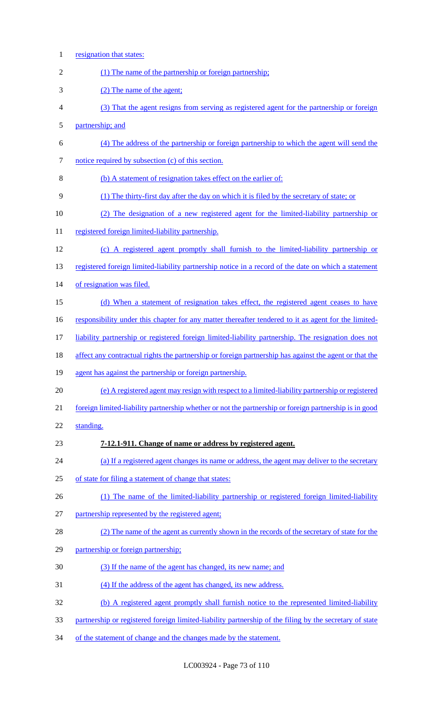1 resignation that states: 2 (1) The name of the partnership or foreign partnership; (2) The name of the agent; (3) That the agent resigns from serving as registered agent for the partnership or foreign partnership; and (4) The address of the partnership or foreign partnership to which the agent will send the 7 notice required by subsection (c) of this section. (b) A statement of resignation takes effect on the earlier of: (1) The thirty-first day after the day on which it is filed by the secretary of state; or (2) The designation of a new registered agent for the limited-liability partnership or 11 registered foreign limited-liability partnership. (c) A registered agent promptly shall furnish to the limited-liability partnership or 13 registered foreign limited-liability partnership notice in a record of the date on which a statement 14 of resignation was filed. (d) When a statement of resignation takes effect, the registered agent ceases to have 16 responsibility under this chapter for any matter thereafter tendered to it as agent for the limited- liability partnership or registered foreign limited-liability partnership. The resignation does not 18 affect any contractual rights the partnership or foreign partnership has against the agent or that the agent has against the partnership or foreign partnership. (e) A registered agent may resign with respect to a limited-liability partnership or registered foreign limited-liability partnership whether or not the partnership or foreign partnership is in good standing. **7-12.1-911. Change of name or address by registered agent.**  (a) If a registered agent changes its name or address, the agent may deliver to the secretary of state for filing a statement of change that states: (1) The name of the limited-liability partnership or registered foreign limited-liability partnership represented by the registered agent; (2) The name of the agent as currently shown in the records of the secretary of state for the partnership or foreign partnership; (3) If the name of the agent has changed, its new name; and (4) If the address of the agent has changed, its new address. (b) A registered agent promptly shall furnish notice to the represented limited-liability partnership or registered foreign limited-liability partnership of the filing by the secretary of state 34 of the statement of change and the changes made by the statement.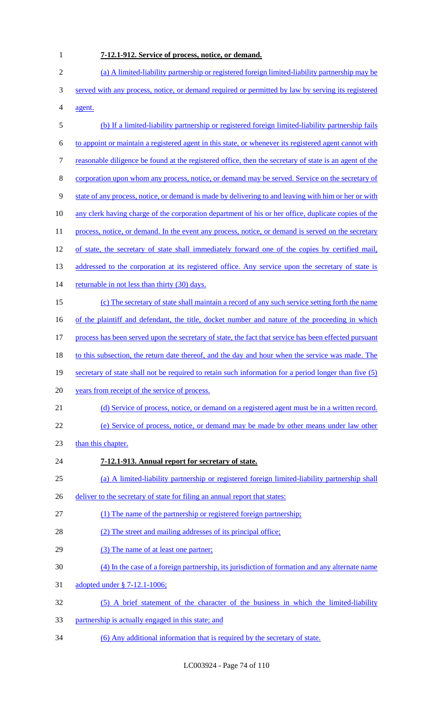## **7-12.1-912. Service of process, notice, or demand.**

| $\mathfrak{2}$ | (a) A limited-liability partnership or registered foreign limited-liability partnership may be         |
|----------------|--------------------------------------------------------------------------------------------------------|
| 3              | served with any process, notice, or demand required or permitted by law by serving its registered      |
| 4              | agent.                                                                                                 |
| 5              | (b) If a limited-liability partnership or registered foreign limited-liability partnership fails       |
| 6              | to appoint or maintain a registered agent in this state, or whenever its registered agent cannot with  |
| 7              | reasonable diligence be found at the registered office, then the secretary of state is an agent of the |
| 8              | corporation upon whom any process, notice, or demand may be served. Service on the secretary of        |
| 9              | state of any process, notice, or demand is made by delivering to and leaving with him or her or with   |
| 10             | any clerk having charge of the corporation department of his or her office, duplicate copies of the    |
| 11             | process, notice, or demand. In the event any process, notice, or demand is served on the secretary     |
| 12             | of state, the secretary of state shall immediately forward one of the copies by certified mail,        |
| 13             | addressed to the corporation at its registered office. Any service upon the secretary of state is      |
| 14             | returnable in not less than thirty (30) days.                                                          |
| 15             | (c) The secretary of state shall maintain a record of any such service setting forth the name          |
| 16             | of the plaintiff and defendant, the title, docket number and nature of the proceeding in which         |
| 17             | process has been served upon the secretary of state, the fact that service has been effected pursuant  |
| 18             | to this subsection, the return date thereof, and the day and hour when the service was made. The       |
| 19             | secretary of state shall not be required to retain such information for a period longer than five (5)  |
| 20             | years from receipt of the service of process.                                                          |
| 21             | (d) Service of process, notice, or demand on a registered agent must be in a written record.           |
| 22             | (e) Service of process, notice, or demand may be made by other means under law other                   |
| 23             | than this chapter.                                                                                     |
| 24             | 7-12.1-913. Annual report for secretary of state.                                                      |
| 25             | (a) A limited-liability partnership or registered foreign limited-liability partnership shall          |
| 26             | deliver to the secretary of state for filing an annual report that states:                             |
| 27             | (1) The name of the partnership or registered foreign partnership;                                     |
| 28             | (2) The street and mailing addresses of its principal office;                                          |
| 29             | (3) The name of at least one partner;                                                                  |
| 30             | (4) In the case of a foreign partnership, its jurisdiction of formation and any alternate name         |
| 31             | adopted under § 7-12.1-1006;                                                                           |
| 32             | (5) A brief statement of the character of the business in which the limited-liability                  |
| 33             | partnership is actually engaged in this state; and                                                     |

(6) Any additional information that is required by the secretary of state.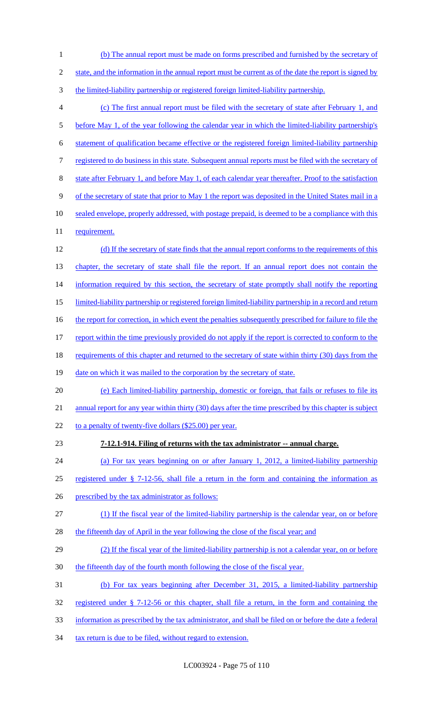1 (b) The annual report must be made on forms prescribed and furnished by the secretary of 2 state, and the information in the annual report must be current as of the date the report is signed by 3 the limited-liability partnership or registered foreign limited-liability partnership. 4 (c) The first annual report must be filed with the secretary of state after February 1, and 5 before May 1, of the year following the calendar year in which the limited-liability partnership's 6 statement of qualification became effective or the registered foreign limited-liability partnership 7 registered to do business in this state. Subsequent annual reports must be filed with the secretary of 8 state after February 1, and before May 1, of each calendar year thereafter. Proof to the satisfaction 9 of the secretary of state that prior to May 1 the report was deposited in the United States mail in a 10 sealed envelope, properly addressed, with postage prepaid, is deemed to be a compliance with this 11 requirement. 12 (d) If the secretary of state finds that the annual report conforms to the requirements of this 13 chapter, the secretary of state shall file the report. If an annual report does not contain the 14 information required by this section, the secretary of state promptly shall notify the reporting 15 limited-liability partnership or registered foreign limited-liability partnership in a record and return 16 the report for correction, in which event the penalties subsequently prescribed for failure to file the 17 report within the time previously provided do not apply if the report is corrected to conform to the 18 requirements of this chapter and returned to the secretary of state within thirty (30) days from the 19 date on which it was mailed to the corporation by the secretary of state. 20 (e) Each limited-liability partnership, domestic or foreign, that fails or refuses to file its 21 annual report for any year within thirty (30) days after the time prescribed by this chapter is subject 22 to a penalty of twenty-five dollars (\$25.00) per year. 23 **7-12.1-914. Filing of returns with the tax administrator -- annual charge.**  24 (a) For tax years beginning on or after January 1, 2012, a limited-liability partnership 25 registered under § 7-12-56, shall file a return in the form and containing the information as 26 prescribed by the tax administrator as follows: 27 (1) If the fiscal year of the limited-liability partnership is the calendar year, on or before 28 the fifteenth day of April in the year following the close of the fiscal year; and 29 (2) If the fiscal year of the limited-liability partnership is not a calendar year, on or before 30 the fifteenth day of the fourth month following the close of the fiscal year. 31 (b) For tax years beginning after December 31, 2015, a limited-liability partnership 32 registered under § 7-12-56 or this chapter, shall file a return, in the form and containing the 33 information as prescribed by the tax administrator, and shall be filed on or before the date a federal 34 tax return is due to be filed, without regard to extension.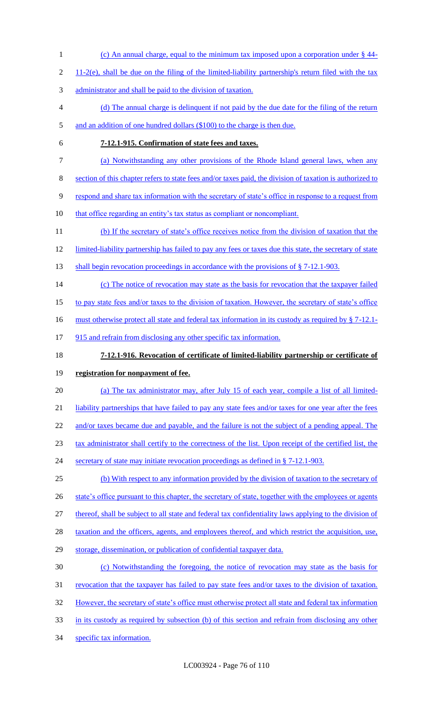1 (c) An annual charge, equal to the minimum tax imposed upon a corporation under § 44- $2 \frac{11-2(e)}{e}$ , shall be due on the filing of the limited-liability partnership's return filed with the tax 3 administrator and shall be paid to the division of taxation. 4 (d) The annual charge is delinquent if not paid by the due date for the filing of the return 5 and an addition of one hundred dollars (\$100) to the charge is then due. 6 **7-12.1-915. Confirmation of state fees and taxes.**  7 (a) Notwithstanding any other provisions of the Rhode Island general laws, when any 8 section of this chapter refers to state fees and/or taxes paid, the division of taxation is authorized to 9 respond and share tax information with the secretary of state's office in response to a request from 10 that office regarding an entity's tax status as compliant or noncompliant. 11 (b) If the secretary of state's office receives notice from the division of taxation that the 12 limited-liability partnership has failed to pay any fees or taxes due this state, the secretary of state 13 shall begin revocation proceedings in accordance with the provisions of § 7-12.1-903. 14 (c) The notice of revocation may state as the basis for revocation that the taxpayer failed 15 to pay state fees and/or taxes to the division of taxation. However, the secretary of state's office 16 must otherwise protect all state and federal tax information in its custody as required by § 7-12.1-17 915 and refrain from disclosing any other specific tax information. 18 **7-12.1-916. Revocation of certificate of limited-liability partnership or certificate of**  19 **registration for nonpayment of fee.**  20 (a) The tax administrator may, after July 15 of each year, compile a list of all limited-21 liability partnerships that have failed to pay any state fees and/or taxes for one year after the fees 22 and/or taxes became due and payable, and the failure is not the subject of a pending appeal. The 23 tax administrator shall certify to the correctness of the list. Upon receipt of the certified list, the 24 secretary of state may initiate revocation proceedings as defined in § 7-12.1-903. 25 (b) With respect to any information provided by the division of taxation to the secretary of 26 state's office pursuant to this chapter, the secretary of state, together with the employees or agents 27 thereof, shall be subject to all state and federal tax confidentiality laws applying to the division of 28 taxation and the officers, agents, and employees thereof, and which restrict the acquisition, use, 29 storage, dissemination, or publication of confidential taxpayer data. 30 (c) Notwithstanding the foregoing, the notice of revocation may state as the basis for 31 revocation that the taxpayer has failed to pay state fees and/or taxes to the division of taxation. 32 However, the secretary of state's office must otherwise protect all state and federal tax information 33 in its custody as required by subsection (b) of this section and refrain from disclosing any other 34 specific tax information.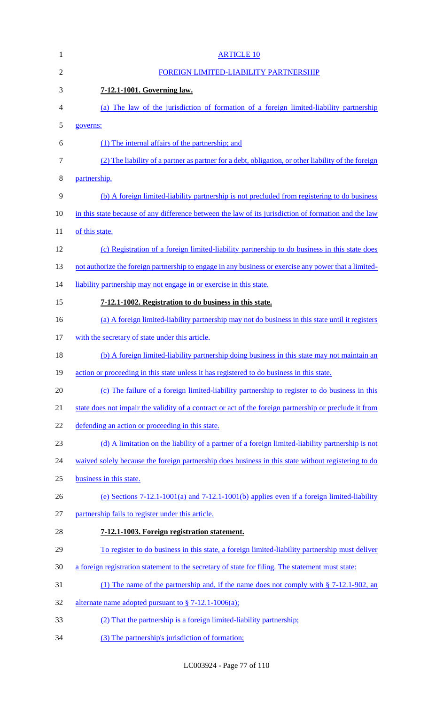| $\mathbf{1}$   | <b>ARTICLE 10</b>                                                                                      |
|----------------|--------------------------------------------------------------------------------------------------------|
| $\overline{2}$ | FOREIGN LIMITED-LIABILITY PARTNERSHIP                                                                  |
| 3              | 7-12.1-1001. Governing law.                                                                            |
| 4              | (a) The law of the jurisdiction of formation of a foreign limited-liability partnership                |
| 5              | governs:                                                                                               |
| 6              | (1) The internal affairs of the partnership; and                                                       |
| 7              | (2) The liability of a partner as partner for a debt, obligation, or other liability of the foreign    |
| 8              | partnership.                                                                                           |
| 9              | (b) A foreign limited-liability partnership is not precluded from registering to do business           |
| 10             | in this state because of any difference between the law of its jurisdiction of formation and the law   |
| 11             | of this state.                                                                                         |
| 12             | (c) Registration of a foreign limited-liability partnership to do business in this state does          |
| 13             | not authorize the foreign partnership to engage in any business or exercise any power that a limited-  |
| 14             | liability partnership may not engage in or exercise in this state.                                     |
| 15             | 7-12.1-1002. Registration to do business in this state.                                                |
| 16             | (a) A foreign limited-liability partnership may not do business in this state until it registers       |
| 17             | with the secretary of state under this article.                                                        |
| 18             | (b) A foreign limited-liability partnership doing business in this state may not maintain an           |
| 19             | action or proceeding in this state unless it has registered to do business in this state.              |
| 20             | (c) The failure of a foreign limited-liability partnership to register to do business in this          |
| 21             | state does not impair the validity of a contract or act of the foreign partnership or preclude it from |
| 22             | defending an action or proceeding in this state.                                                       |
| 23             | (d) A limitation on the liability of a partner of a foreign limited-liability partnership is not       |
| 24             | waived solely because the foreign partnership does business in this state without registering to do    |
| 25             | business in this state.                                                                                |
| 26             | (e) Sections 7-12.1-1001(a) and 7-12.1-1001(b) applies even if a foreign limited-liability             |
| 27             | partnership fails to register under this article.                                                      |
| 28             | 7-12.1-1003. Foreign registration statement.                                                           |
| 29             | To register to do business in this state, a foreign limited-liability partnership must deliver         |
| 30             | a foreign registration statement to the secretary of state for filing. The statement must state:       |
| 31             | (1) The name of the partnership and, if the name does not comply with $\S$ 7-12.1-902, an              |
| 32             | alternate name adopted pursuant to $\S$ 7-12.1-1006(a);                                                |
| 33             | (2) That the partnership is a foreign limited-liability partnership;                                   |
| 34             | (3) The partnership's jurisdiction of formation;                                                       |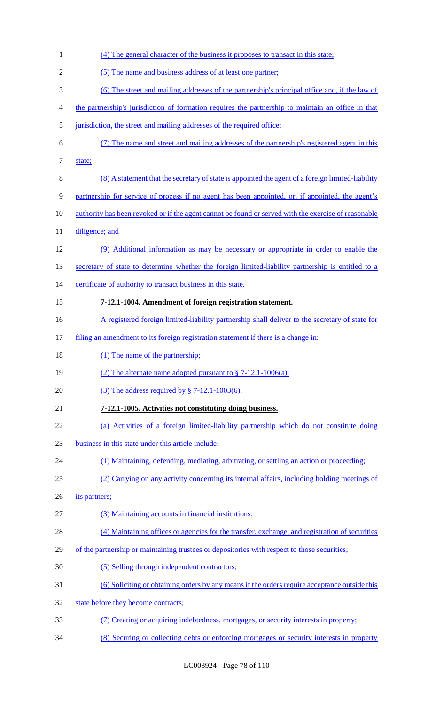| $\mathbf{1}$   | (4) The general character of the business it proposes to transact in this state;                     |
|----------------|------------------------------------------------------------------------------------------------------|
| $\overline{2}$ | (5) The name and business address of at least one partner;                                           |
| 3              | (6) The street and mailing addresses of the partnership's principal office and, if the law of        |
| 4              | the partnership's jurisdiction of formation requires the partnership to maintain an office in that   |
| $\mathfrak{S}$ | jurisdiction, the street and mailing addresses of the required office;                               |
| 6              | (7) The name and street and mailing addresses of the partnership's registered agent in this          |
| $\tau$         | state;                                                                                               |
| $8\,$          | (8) A statement that the secretary of state is appointed the agent of a foreign limited-liability    |
| 9              | partnership for service of process if no agent has been appointed, or, if appointed, the agent's     |
| 10             | authority has been revoked or if the agent cannot be found or served with the exercise of reasonable |
| 11             | diligence; and                                                                                       |
| 12             | (9) Additional information as may be necessary or appropriate in order to enable the                 |
| 13             | secretary of state to determine whether the foreign limited-liability partnership is entitled to a   |
| 14             | certificate of authority to transact business in this state.                                         |
| 15             | 7-12.1-1004. Amendment of foreign registration statement.                                            |
| 16             | A registered foreign limited-liability partnership shall deliver to the secretary of state for       |
| 17             | filing an amendment to its foreign registration statement if there is a change in:                   |
| 18             | (1) The name of the partnership:                                                                     |
| 19             | (2) The alternate name adopted pursuant to $\S$ 7-12.1-1006(a);                                      |
| 20             | (3) The address required by $\S$ 7-12.1-1003(6).                                                     |
| 21             | 7-12.1-1005. Activities not constituting doing business.                                             |
| 22             | (a) Activities of a foreign limited-liability partnership which do not constitute doing              |
| 23             | business in this state under this article include:                                                   |
| 24             | (1) Maintaining, defending, mediating, arbitrating, or settling an action or proceeding;             |
| 25             | (2) Carrying on any activity concerning its internal affairs, including holding meetings of          |
| 26             | its partners;                                                                                        |
| 27             | (3) Maintaining accounts in financial institutions;                                                  |
| 28             | (4) Maintaining offices or agencies for the transfer, exchange, and registration of securities       |
| 29             | of the partnership or maintaining trustees or depositories with respect to those securities;         |
| 30             | (5) Selling through independent contractors;                                                         |
| 31             | (6) Soliciting or obtaining orders by any means if the orders require acceptance outside this        |
| 32             | state before they become contracts;                                                                  |
| 33             | (7) Creating or acquiring indebtedness, mortgages, or security interests in property;                |
| 34             | (8) Securing or collecting debts or enforcing mortgages or security interests in property            |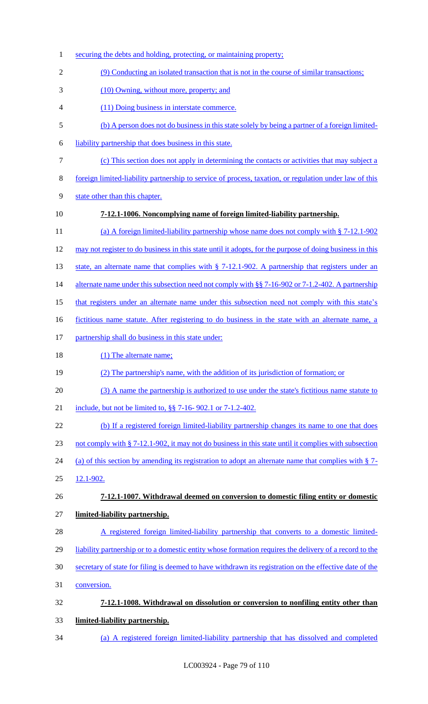| $\mathbf{1}$ | securing the debts and holding, protecting, or maintaining property;                                     |
|--------------|----------------------------------------------------------------------------------------------------------|
| 2            | (9) Conducting an isolated transaction that is not in the course of similar transactions;                |
| 3            | (10) Owning, without more, property; and                                                                 |
| 4            | (11) Doing business in interstate commerce.                                                              |
| 5            | (b) A person does not do business in this state solely by being a partner of a foreign limited-          |
| 6            | liability partnership that does business in this state.                                                  |
| 7            | (c) This section does not apply in determining the contacts or activities that may subject a             |
| 8            | foreign limited-liability partnership to service of process, taxation, or regulation under law of this   |
| 9            | state other than this chapter.                                                                           |
| 10           | 7-12.1-1006. Noncomplying name of foreign limited-liability partnership.                                 |
| 11           | (a) A foreign limited-liability partnership whose name does not comply with $\S$ 7-12.1-902              |
| 12           | may not register to do business in this state until it adopts, for the purpose of doing business in this |
| 13           | state, an alternate name that complies with $\S$ 7-12.1-902. A partnership that registers under an       |
| 14           | alternate name under this subsection need not comply with §§ 7-16-902 or 7-1.2-402. A partnership        |
| 15           | that registers under an alternate name under this subsection need not comply with this state's           |
| 16           | fictitious name statute. After registering to do business in the state with an alternate name, a         |
| 17           | partnership shall do business in this state under:                                                       |
| 18           | (1) The alternate name;                                                                                  |
| 19           | (2) The partnership's name, with the addition of its jurisdiction of formation; or                       |
| 20           | (3) A name the partnership is authorized to use under the state's fictitious name statute to             |
| 21           | include, but not be limited to, §§ 7-16-902.1 or 7-1.2-402.                                              |
| 22           | (b) If a registered foreign limited-liability partnership changes its name to one that does              |
| 23           | not comply with § 7-12.1-902, it may not do business in this state until it complies with subsection     |
| 24           | (a) of this section by amending its registration to adopt an alternate name that complies with § 7-      |
| 25           | 12.1-902.                                                                                                |
| 26           | 7-12.1-1007. Withdrawal deemed on conversion to domestic filing entity or domestic                       |
| 27           | limited-liability partnership.                                                                           |
| 28           | A registered foreign limited-liability partnership that converts to a domestic limited-                  |
| 29           | liability partnership or to a domestic entity whose formation requires the delivery of a record to the   |
| 30           | secretary of state for filing is deemed to have withdrawn its registration on the effective date of the  |
| 31           | conversion.                                                                                              |
| 32           | 7-12.1-1008. Withdrawal on dissolution or conversion to nonfiling entity other than                      |
| 33           | limited-liability partnership.                                                                           |
| 34           | (a) A registered foreign limited-liability partnership that has dissolved and completed                  |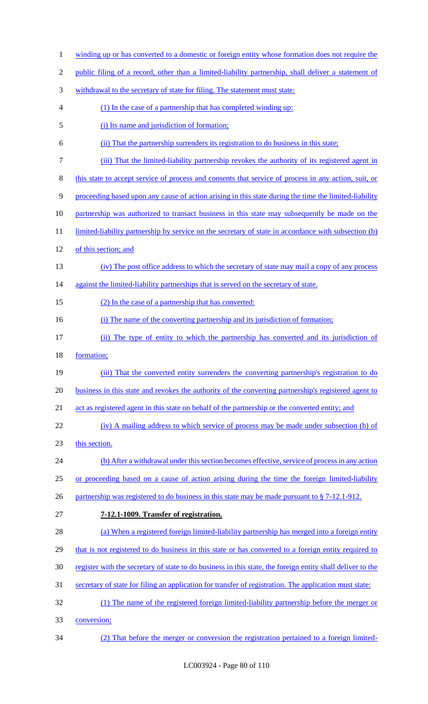1 winding up or has converted to a domestic or foreign entity whose formation does not require the public filing of a record, other than a limited-liability partnership, shall deliver a statement of withdrawal to the secretary of state for filing. The statement must state: (1) In the case of a partnership that has completed winding up: (i) Its name and jurisdiction of formation; (ii) That the partnership surrenders its registration to do business in this state; (iii) That the limited-liability partnership revokes the authority of its registered agent in this state to accept service of process and consents that service of process in any action, suit, or proceeding based upon any cause of action arising in this state during the time the limited-liability partnership was authorized to transact business in this state may subsequently be made on the 11 limited-liability partnership by service on the secretary of state in accordance with subsection (b) of this section; and (iv) The post office address to which the secretary of state may mail a copy of any process 14 against the limited-liability partnerships that is served on the secretary of state. (2) In the case of a partnership that has converted: (i) The name of the converting partnership and its jurisdiction of formation; (ii) The type of entity to which the partnership has converted and its jurisdiction of formation; 19 (iii) That the converted entity surrenders the converting partnership's registration to do business in this state and revokes the authority of the converting partnership's registered agent to 21 act as registered agent in this state on behalf of the partnership or the converted entity; and (iv) A mailing address to which service of process may be made under subsection (b) of this section. (b) After a withdrawal under this section becomes effective, service of process in any action or proceeding based on a cause of action arising during the time the foreign limited-liability 26 partnership was registered to do business in this state may be made pursuant to § 7-12.1-912. **7-12.1-1009. Transfer of registration.**  (a) When a registered foreign limited-liability partnership has merged into a foreign entity 29 that is not registered to do business in this state or has converted to a foreign entity required to register with the secretary of state to do business in this state, the foreign entity shall deliver to the secretary of state for filing an application for transfer of registration. The application must state: (1) The name of the registered foreign limited-liability partnership before the merger or conversion; (2) That before the merger or conversion the registration pertained to a foreign limited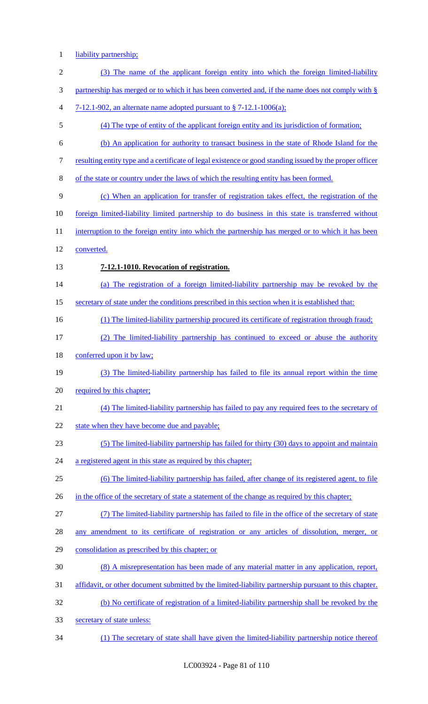1 liability partnership;

| $\sqrt{2}$       | (3) The name of the applicant foreign entity into which the foreign limited-liability                    |
|------------------|----------------------------------------------------------------------------------------------------------|
| 3                | partnership has merged or to which it has been converted and, if the name does not comply with $\S$      |
| $\overline{4}$   | 7-12.1-902, an alternate name adopted pursuant to $\S$ 7-12.1-1006(a);                                   |
| 5                | (4) The type of entity of the applicant foreign entity and its jurisdiction of formation;                |
| 6                | (b) An application for authority to transact business in the state of Rhode Island for the               |
| $\boldsymbol{7}$ | resulting entity type and a certificate of legal existence or good standing issued by the proper officer |
| $8\,$            | of the state or country under the laws of which the resulting entity has been formed.                    |
| 9                | (c) When an application for transfer of registration takes effect, the registration of the               |
| 10               | foreign limited-liability limited partnership to do business in this state is transferred without        |
| 11               | interruption to the foreign entity into which the partnership has merged or to which it has been         |
| 12               | converted.                                                                                               |
| 13               | 7-12.1-1010. Revocation of registration.                                                                 |
| 14               | (a) The registration of a foreign limited-liability partnership may be revoked by the                    |
| 15               | secretary of state under the conditions prescribed in this section when it is established that:          |
| 16               | (1) The limited-liability partnership procured its certificate of registration through fraud;            |
| 17               | (2) The limited-liability partnership has continued to exceed or abuse the authority                     |
| 18               | conferred upon it by law;                                                                                |
| 19               | (3) The limited-liability partnership has failed to file its annual report within the time               |
| 20               | required by this chapter;                                                                                |
| 21               | (4) The limited-liability partnership has failed to pay any required fees to the secretary of            |
| 22               | state when they have become due and payable;                                                             |
| 23               | (5) The limited-liability partnership has failed for thirty (30) days to appoint and maintain            |
| 24               | a registered agent in this state as required by this chapter;                                            |
| 25               | (6) The limited-liability partnership has failed, after change of its registered agent, to file          |
| 26               | in the office of the secretary of state a statement of the change as required by this chapter;           |
| 27               | (7) The limited-liability partnership has failed to file in the office of the secretary of state         |
| 28               | any amendment to its certificate of registration or any articles of dissolution, merger, or              |
| 29               | consolidation as prescribed by this chapter; or                                                          |
| 30               | (8) A misrepresentation has been made of any material matter in any application, report,                 |
| 31               | affidavit, or other document submitted by the limited-liability partnership pursuant to this chapter.    |
| 32               | (b) No certificate of registration of a limited-liability partnership shall be revoked by the            |
| 33               | secretary of state unless:                                                                               |
| 34               | (1) The secretary of state shall have given the limited-liability partnership notice thereof             |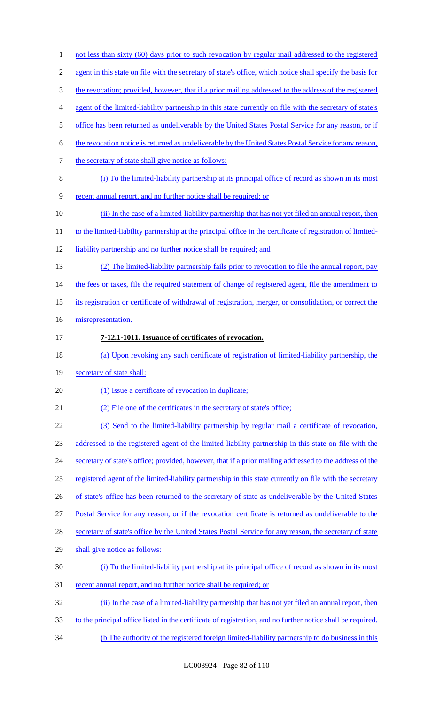| $\mathbf{1}$   | not less than sixty (60) days prior to such revocation by regular mail addressed to the registered          |
|----------------|-------------------------------------------------------------------------------------------------------------|
| $\overline{2}$ | agent in this state on file with the secretary of state's office, which notice shall specify the basis for  |
| 3              | the revocation; provided, however, that if a prior mailing addressed to the address of the registered       |
| 4              | agent of the limited-liability partnership in this state currently on file with the secretary of state's    |
| 5              | office has been returned as undeliverable by the United States Postal Service for any reason, or if         |
| 6              | the revocation notice is returned as undeliverable by the United States Postal Service for any reason,      |
| $\tau$         | the secretary of state shall give notice as follows:                                                        |
| $8\,$          | (i) To the limited-liability partnership at its principal office of record as shown in its most             |
| 9              | recent annual report, and no further notice shall be required; or                                           |
| 10             | (ii) In the case of a limited-liability partnership that has not yet filed an annual report, then           |
| 11             | to the limited-liability partnership at the principal office in the certificate of registration of limited- |
| 12             | liability partnership and no further notice shall be required; and                                          |
| 13             | (2) The limited-liability partnership fails prior to revocation to file the annual report, pay              |
| 14             | the fees or taxes, file the required statement of change of registered agent, file the amendment to         |
| 15             | its registration or certificate of withdrawal of registration, merger, or consolidation, or correct the     |
| 16             | misrepresentation.                                                                                          |
| 17             | 7-12.1-1011. Issuance of certificates of revocation.                                                        |
|                |                                                                                                             |
| 18             | (a) Upon revoking any such certificate of registration of limited-liability partnership, the                |
| 19             | secretary of state shall:                                                                                   |
| 20             | (1) Issue a certificate of revocation in duplicate;                                                         |
| 21             | (2) File one of the certificates in the secretary of state's office;                                        |
| 22             | (3) Send to the limited-liability partnership by regular mail a certificate of revocation,                  |
| 23             | addressed to the registered agent of the limited-liability partnership in this state on file with the       |
| 24             | secretary of state's office; provided, however, that if a prior mailing addressed to the address of the     |
| 25             | registered agent of the limited-liability partnership in this state currently on file with the secretary    |
| 26             | of state's office has been returned to the secretary of state as undeliverable by the United States         |
| 27             | Postal Service for any reason, or if the revocation certificate is returned as undeliverable to the         |
| 28             | secretary of state's office by the United States Postal Service for any reason, the secretary of state      |
| 29             | shall give notice as follows:                                                                               |
| 30             | (i) To the limited-liability partnership at its principal office of record as shown in its most             |
| 31             | recent annual report, and no further notice shall be required; or                                           |
| 32             | (ii) In the case of a limited-liability partnership that has not yet filed an annual report, then           |
| 33             | to the principal office listed in the certificate of registration, and no further notice shall be required. |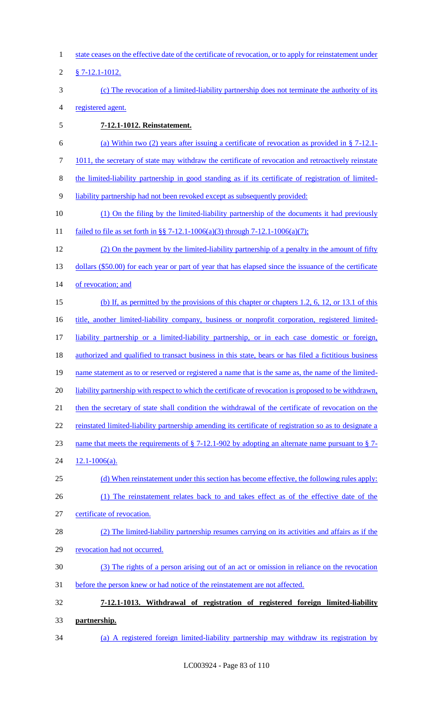- state ceases on the effective date of the certificate of revocation, or to apply for reinstatement under
- § 7-12.1-1012.
- (c) The revocation of a limited-liability partnership does not terminate the authority of its registered agent.
- 

## **7-12.1-1012. Reinstatement.**

- 6 (a) Within two (2) years after issuing a certificate of revocation as provided in  $\S$  7-12.1-7 1011, the secretary of state may withdraw the certificate of revocation and retroactively reinstate
- the limited-liability partnership in good standing as if its certificate of registration of limited-
- liability partnership had not been revoked except as subsequently provided:
- (1) On the filing by the limited-liability partnership of the documents it had previously
- failed to file as set forth in §§ 7-12.1-1006(a)(3) through 7-12.1-1006(a)(7);

 (2) On the payment by the limited-liability partnership of a penalty in the amount of fifty 13 dollars (\$50.00) for each year or part of year that has elapsed since the issuance of the certificate

- of revocation; and
- (b) If, as permitted by the provisions of this chapter or chapters 1.2, 6, 12, or 13.1 of this 16 title, another limited-liability company, business or nonprofit corporation, registered limited- liability partnership or a limited-liability partnership, or in each case domestic or foreign, 18 authorized and qualified to transact business in this state, bears or has filed a fictitious business
- name statement as to or reserved or registered a name that is the same as, the name of the limited-
- 20 liability partnership with respect to which the certificate of revocation is proposed to be withdrawn,
- 21 then the secretary of state shall condition the withdrawal of the certificate of revocation on the
- 22 reinstated limited-liability partnership amending its certificate of registration so as to designate a
- name that meets the requirements of § 7-12.1-902 by adopting an alternate name pursuant to § 7-
- 24  $12.1-1006(a)$ .
- (d) When reinstatement under this section has become effective, the following rules apply:
- 26 (1) The reinstatement relates back to and takes effect as of the effective date of the
- certificate of revocation.
- (2) The limited-liability partnership resumes carrying on its activities and affairs as if the
- revocation had not occurred.
- (3) The rights of a person arising out of an act or omission in reliance on the revocation
- before the person knew or had notice of the reinstatement are not affected.
- **7-12.1-1013. Withdrawal of registration of registered foreign limited-liability partnership.**
- (a) A registered foreign limited-liability partnership may withdraw its registration by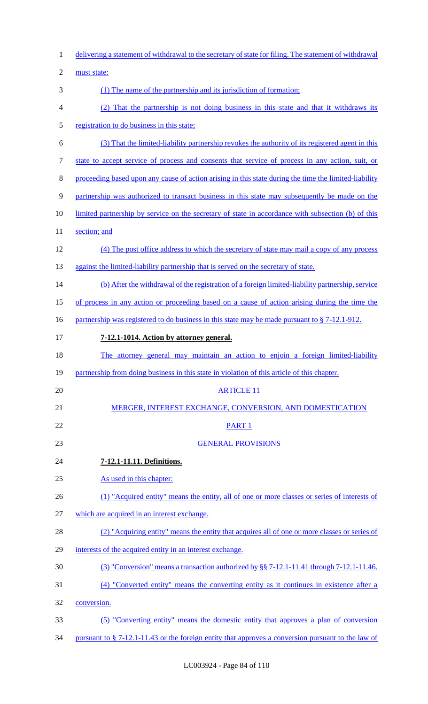| $\mathbf{1}$   | delivering a statement of withdrawal to the secretary of state for filing. The statement of withdrawal |
|----------------|--------------------------------------------------------------------------------------------------------|
| $\overline{2}$ | must state:                                                                                            |
| 3              | (1) The name of the partnership and its jurisdiction of formation;                                     |
| $\overline{4}$ | (2) That the partnership is not doing business in this state and that it withdraws its                 |
| $\mathfrak{S}$ | registration to do business in this state;                                                             |
| 6              | (3) That the limited-liability partnership revokes the authority of its registered agent in this       |
| $\tau$         | state to accept service of process and consents that service of process in any action, suit, or        |
| $8\,$          | proceeding based upon any cause of action arising in this state during the time the limited-liability  |
| 9              | partnership was authorized to transact business in this state may subsequently be made on the          |
| 10             | limited partnership by service on the secretary of state in accordance with subsection (b) of this     |
| 11             | section; and                                                                                           |
| 12             | (4) The post office address to which the secretary of state may mail a copy of any process             |
| 13             | against the limited-liability partnership that is served on the secretary of state.                    |
| 14             | (b) After the withdrawal of the registration of a foreign limited-liability partnership, service       |
| 15             | of process in any action or proceeding based on a cause of action arising during the time the          |
| 16             | partnership was registered to do business in this state may be made pursuant to $\S$ 7-12.1-912.       |
| 17             | 7-12.1-1014. Action by attorney general.                                                               |
| 18             | The attorney general may maintain an action to enjoin a foreign limited-liability                      |
| 19             | partnership from doing business in this state in violation of this article of this chapter.            |
| 20             | <b>ARTICLE 11</b>                                                                                      |
| 21             | MERGER, INTEREST EXCHANGE, CONVERSION, AND DOMESTICATION                                               |
| 22             | PART <sub>1</sub>                                                                                      |
| 23             | <b>GENERAL PROVISIONS</b>                                                                              |
| 24             | 7-12.1-11.11. Definitions.                                                                             |
| 25             | As used in this chapter:                                                                               |
| 26             | (1) "Acquired entity" means the entity, all of one or more classes or series of interests of           |
| 27             | which are acquired in an interest exchange.                                                            |
| 28             | (2) "Acquiring entity" means the entity that acquires all of one or more classes or series of          |
| 29             | interests of the acquired entity in an interest exchange.                                              |
| 30             | (3) "Conversion" means a transaction authorized by $\S$ 7-12.1-11.41 through 7-12.1-11.46.             |
| 31             | (4) "Converted entity" means the converting entity as it continues in existence after a                |
| 32             | conversion.                                                                                            |
| 33             | (5) "Converting entity" means the domestic entity that approves a plan of conversion                   |
| 34             | pursuant to $\S$ 7-12.1-11.43 or the foreign entity that approves a conversion pursuant to the law of  |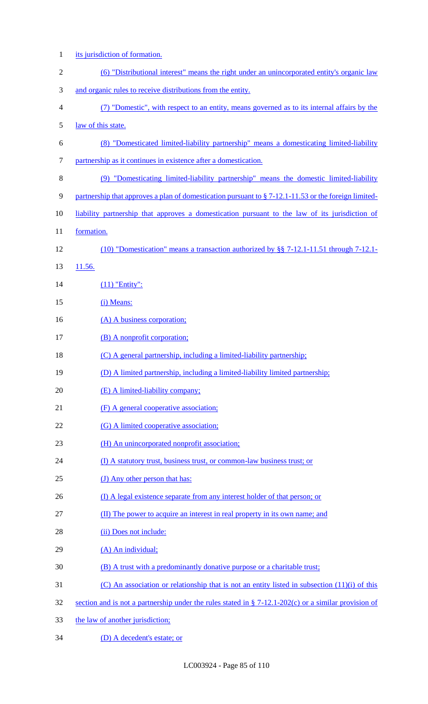| 1              | its jurisdiction of formation.                                                                          |
|----------------|---------------------------------------------------------------------------------------------------------|
| $\mathbf{2}$   | (6) "Distributional interest" means the right under an unincorporated entity's organic law              |
| $\mathfrak{Z}$ | and organic rules to receive distributions from the entity.                                             |
| $\overline{4}$ | (7) "Domestic", with respect to an entity, means governed as to its internal affairs by the             |
| $\mathfrak{S}$ | law of this state.                                                                                      |
| 6              | (8) "Domesticated limited-liability partnership" means a domesticating limited-liability                |
| $\overline{7}$ | partnership as it continues in existence after a domestication.                                         |
| 8              | (9) "Domesticating limited-liability partnership" means the domestic limited-liability                  |
| $\mathbf{9}$   | partnership that approves a plan of domestication pursuant to $\S$ 7-12.1-11.53 or the foreign limited- |
| 10             | liability partnership that approves a domestication pursuant to the law of its jurisdiction of          |
| 11             | formation.                                                                                              |
| 12             | $(10)$ "Domestication" means a transaction authorized by §§ 7-12.1-11.51 through 7-12.1-                |
| 13             | 11.56.                                                                                                  |
| 14             | $(11)$ "Entity":                                                                                        |
| 15             | (i) Means:                                                                                              |
| 16             | (A) A business corporation;                                                                             |
| 17             | (B) A nonprofit corporation;                                                                            |
| 18             | (C) A general partnership, including a limited-liability partnership;                                   |
| 19             | (D) A limited partnership, including a limited-liability limited partnership;                           |
| 20             | (E) A limited-liability company;                                                                        |
| 21             | (F) A general cooperative association;                                                                  |
| 22             | (G) A limited cooperative association;                                                                  |
| 23             | (H) An unincorporated nonprofit association;                                                            |
| 24             | (I) A statutory trust, business trust, or common-law business trust; or                                 |
| 25             | (J) Any other person that has:                                                                          |
| 26             | (I) A legal existence separate from any interest holder of that person; or                              |
| 27             | (II) The power to acquire an interest in real property in its own name; and                             |
| 28             | (ii) Does not include:                                                                                  |
| 29             | (A) An individual;                                                                                      |
| 30             | (B) A trust with a predominantly donative purpose or a charitable trust;                                |
| 31             | (C) An association or relationship that is not an entity listed in subsection $(11)(i)$ of this         |
| 32             | section and is not a partnership under the rules stated in § 7-12.1-202(c) or a similar provision of    |
| 33             | the law of another jurisdiction;                                                                        |
| 34             | (D) A decedent's estate; or                                                                             |

LC003924 - Page 85 of 110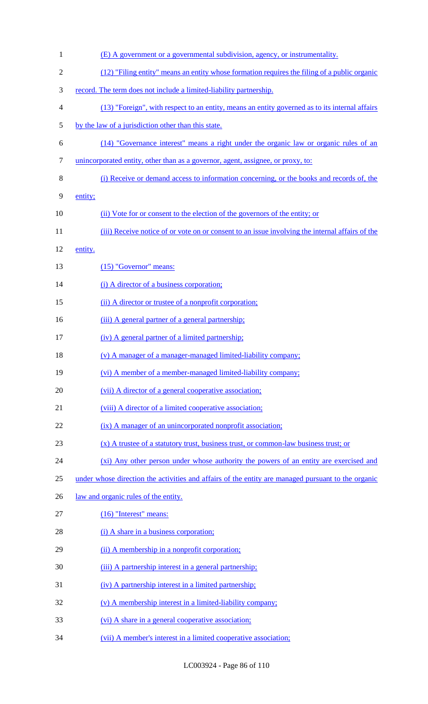| $\mathbf{1}$   | (E) A government or a governmental subdivision, agency, or instrumentality.                        |
|----------------|----------------------------------------------------------------------------------------------------|
| $\overline{2}$ | (12) "Filing entity" means an entity whose formation requires the filing of a public organic       |
| 3              | record. The term does not include a limited-liability partnership.                                 |
| 4              | (13) "Foreign", with respect to an entity, means an entity governed as to its internal affairs     |
| 5              | by the law of a jurisdiction other than this state.                                                |
| 6              | (14) "Governance interest" means a right under the organic law or organic rules of an              |
| 7              | unincorporated entity, other than as a governor, agent, assignee, or proxy, to:                    |
| 8              | (i) Receive or demand access to information concerning, or the books and records of, the           |
| 9              | entity;                                                                                            |
| 10             | (ii) Vote for or consent to the election of the governors of the entity; or                        |
| 11             | (iii) Receive notice of or vote on or consent to an issue involving the internal affairs of the    |
| 12             | entity.                                                                                            |
| 13             | (15) "Governor" means:                                                                             |
| 14             | (i) A director of a business corporation;                                                          |
| 15             | (ii) A director or trustee of a nonprofit corporation;                                             |
| 16             | (iii) A general partner of a general partnership;                                                  |
| 17             | (iv) A general partner of a limited partnership;                                                   |
| 18             | (v) A manager of a manager-managed limited-liability company;                                      |
| 19             | (vi) A member of a member-managed limited-liability company;                                       |
| 20             | (vii) A director of a general cooperative association;                                             |
| 21             | (viii) A director of a limited cooperative association;                                            |
| 22             | (ix) A manager of an unincorporated nonprofit association;                                         |
| 23             | (x) A trustee of a statutory trust, business trust, or common-law business trust; or               |
| 24             | (xi) Any other person under whose authority the powers of an entity are exercised and              |
| 25             | under whose direction the activities and affairs of the entity are managed pursuant to the organic |
| 26             | law and organic rules of the entity.                                                               |
| 27             | (16) "Interest" means:                                                                             |
| 28             | (i) A share in a business corporation;                                                             |
| 29             | (ii) A membership in a nonprofit corporation;                                                      |
| 30             | (iii) A partnership interest in a general partnership;                                             |
| 31             | (iv) A partnership interest in a limited partnership;                                              |
| 32             | (v) A membership interest in a limited-liability company;                                          |
| 33             | (vi) A share in a general cooperative association;                                                 |
| 34             | (vii) A member's interest in a limited cooperative association;                                    |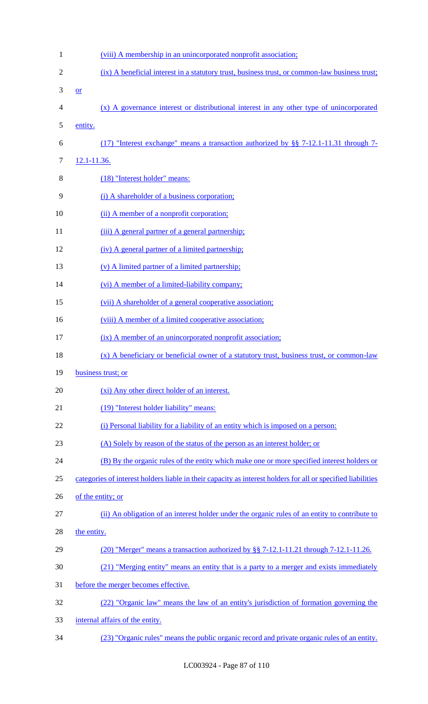| $\mathbf{1}$   | (viii) A membership in an unincorporated nonprofit association;                                              |
|----------------|--------------------------------------------------------------------------------------------------------------|
| $\overline{2}$ | (ix) A beneficial interest in a statutory trust, business trust, or common-law business trust;               |
| 3              | or                                                                                                           |
| $\overline{4}$ | $(x)$ A governance interest or distributional interest in any other type of unincorporated                   |
| 5              | entity.                                                                                                      |
| 6              | (17) "Interest exchange" means a transaction authorized by §§ 7-12.1-11.31 through 7-                        |
| $\tau$         | 12.1-11.36.                                                                                                  |
| 8              | (18) "Interest holder" means:                                                                                |
| 9              | (i) A shareholder of a business corporation;                                                                 |
| 10             | (ii) A member of a nonprofit corporation;                                                                    |
| 11             | (iii) A general partner of a general partnership;                                                            |
| 12             | (iv) A general partner of a limited partnership;                                                             |
| 13             | (v) A limited partner of a limited partnership;                                                              |
| 14             | (vi) A member of a limited-liability company;                                                                |
| 15             | (vii) A shareholder of a general cooperative association;                                                    |
| 16             | (viii) A member of a limited cooperative association;                                                        |
| 17             | (ix) A member of an unincorporated nonprofit association;                                                    |
| 18             | $(x)$ A beneficiary or beneficial owner of a statutory trust, business trust, or common-law                  |
| 19             | business trust; or                                                                                           |
| 20             | (xi) Any other direct holder of an interest.                                                                 |
| 21             | (19) "Interest holder liability" means:                                                                      |
| 22             | (i) Personal liability for a liability of an entity which is imposed on a person:                            |
| 23             | (A) Solely by reason of the status of the person as an interest holder; or                                   |
| 24             | (B) By the organic rules of the entity which make one or more specified interest holders or                  |
| 25             | categories of interest holders liable in their capacity as interest holders for all or specified liabilities |
| 26             | of the entity; or                                                                                            |
| 27             | (ii) An obligation of an interest holder under the organic rules of an entity to contribute to               |
| 28             | the entity.                                                                                                  |
| 29             | $(20)$ "Merger" means a transaction authorized by §§ 7-12.1-11.21 through 7-12.1-11.26.                      |
| 30             | (21) "Merging entity" means an entity that is a party to a merger and exists immediately                     |
| 31             | before the merger becomes effective.                                                                         |
| 32             | (22) "Organic <u>law" means the law of an entity's jurisdiction of formation governing the</u>               |
| 33             | internal affairs of the entity.                                                                              |
| 34             | (23) "Organic rules" means the public organic record and private organic rules of an entity.                 |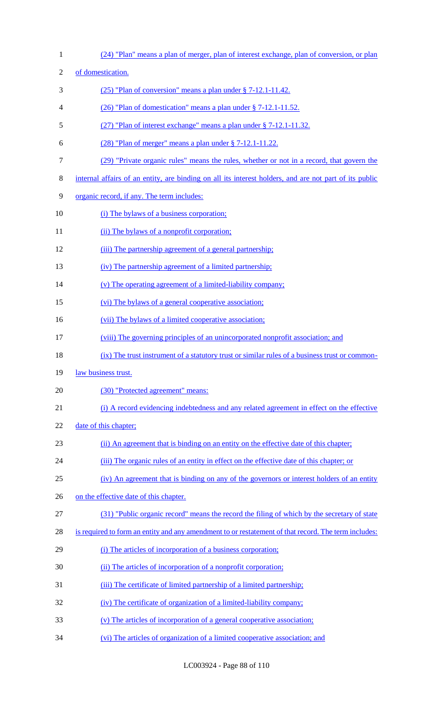| $\mathbf{1}$   | (24) "Plan" means a plan of merger, plan of interest exchange, plan of conversion, or plan             |
|----------------|--------------------------------------------------------------------------------------------------------|
| $\overline{2}$ | of domestication.                                                                                      |
| 3              | (25) "Plan of conversion" means a plan under § 7-12.1-11.42.                                           |
| 4              | (26) "Plan of domestication" means a plan under § 7-12.1-11.52.                                        |
| 5              | (27) "Plan of interest exchange" means a plan under § 7-12.1-11.32.                                    |
| 6              | $(28)$ "Plan of merger" means a plan under § 7-12.1-11.22.                                             |
| $\tau$         | (29) "Private organic rules" means the rules, whether or not in a record, that govern the              |
| 8              | internal affairs of an entity, are binding on all its interest holders, and are not part of its public |
| 9              | organic record, if any. The term includes:                                                             |
| 10             | (i) The bylaws of a business corporation;                                                              |
| 11             | (ii) The bylaws of a nonprofit corporation;                                                            |
| 12             | (iii) The partnership agreement of a general partnership;                                              |
| 13             | (iv) The partnership agreement of a limited partnership;                                               |
| 14             | (v) The operating agreement of a limited-liability company;                                            |
| 15             | (vi) The bylaws of a general cooperative association;                                                  |
| 16             | (vii) The bylaws of a limited cooperative association;                                                 |
| 17             | (viii) The governing principles of an unincorporated nonprofit association; and                        |
| 18             | (ix) The trust instrument of a statutory trust or similar rules of a business trust or common-         |
| 19             | law business trust.                                                                                    |
| 20             | (30) "Protected agreement" means:                                                                      |
| 21             | (i) A record evidencing indebtedness and any related agreement in effect on the effective              |
| 22             | date of this chapter;                                                                                  |
| 23             | (ii) An agreement that is binding on an entity on the effective date of this chapter;                  |
| 24             | (iii) The organic rules of an entity in effect on the effective date of this chapter; or               |
| 25             | (iv) An agreement that is binding on any of the governors or interest holders of an entity             |
| 26             | on the effective date of this chapter.                                                                 |
| 27             | (31) "Public organic record" means the record the filing of which by the secretary of state            |
| 28             | is required to form an entity and any amendment to or restatement of that record. The term includes:   |
| 29             | (i) The articles of incorporation of a business corporation;                                           |
| 30             | (ii) The articles of incorporation of a nonprofit corporation;                                         |
| 31             | (iii) The certificate of limited partnership of a limited partnership:                                 |
| 32             | (iv) The certificate of organization of a limited-liability company;                                   |
| 33             | (v) The articles of incorporation of a general cooperative association;                                |
| 34             | (vi) The articles of organization of a limited cooperative association; and                            |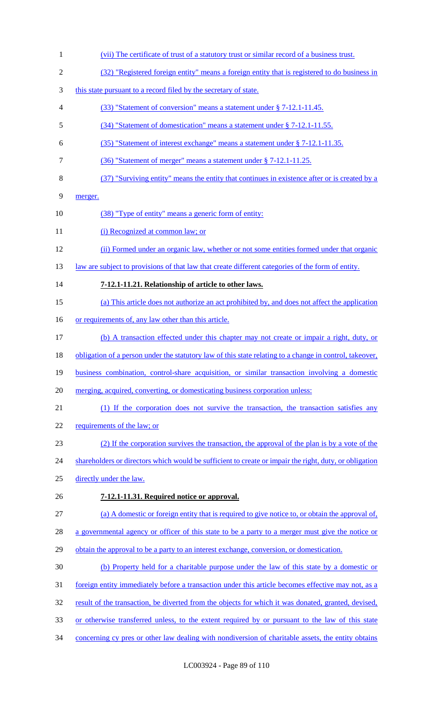(vii) The certificate of trust of a statutory trust or similar record of a business trust. (32) "Registered foreign entity" means a foreign entity that is registered to do business in this state pursuant to a record filed by the secretary of state. (33) "Statement of conversion" means a statement under § 7-12.1-11.45. (34) "Statement of domestication" means a statement under § 7-12.1-11.55. (35) "Statement of interest exchange" means a statement under § 7-12.1-11.35. (36) "Statement of merger" means a statement under § 7-12.1-11.25. (37) "Surviving entity" means the entity that continues in existence after or is created by a merger. 10 (38) "Type of entity" means a generic form of entity: 11 (i) Recognized at common law; or (ii) Formed under an organic law, whether or not some entities formed under that organic 13 law are subject to provisions of that law that create different categories of the form of entity. **7-12.1-11.21. Relationship of article to other laws.**  (a) This article does not authorize an act prohibited by, and does not affect the application 16 or requirements of, any law other than this article. (b) A transaction effected under this chapter may not create or impair a right, duty, or 18 obligation of a person under the statutory law of this state relating to a change in control, takeover, business combination, control-share acquisition, or similar transaction involving a domestic merging, acquired, converting, or domesticating business corporation unless: (1) If the corporation does not survive the transaction, the transaction satisfies any 22 requirements of the law; or (2) If the corporation survives the transaction, the approval of the plan is by a vote of the 24 shareholders or directors which would be sufficient to create or impair the right, duty, or obligation directly under the law. **7-12.1-11.31. Required notice or approval.**  (a) A domestic or foreign entity that is required to give notice to, or obtain the approval of, 28 a governmental agency or officer of this state to be a party to a merger must give the notice or 29 obtain the approval to be a party to an interest exchange, conversion, or domestication. (b) Property held for a charitable purpose under the law of this state by a domestic or foreign entity immediately before a transaction under this article becomes effective may not, as a result of the transaction, be diverted from the objects for which it was donated, granted, devised, or otherwise transferred unless, to the extent required by or pursuant to the law of this state concerning cy pres or other law dealing with nondiversion of charitable assets, the entity obtains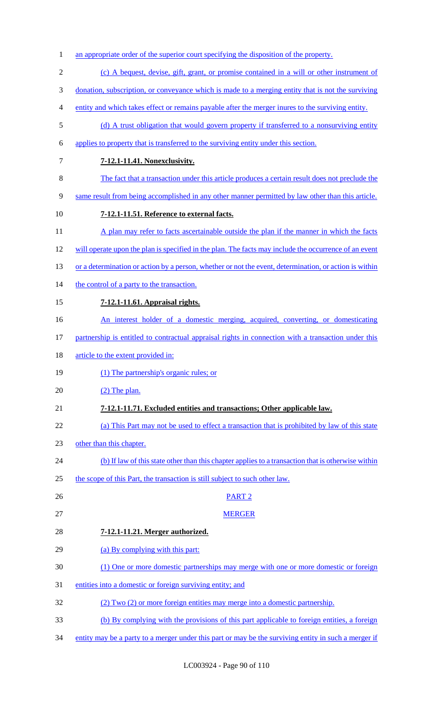| $\mathbf{1}$             | an appropriate order of the superior court specifying the disposition of the property.                   |
|--------------------------|----------------------------------------------------------------------------------------------------------|
| $\sqrt{2}$               | (c) A bequest, devise, gift, grant, or promise contained in a will or other instrument of                |
| $\mathfrak{Z}$           | <u>donation, subscription, or conveyance which is made to a merging entity that is not the surviving</u> |
| $\overline{\mathcal{A}}$ | entity and which takes effect or remains payable after the merger inures to the surviving entity.        |
| 5                        | (d) A trust obligation that would govern property if transferred to a nonsurviving entity                |
| 6                        | applies to property that is transferred to the surviving entity under this section.                      |
| $\tau$                   | 7-12.1-11.41. Nonexclusivity.                                                                            |
| $8\,$                    | The fact that a transaction under this article produces a certain result does not preclude the           |
| $\mathbf{9}$             | same result from being accomplished in any other manner permitted by law other than this article.        |
| 10                       | 7-12.1-11.51. Reference to external facts.                                                               |
| 11                       | A plan may refer to facts ascertainable outside the plan if the manner in which the facts                |
| 12                       | will operate upon the plan is specified in the plan. The facts may include the occurrence of an event    |
| 13                       | or a determination or action by a person, whether or not the event, determination, or action is within   |
| 14                       | the control of a party to the transaction.                                                               |
| 15                       | 7-12.1-11.61. Appraisal rights.                                                                          |
| 16                       | An interest holder of a domestic merging, acquired, converting, or domesticating                         |
| 17                       | partnership is entitled to contractual appraisal rights in connection with a transaction under this      |
| 18                       | article to the extent provided in:                                                                       |
| 19                       | (1) The partnership's organic rules; or                                                                  |
| 20                       | $(2)$ The plan.                                                                                          |
| 21                       | 7-12.1-11.71. Excluded entities and transactions; Other applicable law.                                  |
| 22                       | (a) This Part may not be used to effect a transaction that is prohibited by law of this state            |
| 23                       | other than this chapter.                                                                                 |
| 24                       | (b) If law of this state other than this chapter applies to a transaction that is otherwise within       |
| 25                       | the scope of this Part, the transaction is still subject to such other law.                              |
| 26                       | PART <sub>2</sub>                                                                                        |
| 27                       | <b>MERGER</b>                                                                                            |
| 28                       | 7-12.1-11.21. Merger authorized.                                                                         |
| 29                       | (a) By complying with this part:                                                                         |
| 30                       | (1) One or more domestic partnerships may merge with one or more domestic or foreign                     |
| 31                       | entities into a domestic or foreign surviving entity; and                                                |
| 32                       | (2) Two (2) or more foreign entities may merge into a domestic partnership.                              |
| 33                       | (b) By complying with the provisions of this part applicable to foreign entities, a foreign              |
| 34                       | entity may be a party to a merger under this part or may be the surviving entity in such a merger if     |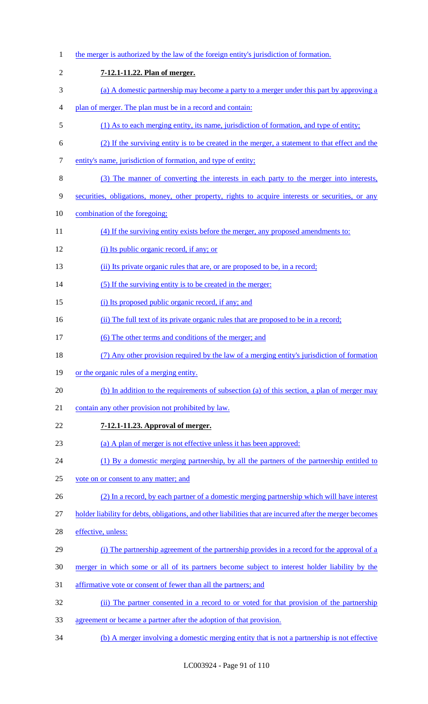| $\mathbf{1}$   | the merger is authorized by the law of the foreign entity's jurisdiction of formation.                    |
|----------------|-----------------------------------------------------------------------------------------------------------|
| $\mathfrak{2}$ | 7-12.1-11.22. Plan of merger.                                                                             |
| 3              | (a) A domestic partnership may become a party to a merger under this part by approving a                  |
| 4              | plan of merger. The plan must be in a record and contain:                                                 |
| 5              | (1) As to each merging entity, its name, jurisdiction of formation, and type of entity;                   |
| 6              | (2) If the surviving entity is to be created in the merger, a statement to that effect and the            |
| 7              | entity's name, jurisdiction of formation, and type of entity;                                             |
| 8              | (3) The manner of converting the interests in each party to the merger into interests,                    |
| 9              | securities, obligations, money, other property, rights to acquire interests or securities, or any         |
| 10             | combination of the foregoing:                                                                             |
| 11             | (4) If the surviving entity exists before the merger, any proposed amendments to:                         |
| 12             | (i) Its public organic record, if any; or                                                                 |
| 13             | (ii) Its private organic rules that are, or are proposed to be, in a record;                              |
| 14             | (5) If the surviving entity is to be created in the merger:                                               |
| 15             | (i) Its proposed public organic record, if any; and                                                       |
| 16             | (ii) The full text of its private organic rules that are proposed to be in a record;                      |
| 17             | (6) The other terms and conditions of the merger; and                                                     |
| 18             | (7) Any other provision required by the law of a merging entity's jurisdiction of formation               |
| 19             | or the organic rules of a merging entity.                                                                 |
| 20             | (b) In addition to the requirements of subsection (a) of this section, a plan of merger may               |
| 21             | contain any other provision not prohibited by law.                                                        |
| 22             | 7-12.1-11.23. Approval of merger.                                                                         |
| 23             | (a) A plan of merger is not effective unless it has been approved:                                        |
| 24             | (1) By a domestic merging partnership, by all the partners of the partnership entitled to                 |
| 25             | vote on or consent to any matter; and                                                                     |
| 26             | (2) In a record, by each partner of a domestic merging partnership which will have interest               |
| 27             | holder liability for debts, obligations, and other liabilities that are incurred after the merger becomes |
| 28             | effective, unless:                                                                                        |
| 29             | (i) The partnership agreement of the partnership provides in a record for the approval of a               |
| 30             | merger in which some or all of its partners become subject to interest holder liability by the            |
| 31             | affirmative vote or consent of fewer than all the partners; and                                           |
| 32             | (ii) The partner consented in a record to or voted for that provision of the partnership                  |
| 33             | agreement or became a partner after the adoption of that provision.                                       |
| 34             | (b) A merger involving a domestic merging entity that is not a partnership is not effective               |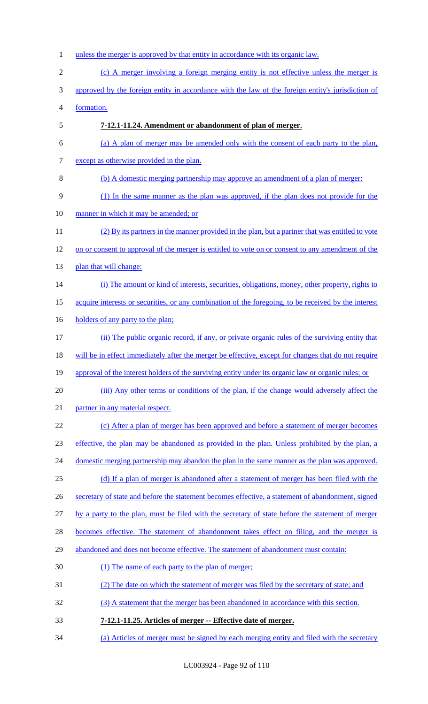unless the merger is approved by that entity in accordance with its organic law. (c) A merger involving a foreign merging entity is not effective unless the merger is approved by the foreign entity in accordance with the law of the foreign entity's jurisdiction of formation. **7-12.1-11.24. Amendment or abandonment of plan of merger.**  (a) A plan of merger may be amended only with the consent of each party to the plan, 7 except as otherwise provided in the plan. (b) A domestic merging partnership may approve an amendment of a plan of merger: (1) In the same manner as the plan was approved, if the plan does not provide for the manner in which it may be amended; or (2) By its partners in the manner provided in the plan, but a partner that was entitled to vote on or consent to approval of the merger is entitled to vote on or consent to any amendment of the 13 plan that will change: 14 (i) The amount or kind of interests, securities, obligations, money, other property, rights to acquire interests or securities, or any combination of the foregoing, to be received by the interest 16 holders of any party to the plan; (ii) The public organic record, if any, or private organic rules of the surviving entity that 18 will be in effect immediately after the merger be effective, except for changes that do not require approval of the interest holders of the surviving entity under its organic law or organic rules; or 20 (iii) Any other terms or conditions of the plan, if the change would adversely affect the partner in any material respect. 22 (c) After a plan of merger has been approved and before a statement of merger becomes effective, the plan may be abandoned as provided in the plan. Unless prohibited by the plan, a 24 domestic merging partnership may abandon the plan in the same manner as the plan was approved. (d) If a plan of merger is abandoned after a statement of merger has been filed with the 26 secretary of state and before the statement becomes effective, a statement of abandonment, signed by a party to the plan, must be filed with the secretary of state before the statement of merger becomes effective. The statement of abandonment takes effect on filing, and the merger is 29 abandoned and does not become effective. The statement of abandonment must contain: (1) The name of each party to the plan of merger; (2) The date on which the statement of merger was filed by the secretary of state; and (3) A statement that the merger has been abandoned in accordance with this section. **7-12.1-11.25. Articles of merger -- Effective date of merger.**  (a) Articles of merger must be signed by each merging entity and filed with the secretary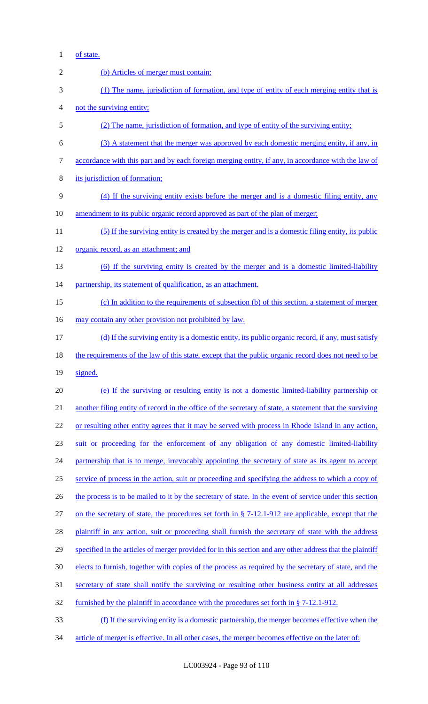1 of state.

| $\overline{2}$ | (b) Articles of merger must contain:                                                                      |
|----------------|-----------------------------------------------------------------------------------------------------------|
| 3              | (1) The name, jurisdiction of formation, and type of entity of each merging entity that is                |
| 4              | not the surviving entity;                                                                                 |
| 5              | (2) The name, jurisdiction of formation, and type of entity of the surviving entity;                      |
| 6              | (3) A statement that the merger was approved by each domestic merging entity, if any, in                  |
| 7              | accordance with this part and by each foreign merging entity, if any, in accordance with the law of       |
| 8              | its jurisdiction of formation;                                                                            |
| 9              | (4) If the surviving entity exists before the merger and is a domestic filing entity, any                 |
| 10             | amendment to its public organic record approved as part of the plan of merger;                            |
| 11             | (5) If the surviving entity is created by the merger and is a domestic filing entity, its public          |
| 12             | organic record, as an attachment; and                                                                     |
| 13             | (6) If the surviving entity is created by the merger and is a domestic limited-liability                  |
| 14             | partnership, its statement of qualification, as an attachment.                                            |
| 15             | (c) In addition to the requirements of subsection (b) of this section, a statement of merger              |
| 16             | may contain any other provision not prohibited by law.                                                    |
| 17             | (d) If the surviving entity is a domestic entity, its public organic record, if any, must satisfy         |
| 18             | the requirements of the law of this state, except that the public organic record does not need to be      |
| 19             | signed.                                                                                                   |
|                |                                                                                                           |
| 20             | (e) If the surviving or resulting entity is not a domestic limited-liability partnership or               |
| 21             | another filing entity of record in the office of the secretary of state, a statement that the surviving   |
| 22             | or resulting other entity agrees that it may be served with process in Rhode Island in any action,        |
| 23             | suit or proceeding for the enforcement of any obligation of any domestic limited-liability                |
| 24             | partnership that is to merge, irrevocably appointing the secretary of state as its agent to accept        |
| 25             | service of process in the action, suit or proceeding and specifying the address to which a copy of        |
| 26             | the process is to be mailed to it by the secretary of state. In the event of service under this section   |
| 27             | on the secretary of state, the procedures set forth in $\S$ 7-12.1-912 are applicable, except that the    |
| 28             | plaintiff in any action, suit or proceeding shall furnish the secretary of state with the address         |
| 29             | specified in the articles of merger provided for in this section and any other address that the plaintiff |
| 30             | elects to furnish, together with copies of the process as required by the secretary of state, and the     |
| 31             | secretary of state shall notify the surviving or resulting other business entity at all addresses         |
| 32             | furnished by the plaintiff in accordance with the procedures set forth in $\S$ 7-12.1-912.                |

article of merger is effective. In all other cases, the merger becomes effective on the later of: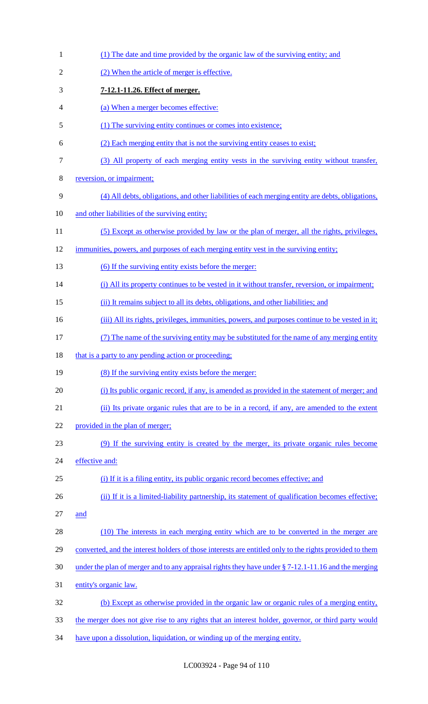| $\mathbf{1}$   | (1) The date and time provided by the organic law of the surviving entity; and                          |
|----------------|---------------------------------------------------------------------------------------------------------|
| $\overline{2}$ | (2) When the article of merger is effective.                                                            |
| 3              | 7-12.1-11.26. Effect of merger.                                                                         |
| 4              | (a) When a merger becomes effective:                                                                    |
| 5              | (1) The surviving entity continues or comes into existence;                                             |
| 6              | (2) Each merging entity that is not the surviving entity ceases to exist;                               |
| $\overline{7}$ | (3) All property of each merging entity vests in the surviving entity without transfer,                 |
| 8              | reversion, or impairment;                                                                               |
| 9              | (4) All debts, obligations, and other liabilities of each merging entity are debts, obligations,        |
| 10             | and other liabilities of the surviving entity;                                                          |
| 11             | (5) Except as otherwise provided by law or the plan of merger, all the rights, privileges,              |
| 12             | immunities, powers, and purposes of each merging entity vest in the surviving entity;                   |
| 13             | (6) If the surviving entity exists before the merger:                                                   |
| 14             | (i) All its property continues to be vested in it without transfer, reversion, or impairment;           |
| 15             | (ii) It remains subject to all its debts, obligations, and other liabilities; and                       |
| 16             | (iii) All its rights, privileges, immunities, powers, and purposes continue to be vested in it;         |
| 17             | (7) The name of the surviving entity may be substituted for the name of any merging entity              |
| 18             | that is a party to any pending action or proceeding;                                                    |
| 19             | (8) If the surviving entity exists before the merger:                                                   |
| 20             | (i) Its public organic record, if any, is amended as provided in the statement of merger; and           |
| 21             | (ii) Its private organic rules that are to be in a record, if any, are amended to the extent            |
| 22             | provided in the plan of merger;                                                                         |
| 23             | (9) If the surviving entity is created by the merger, its private organic rules become                  |
| 24             | effective and:                                                                                          |
| 25             | (i) If it is a filing entity, its public organic record becomes effective; and                          |
| 26             | (ii) If it is a limited-liability partnership, its statement of qualification becomes effective;        |
| 27             | and                                                                                                     |
| 28             | (10) The interests in each merging entity which are to be converted in the merger are                   |
| 29             | converted, and the interest holders of those interests are entitled only to the rights provided to them |
| 30             | under the plan of merger and to any appraisal rights they have under § 7-12.1-11.16 and the merging     |
| 31             | entity's organic law.                                                                                   |
| 32             | (b) Except as otherwise provided in the organic law or organic rules of a merging entity,               |
| 33             | the merger does not give rise to any rights that an interest holder, governor, or third party would     |
| 34             | have upon a dissolution, liquidation, or winding up of the merging entity.                              |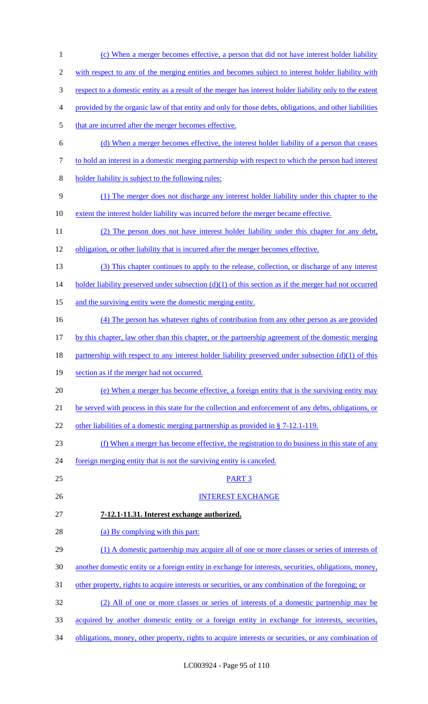| $\mathbf{1}$   | (c) When a merger becomes effective, a person that did not have interest holder liability               |
|----------------|---------------------------------------------------------------------------------------------------------|
| $\overline{2}$ | with respect to any of the merging entities and becomes subject to interest holder liability with       |
| $\mathfrak{Z}$ | respect to a domestic entity as a result of the merger has interest holder liability only to the extent |
| $\overline{4}$ | provided by the organic law of that entity and only for those debts, obligations, and other liabilities |
| 5              | that are incurred after the merger becomes effective.                                                   |
| 6              | (d) When a merger becomes effective, the interest holder liability of a person that ceases              |
| $\tau$         | to hold an interest in a domestic merging partnership with respect to which the person had interest     |
| $8\,$          | holder liability is subject to the following rules:                                                     |
| 9              | (1) The merger does not discharge any interest holder liability under this chapter to the               |
| 10             | extent the interest holder liability was incurred before the merger became effective.                   |
| 11             | (2) The person does not have interest holder liability under this chapter for any debt,                 |
| 12             | obligation, or other liability that is incurred after the merger becomes effective.                     |
| 13             | (3) This chapter continues to apply to the release, collection, or discharge of any interest            |
| 14             | holder liability preserved under subsection $(d)(1)$ of this section as if the merger had not occurred  |
| 15             | and the surviving entity were the domestic merging entity.                                              |
| 16             | (4) The person has whatever rights of contribution from any other person as are provided                |
| 17             | by this chapter, law other than this chapter, or the partnership agreement of the domestic merging      |
| 18             | partnership with respect to any interest holder liability preserved under subsection $(d)(1)$ of this   |
| 19             | section as if the merger had not occurred.                                                              |
| 20             | (e) When a merger has become effective, a foreign entity that is the surviving entity may               |
| 21             | be served with process in this state for the collection and enforcement of any debts, obligations, or   |
| 22             | other liabilities of a domestic merging partnership as provided in $\S$ 7-12.1-119.                     |
| 23             | (f) When a merger has become effective, the registration to do business in this state of any            |
| 24             | foreign merging entity that is not the surviving entity is canceled.                                    |
| 25             | PART <sub>3</sub>                                                                                       |
| 26             | <b>INTEREST EXCHANGE</b>                                                                                |
| 27             | 7-12.1-11.31. Interest exchange authorized.                                                             |
| 28             | (a) By complying with this part:                                                                        |
| 29             | (1) A domestic partnership may acquire all of one or more classes or series of interests of             |
| 30             | another domestic entity or a foreign entity in exchange for interests, securities, obligations, money,  |
| 31             | other property, rights to acquire interests or securities, or any combination of the foregoing; or      |
| 32             | (2) All of one or more classes or series of interests of a domestic partnership may be                  |
| 33             | acquired by another domestic entity or a foreign entity in exchange for interests, securities,          |
| 34             | obligations, money, other property, rights to acquire interests or securities, or any combination of    |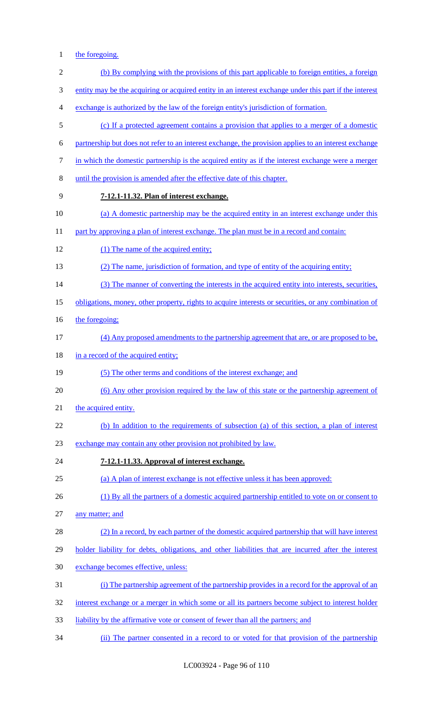1 the foregoing.

| $\sqrt{2}$       | (b) By complying with the provisions of this part applicable to foreign entities, a foreign            |
|------------------|--------------------------------------------------------------------------------------------------------|
| 3                | entity may be the acquiring or acquired entity in an interest exchange under this part if the interest |
| $\overline{4}$   | exchange is authorized by the law of the foreign entity's jurisdiction of formation.                   |
| $\mathfrak{S}$   | (c) If a protected agreement contains a provision that applies to a merger of a domestic               |
| 6                | partnership but does not refer to an interest exchange, the provision applies to an interest exchange  |
| $\boldsymbol{7}$ | in which the domestic partnership is the acquired entity as if the interest exchange were a merger     |
| 8                | until the provision is amended after the effective date of this chapter.                               |
| 9                | 7-12.1-11.32. Plan of interest exchange.                                                               |
| 10               | (a) A domestic partnership may be the acquired entity in an interest exchange under this               |
| 11               | part by approving a plan of interest exchange. The plan must be in a record and contain:               |
| 12               | (1) The name of the acquired entity;                                                                   |
| 13               | (2) The name, jurisdiction of formation, and type of entity of the acquiring entity;                   |
| 14               | (3) The manner of converting the interests in the acquired entity into interests, securities,          |
| 15               | obligations, money, other property, rights to acquire interests or securities, or any combination of   |
| 16               | the foregoing;                                                                                         |
| 17               | (4) Any proposed amendments to the partnership agreement that are, or are proposed to be,              |
| 18               | in a record of the acquired entity;                                                                    |
| 19               | (5) The other terms and conditions of the interest exchange; and                                       |
| 20               | (6) Any other provision required by the law of this state or the partnership agreement of              |
| 21               | the acquired entity.                                                                                   |
| 22               | (b) In addition to the requirements of subsection (a) of this section, a plan of interest              |
| 23               | exchange may contain any other provision not prohibited by law.                                        |
| 24               | 7-12.1-11.33. Approval of interest exchange.                                                           |
| 25               | (a) A plan of interest exchange is not effective unless it has been approved:                          |
| 26               | (1) By all the partners of a domestic acquired partnership entitled to vote on or consent to           |
| 27               | any matter; and                                                                                        |
| 28               | (2) In a record, by each partner of the domestic acquired partnership that will have interest          |
| 29               | holder liability for debts, obligations, and other liabilities that are incurred after the interest    |
| 30               | exchange becomes effective, unless:                                                                    |
| 31               | (i) The partnership agreement of the partnership provides in a record for the approval of an           |
| 32               | interest exchange or a merger in which some or all its partners become subject to interest holder      |
| 33               | liability by the affirmative vote or consent of fewer than all the partners; and                       |
| 34               | (ii) The partner consented in a record to or voted for that provision of the partnership               |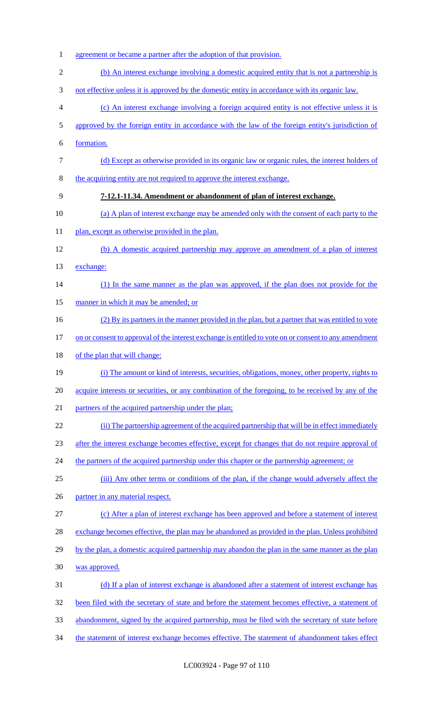1 agreement or became a partner after the adoption of that provision. (b) An interest exchange involving a domestic acquired entity that is not a partnership is 3 not effective unless it is approved by the domestic entity in accordance with its organic law. (c) An interest exchange involving a foreign acquired entity is not effective unless it is approved by the foreign entity in accordance with the law of the foreign entity's jurisdiction of formation. (d) Except as otherwise provided in its organic law or organic rules, the interest holders of the acquiring entity are not required to approve the interest exchange. **7-12.1-11.34. Amendment or abandonment of plan of interest exchange.**  (a) A plan of interest exchange may be amended only with the consent of each party to the 11 plan, except as otherwise provided in the plan. (b) A domestic acquired partnership may approve an amendment of a plan of interest exchange: 14 (1) In the same manner as the plan was approved, if the plan does not provide for the 15 manner in which it may be amended; or (2) By its partners in the manner provided in the plan, but a partner that was entitled to vote 17 on or consent to approval of the interest exchange is entitled to vote on or consent to any amendment 18 of the plan that will change: (i) The amount or kind of interests, securities, obligations, money, other property, rights to acquire interests or securities, or any combination of the foregoing, to be received by any of the 21 partners of the acquired partnership under the plan; 22 (ii) The partnership agreement of the acquired partnership that will be in effect immediately after the interest exchange becomes effective, except for changes that do not require approval of 24 the partners of the acquired partnership under this chapter or the partnership agreement; or (iii) Any other terms or conditions of the plan, if the change would adversely affect the 26 partner in any material respect. (c) After a plan of interest exchange has been approved and before a statement of interest exchange becomes effective, the plan may be abandoned as provided in the plan. Unless prohibited 29 by the plan, a domestic acquired partnership may abandon the plan in the same manner as the plan was approved. (d) If a plan of interest exchange is abandoned after a statement of interest exchange has been filed with the secretary of state and before the statement becomes effective, a statement of abandonment, signed by the acquired partnership, must be filed with the secretary of state before 34 the statement of interest exchange becomes effective. The statement of abandonment takes effect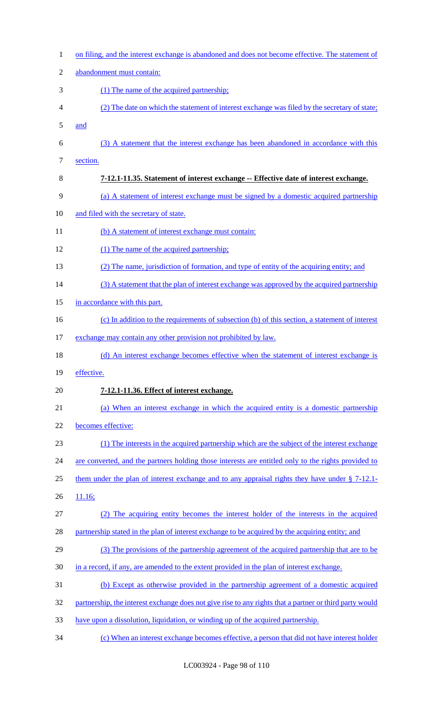| $\mathbf{1}$   | on filing, and the interest exchange is abandoned and does not become effective. The statement of       |
|----------------|---------------------------------------------------------------------------------------------------------|
| $\overline{2}$ | abandonment must contain:                                                                               |
| 3              | (1) The name of the acquired partnership:                                                               |
| $\overline{4}$ | (2) The date on which the statement of interest exchange was filed by the secretary of state;           |
| 5              | and                                                                                                     |
| 6              | (3) A statement that the interest exchange has been abandoned in accordance with this                   |
| $\overline{7}$ | section.                                                                                                |
| 8              | 7-12.1-11.35. Statement of interest exchange -- Effective date of interest exchange.                    |
| 9              | (a) A statement of interest exchange must be signed by a domestic acquired partnership                  |
| 10             | and filed with the secretary of state.                                                                  |
| 11             | (b) A statement of interest exchange must contain:                                                      |
| 12             | (1) The name of the acquired partnership;                                                               |
| 13             | (2) The name, jurisdiction of formation, and type of entity of the acquiring entity; and                |
| 14             | (3) A statement that the plan of interest exchange was approved by the acquired partnership             |
| 15             | in accordance with this part.                                                                           |
| 16             | (c) In addition to the requirements of subsection (b) of this section, a statement of interest          |
| 17             | exchange may contain any other provision not prohibited by law.                                         |
| 18             | (d) An interest exchange becomes effective when the statement of interest exchange is                   |
| 19             | effective.                                                                                              |
| 20             | 7-12.1-11.36. Effect of interest exchange.                                                              |
| 21             | (a) When an interest exchange in which the acquired entity is a domestic partnership                    |
| 22             | becomes effective:                                                                                      |
| 23             | (1) The interests in the acquired partnership which are the subject of the interest exchange            |
| 24             | are converted, and the partners holding those interests are entitled only to the rights provided to     |
| 25             | them under the plan of interest exchange and to any appraisal rights they have under $\S$ 7-12.1-       |
| 26             | 11.16;                                                                                                  |
| 27             | (2) The acquiring entity becomes the interest holder of the interests in the acquired                   |
| 28             | partnership stated in the plan of interest exchange to be acquired by the acquiring entity; and         |
| 29             | (3) The provisions of the partnership agreement of the acquired partnership that are to be              |
| 30             | in a record, if any, are amended to the extent provided in the plan of interest exchange.               |
| 31             | (b) Except as otherwise provided in the partnership agreement of a domestic acquired                    |
| 32             | partnership, the interest exchange does not give rise to any rights that a partner or third party would |
| 33             | have upon a dissolution, liquidation, or winding up of the acquired partnership.                        |
| 34             | (c) When an interest exchange becomes effective, a person that did not have interest holder             |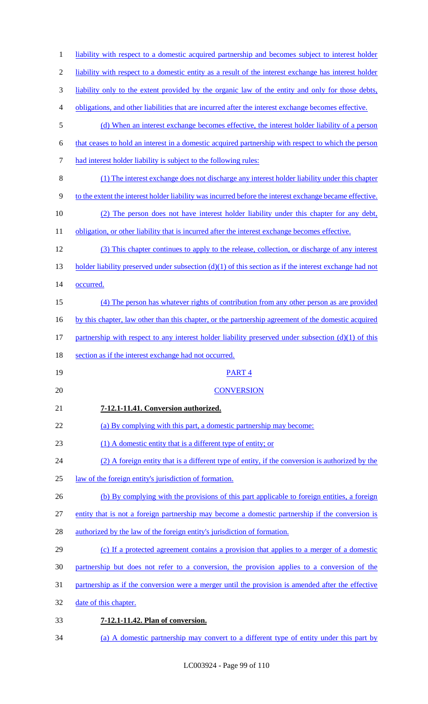| $\mathbf{1}$   | liability with respect to a domestic acquired partnership and becomes subject to interest holder         |
|----------------|----------------------------------------------------------------------------------------------------------|
| $\overline{2}$ | liability with respect to a domestic entity as a result of the interest exchange has interest holder     |
| 3              | liability only to the extent provided by the organic law of the entity and only for those debts,         |
| $\overline{4}$ | obligations, and other liabilities that are incurred after the interest exchange becomes effective.      |
| $\mathfrak{S}$ | (d) When an interest exchange becomes effective, the interest holder liability of a person               |
| 6              | that ceases to hold an interest in a domestic acquired partnership with respect to which the person      |
| $\tau$         | had interest holder liability is subject to the following rules:                                         |
| $\,8\,$        | (1) The interest exchange does not discharge any interest holder liability under this chapter            |
| 9              | to the extent the interest holder liability was incurred before the interest exchange became effective.  |
| 10             | (2) The person does not have interest holder liability under this chapter for any debt,                  |
| 11             | obligation, or other liability that is incurred after the interest exchange becomes effective.           |
| 12             | (3) This chapter continues to apply to the release, collection, or discharge of any interest             |
| 13             | holder liability preserved under subsection $(d)(1)$ of this section as if the interest exchange had not |
| 14             | occurred.                                                                                                |
| 15             | (4) The person has whatever rights of contribution from any other person as are provided                 |
| 16             | by this chapter, law other than this chapter, or the partnership agreement of the domestic acquired      |
| 17             | partnership with respect to any interest holder liability preserved under subsection $(d)(1)$ of this    |
| 18             | section as if the interest exchange had not occurred.                                                    |
| 19             | PART <sub>4</sub>                                                                                        |
| 20             | <b>CONVERSION</b>                                                                                        |
| 21             | 7-12.1-11.41. Conversion authorized.                                                                     |
| 22             | (a) By complying with this part, a domestic partnership may become:                                      |
| 23             | (1) A domestic entity that is a different type of entity; or                                             |
| 24             | (2) A foreign entity that is a different type of entity, if the conversion is authorized by the          |
| 25             | law of the foreign entity's jurisdiction of formation.                                                   |
| 26             | (b) By complying with the provisions of this part applicable to foreign entities, a foreign              |
| 27             | entity that is not a foreign partnership may become a domestic partnership if the conversion is          |
| 28             | authorized by the law of the foreign entity's jurisdiction of formation.                                 |
| 29             | (c) If a protected agreement contains a provision that applies to a merger of a domestic                 |
| 30             | partnership but does not refer to a conversion, the provision applies to a conversion of the             |
| 31             | partnership as if the conversion were a merger until the provision is amended after the effective        |
| 32             | date of this chapter.                                                                                    |
| 33             | 7-12.1-11.42. Plan of conversion.                                                                        |
| 34             | (a) A domestic partnership may convert to a different type of entity under this part by                  |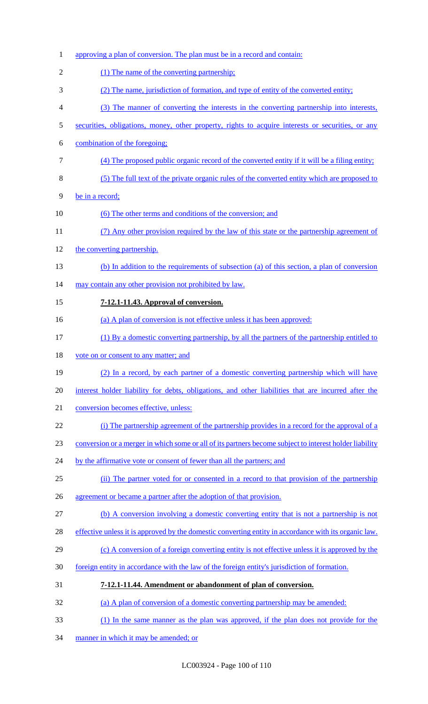| $\mathbf{1}$   | approving a plan of conversion. The plan must be in a record and contain:                               |
|----------------|---------------------------------------------------------------------------------------------------------|
| $\overline{2}$ | (1) The name of the converting partnership;                                                             |
| 3              | (2) The name, jurisdiction of formation, and type of entity of the converted entity;                    |
| 4              | (3) The manner of converting the interests in the converting partnership into interests,                |
| 5              | securities, obligations, money, other property, rights to acquire interests or securities, or any       |
| 6              | combination of the foregoing;                                                                           |
| $\tau$         | (4) The proposed public organic record of the converted entity if it will be a filing entity;           |
| $8\,$          | (5) The full text of the private organic rules of the converted entity which are proposed to            |
| 9              | be in a record;                                                                                         |
| 10             | (6) The other terms and conditions of the conversion; and                                               |
| 11             | (7) Any other provision required by the law of this state or the partnership agreement of               |
| 12             | the converting partnership.                                                                             |
| 13             | (b) In addition to the requirements of subsection (a) of this section, a plan of conversion             |
| 14             | may contain any other provision not prohibited by law.                                                  |
| 15             | 7-12.1-11.43. Approval of conversion.                                                                   |
| 16             | (a) A plan of conversion is not effective unless it has been approved:                                  |
| 17             | (1) By a domestic converting partnership, by all the partners of the partnership entitled to            |
| 18             | vote on or consent to any matter; and                                                                   |
| 19             | (2) In a record, by each partner of a domestic converting partnership which will have                   |
| 20             | interest holder liability for debts, obligations, and other liabilities that are incurred after the     |
| 21             | conversion becomes effective, unless:                                                                   |
| 22             | (i) The partnership agreement of the partnership provides in a record for the approval of a             |
| 23             | conversion or a merger in which some or all of its partners become subject to interest holder liability |
| 24             | by the affirmative vote or consent of fewer than all the partners; and                                  |
| 25             | (ii) The partner voted for or consented in a record to that provision of the partnership                |
| 26             | agreement or became a partner after the adoption of that provision.                                     |
| 27             | (b) A conversion involving a domestic converting entity that is not a partnership is not                |
| 28             | effective unless it is approved by the domestic converting entity in accordance with its organic law.   |
| 29             | (c) A conversion of a foreign converting entity is not effective unless it is approved by the           |
| 30             | foreign entity in accordance with the law of the foreign entity's jurisdiction of formation.            |
| 31             | 7-12.1-11.44. Amendment or abandonment of plan of conversion.                                           |
| 32             | (a) A plan of conversion of a domestic converting partnership may be amended:                           |
| 33             | (1) In the same manner as the plan was approved, if the plan does not provide for the                   |
| 34             | manner in which it may be amended; or                                                                   |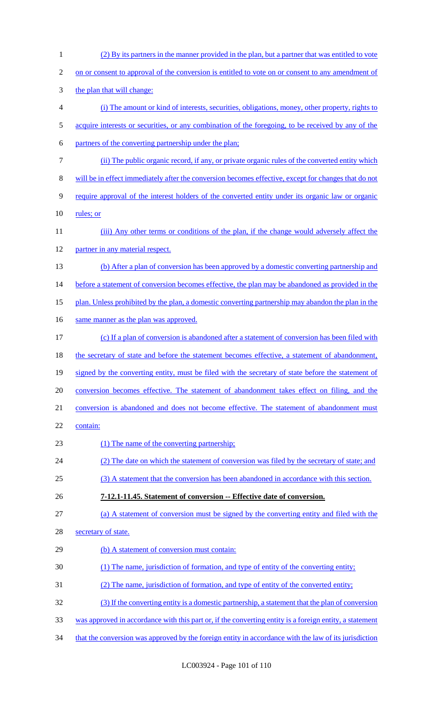| $\mathbf{1}$   | (2) By its partners in the manner provided in the plan, but a partner that was entitled to vote         |
|----------------|---------------------------------------------------------------------------------------------------------|
| $\overline{c}$ | on or consent to approval of the conversion is entitled to vote on or consent to any amendment of       |
| 3              | the plan that will change:                                                                              |
| 4              | (i) The amount or kind of interests, securities, obligations, money, other property, rights to          |
| 5              | acquire interests or securities, or any combination of the foregoing, to be received by any of the      |
| 6              | partners of the converting partnership under the plan;                                                  |
| 7              | (ii) The public organic record, if any, or private organic rules of the converted entity which          |
| 8              | will be in effect immediately after the conversion becomes effective, except for changes that do not    |
| 9              | require approval of the interest holders of the converted entity under its organic law or organic       |
| 10             | rules; or                                                                                               |
| 11             | (iii) Any other terms or conditions of the plan, if the change would adversely affect the               |
| 12             | partner in any material respect.                                                                        |
| 13             | (b) After a plan of conversion has been approved by a domestic converting partnership and               |
| 14             | before a statement of conversion becomes effective, the plan may be abandoned as provided in the        |
| 15             | plan. Unless prohibited by the plan, a domestic converting partnership may abandon the plan in the      |
| 16             | same manner as the plan was approved.                                                                   |
| 17             | (c) If a plan of conversion is abandoned after a statement of conversion has been filed with            |
| 18             | the secretary of state and before the statement becomes effective, a statement of abandonment,          |
| 19             | signed by the converting entity, must be filed with the secretary of state before the statement of      |
| 20             | conversion becomes effective. The statement of abandonment takes effect on filing, and the              |
| 21             | conversion is abandoned and does not become effective. The statement of abandonment must                |
| 22             | contain:                                                                                                |
| 23             | (1) The name of the converting partnership;                                                             |
| 24             | (2) The date on which the statement of conversion was filed by the secretary of state; and              |
| 25             | (3) A statement that the conversion has been abandoned in accordance with this section.                 |
| 26             | 7-12.1-11.45. Statement of conversion -- Effective date of conversion.                                  |
| 27             | (a) A statement of conversion must be signed by the converting entity and filed with the                |
| 28             | secretary of state.                                                                                     |
| 29             | (b) A statement of conversion must contain:                                                             |
| 30             | (1) The name, jurisdiction of formation, and type of entity of the converting entity;                   |
| 31             | (2) The name, jurisdiction of formation, and type of entity of the converted entity;                    |
| 32             | (3) If the converting entity is a domestic partnership, a statement that the plan of conversion         |
| 33             | was approved in accordance with this part or, if the converting entity is a foreign entity, a statement |
| 34             | that the conversion was approved by the foreign entity in accordance with the law of its jurisdiction   |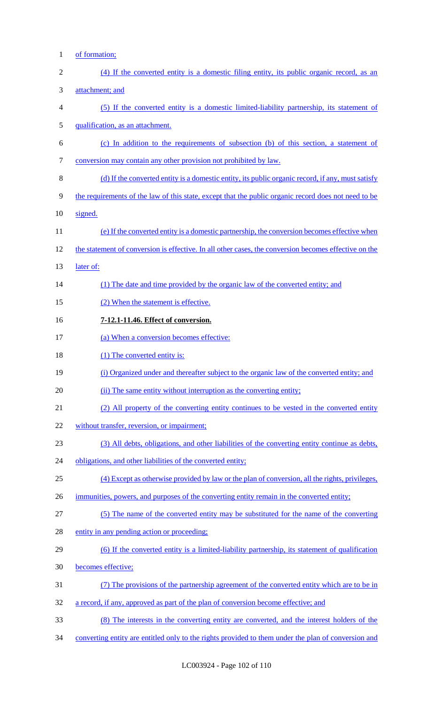of formation; (4) If the converted entity is a domestic filing entity, its public organic record, as an attachment; and (5) If the converted entity is a domestic limited-liability partnership, its statement of qualification, as an attachment. (c) In addition to the requirements of subsection (b) of this section, a statement of conversion may contain any other provision not prohibited by law. (d) If the converted entity is a domestic entity, its public organic record, if any, must satisfy the requirements of the law of this state, except that the public organic record does not need to be signed. (e) If the converted entity is a domestic partnership, the conversion becomes effective when the statement of conversion is effective. In all other cases, the conversion becomes effective on the 13 later of: 14 (1) The date and time provided by the organic law of the converted entity; and 15 (2) When the statement is effective. **7-12.1-11.46. Effect of conversion.**  17 (a) When a conversion becomes effective: 18 (1) The converted entity is: (i) Organized under and thereafter subject to the organic law of the converted entity; and 20 (ii) The same entity without interruption as the converting entity; (2) All property of the converting entity continues to be vested in the converted entity 22 without transfer, reversion, or impairment; (3) All debts, obligations, and other liabilities of the converting entity continue as debts, 24 obligations, and other liabilities of the converted entity; (4) Except as otherwise provided by law or the plan of conversion, all the rights, privileges, 26 immunities, powers, and purposes of the converting entity remain in the converted entity; (5) The name of the converted entity may be substituted for the name of the converting entity in any pending action or proceeding; (6) If the converted entity is a limited-liability partnership, its statement of qualification becomes effective; (7) The provisions of the partnership agreement of the converted entity which are to be in a record, if any, approved as part of the plan of conversion become effective; and (8) The interests in the converting entity are converted, and the interest holders of the converting entity are entitled only to the rights provided to them under the plan of conversion and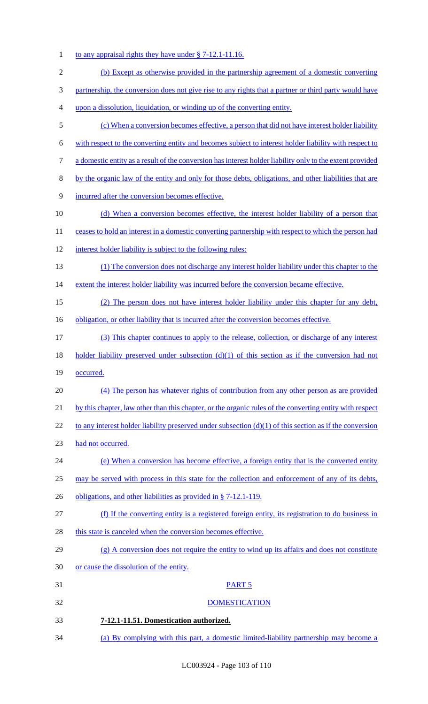- to any appraisal rights they have under § 7-12.1-11.16.
- (b) Except as otherwise provided in the partnership agreement of a domestic converting partnership, the conversion does not give rise to any rights that a partner or third party would have upon a dissolution, liquidation, or winding up of the converting entity. (c) When a conversion becomes effective, a person that did not have interest holder liability with respect to the converting entity and becomes subject to interest holder liability with respect to
- a domestic entity as a result of the conversion has interest holder liability only to the extent provided
- 
- by the organic law of the entity and only for those debts, obligations, and other liabilities that are
- incurred after the conversion becomes effective.
- (d) When a conversion becomes effective, the interest holder liability of a person that
- 11 ceases to hold an interest in a domestic converting partnership with respect to which the person had
- interest holder liability is subject to the following rules:
- (1) The conversion does not discharge any interest holder liability under this chapter to the
- 14 extent the interest holder liability was incurred before the conversion became effective.
- (2) The person does not have interest holder liability under this chapter for any debt,
- 16 obligation, or other liability that is incurred after the conversion becomes effective.
- (3) This chapter continues to apply to the release, collection, or discharge of any interest
- 18 holder liability preserved under subsection (d)(1) of this section as if the conversion had not
- 19 occurred.
- (4) The person has whatever rights of contribution from any other person as are provided
- 21 by this chapter, law other than this chapter, or the organic rules of the converting entity with respect
- 22 to any interest holder liability preserved under subsection  $(d)(1)$  of this section as if the conversion
- had not occurred.
- (e) When a conversion has become effective, a foreign entity that is the converted entity
- may be served with process in this state for the collection and enforcement of any of its debts,
- 26 obligations, and other liabilities as provided in § 7-12.1-119.
- (f) If the converting entity is a registered foreign entity, its registration to do business in
- 28 this state is canceled when the conversion becomes effective.
- 29 (g) A conversion does not require the entity to wind up its affairs and does not constitute or cause the dissolution of the entity.
- PART 5 DOMESTICATION **7-12.1-11.51. Domestication authorized.**
- (a) By complying with this part, a domestic limited-liability partnership may become a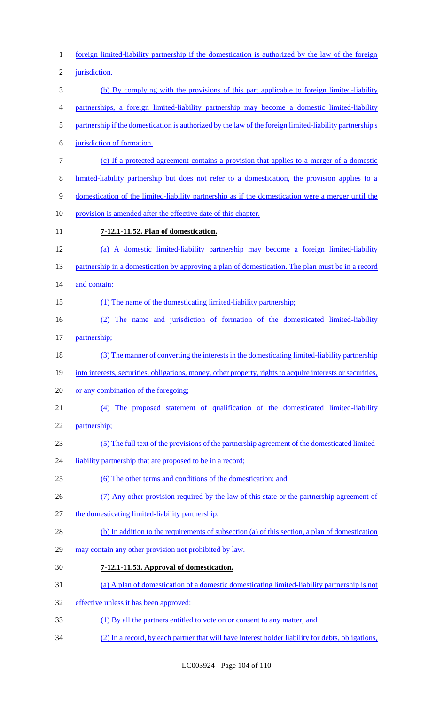| 1              | foreign limited-liability partnership if the domestication is authorized by the law of the foreign         |
|----------------|------------------------------------------------------------------------------------------------------------|
| $\mathfrak{2}$ | jurisdiction.                                                                                              |
| 3              | (b) By complying with the provisions of this part applicable to foreign limited-liability                  |
| 4              | partnerships, a foreign limited-liability partnership may become a domestic limited-liability              |
| 5              | partnership if the domestication is authorized by the law of the foreign limited-liability partnership's   |
| 6              | jurisdiction of formation.                                                                                 |
| 7              | (c) If a protected agreement contains a provision that applies to a merger of a domestic                   |
| 8              | limited-liability partnership but does not refer to a domestication, the provision applies to a            |
| $\overline{9}$ | domestication of the limited-liability partnership as if the domestication were a merger until the         |
| 10             | provision is amended after the effective date of this chapter.                                             |
| 11             | 7-12.1-11.52. Plan of domestication.                                                                       |
| 12             | (a) A domestic limited-liability partnership may become a foreign limited-liability                        |
| 13             | partnership in a domestication by approving a plan of domestication. The plan must be in a record          |
| 14             | and contain:                                                                                               |
| 15             | (1) The name of the domesticating limited-liability partnership;                                           |
| 16             | (2) The name and jurisdiction of formation of the domesticated limited-liability                           |
| 17             | partnership;                                                                                               |
| 18             | (3) The manner of converting the interests in the domesticating limited-liability partnership              |
| 19             | into interests, securities, obligations, money, other property, rights to acquire interests or securities, |
| 20             | or any combination of the foregoing;                                                                       |
| 21             | (4) The proposed statement of qualification of the domesticated limited-liability                          |
| 22             | partnership;                                                                                               |
| 23             | (5) The full text of the provisions of the partnership agreement of the domesticated limited-              |
| 24             | liability partnership that are proposed to be in a record;                                                 |
| 25             | (6) The other terms and conditions of the domestication; and                                               |
| 26             | (7) Any other provision required by the law of this state or the partnership agreement of                  |
| 27             | the domesticating limited-liability partnership.                                                           |
| 28             | (b) In addition to the requirements of subsection (a) of this section, a plan of domestication             |
| 29             | may contain any other provision not prohibited by law.                                                     |
| 30             | 7-12.1-11.53. Approval of domestication.                                                                   |
| 31             | (a) A plan of domestication of a domestic domesticating limited-liability partnership is not               |
| 32             | effective unless it has been approved:                                                                     |
| 33             | (1) By all the partners entitled to vote on or consent to any matter; and                                  |
|                |                                                                                                            |

34 (2) In a record, by each partner that will have interest holder liability for debts, obligations,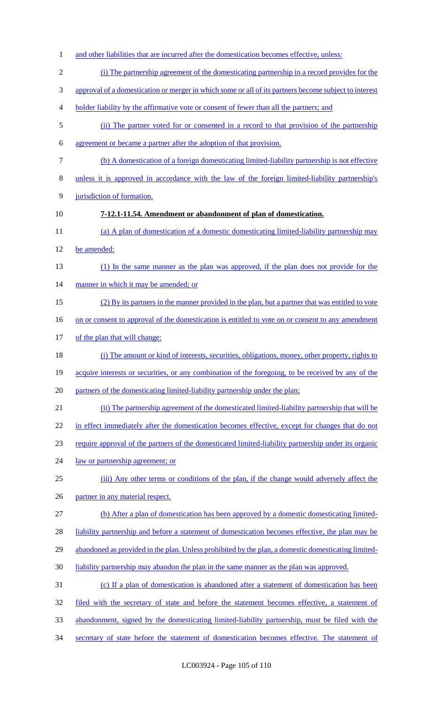- 1 and other liabilities that are incurred after the domestication becomes effective, unless: (i) The partnership agreement of the domesticating partnership in a record provides for the approval of a domestication or merger in which some or all of its partners become subject to interest holder liability by the affirmative vote or consent of fewer than all the partners; and (ii) The partner voted for or consented in a record to that provision of the partnership agreement or became a partner after the adoption of that provision. (b) A domestication of a foreign domesticating limited-liability partnership is not effective unless it is approved in accordance with the law of the foreign limited-liability partnership's jurisdiction of formation. **7-12.1-11.54. Amendment or abandonment of plan of domestication.**  11 (a) A plan of domestication of a domestic domesticating limited-liability partnership may be amended: (1) In the same manner as the plan was approved, if the plan does not provide for the 14 manner in which it may be amended; or (2) By its partners in the manner provided in the plan, but a partner that was entitled to vote 16 on or consent to approval of the domestication is entitled to vote on or consent to any amendment of the plan that will change: (i) The amount or kind of interests, securities, obligations, money, other property, rights to acquire interests or securities, or any combination of the foregoing, to be received by any of the 20 partners of the domesticating limited-liability partnership under the plan; (ii) The partnership agreement of the domesticated limited-liability partnership that will be 22 in effect immediately after the domestication becomes effective, except for changes that do not require approval of the partners of the domesticated limited-liability partnership under its organic 24 law or partnership agreement; or (iii) Any other terms or conditions of the plan, if the change would adversely affect the partner in any material respect. (b) After a plan of domestication has been approved by a domestic domesticating limited-28 liability partnership and before a statement of domestication becomes effective, the plan may be 29 abandoned as provided in the plan. Unless prohibited by the plan, a domestic domesticating limited-30 liability partnership may abandon the plan in the same manner as the plan was approved. (c) If a plan of domestication is abandoned after a statement of domestication has been filed with the secretary of state and before the statement becomes effective, a statement of abandonment, signed by the domesticating limited-liability partnership, must be filed with the
- secretary of state before the statement of domestication becomes effective. The statement of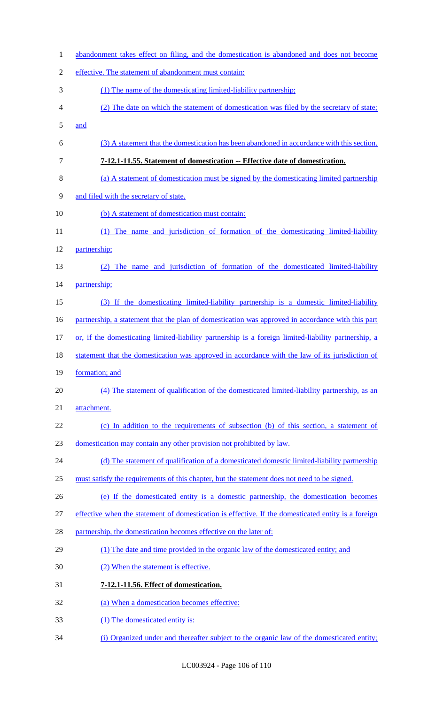| $\mathbf{1}$   | abandonment takes effect on filing, and the domestication is abandoned and does not become           |
|----------------|------------------------------------------------------------------------------------------------------|
| $\overline{2}$ | effective. The statement of abandonment must contain:                                                |
| 3              | (1) The name of the domesticating limited-liability partnership;                                     |
| $\overline{4}$ | (2) The date on which the statement of domestication was filed by the secretary of state;            |
| $\mathfrak s$  | and                                                                                                  |
| 6              | (3) A statement that the domestication has been abandoned in accordance with this section.           |
| 7              | 7-12.1-11.55. Statement of domestication -- Effective date of domestication.                         |
| 8              | (a) A statement of domestication must be signed by the domesticating limited partnership             |
| 9              | and filed with the secretary of state.                                                               |
| 10             | (b) A statement of domestication must contain:                                                       |
| 11             | (1) The name and jurisdiction of formation of the domesticating limited-liability                    |
| 12             | partnership;                                                                                         |
| 13             | The name and jurisdiction of formation of the domesticated limited-liability<br>(2)                  |
| 14             | partnership;                                                                                         |
| 15             | (3) If the domesticating limited-liability partnership is a domestic limited-liability               |
| 16             | partnership, a statement that the plan of domestication was approved in accordance with this part    |
| 17             | or, if the domesticating limited-liability partnership is a foreign limited-liability partnership, a |
| 18             | statement that the domestication was approved in accordance with the law of its jurisdiction of      |
| 19             | formation; and                                                                                       |
| 20             | (4) The statement of qualification of the domesticated limited-liability partnership, as an          |
| 21             | attachment.                                                                                          |
| 22             | (c) In addition to the requirements of subsection (b) of this section, a statement of                |
| 23             | domestication may contain any other provision not prohibited by law.                                 |
| 24             | (d) The statement of qualification of a domesticated domestic limited-liability partnership          |
| 25             | must satisfy the requirements of this chapter, but the statement does not need to be signed.         |
| 26             | (e) If the domesticated entity is a domestic partnership, the domestication becomes                  |
| 27             | effective when the statement of domestication is effective. If the domesticated entity is a foreign  |
| 28             | partnership, the domestication becomes effective on the later of:                                    |
| 29             | (1) The date and time provided in the organic law of the domesticated entity; and                    |
| 30             | (2) When the statement is effective.                                                                 |
| 31             | 7-12.1-11.56. Effect of domestication.                                                               |
| 32             | (a) When a domestication becomes effective:                                                          |
| 33             | (1) The domesticated entity is:                                                                      |
| 34             | (i) Organized under and thereafter subject to the organic law of the domesticated entity;            |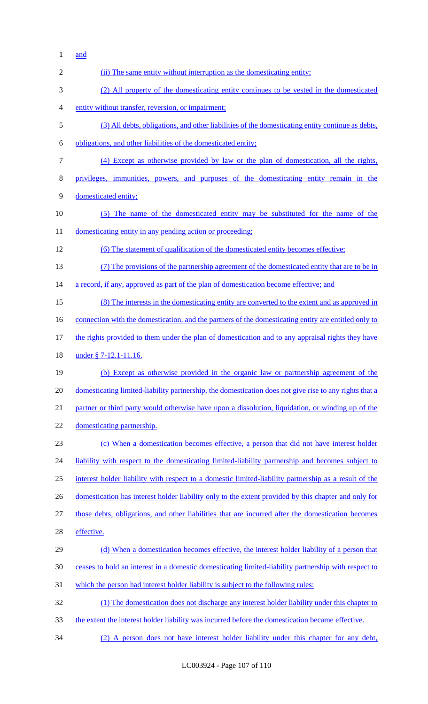and

| $\mathbf{2}$   | (ii) The same entity without interruption as the domesticating entity;                                      |
|----------------|-------------------------------------------------------------------------------------------------------------|
| 3              | (2) All property of the domesticating entity continues to be vested in the domesticated                     |
| $\overline{4}$ | entity without transfer, reversion, or impairment;                                                          |
| 5              | (3) All debts, obligations, and other liabilities of the domesticating entity continue as debts,            |
| 6              | obligations, and other liabilities of the domesticated entity;                                              |
| $\tau$         | (4) Except as otherwise provided by law or the plan of domestication, all the rights,                       |
| 8              | privileges, immunities, powers, and purposes of the domesticating entity remain in the                      |
| $\mathbf{9}$   | domesticated entity;                                                                                        |
| 10             | (5) The name of the domesticated entity may be substituted for the name of the                              |
| 11             | domesticating entity in any pending action or proceeding;                                                   |
| 12             | (6) The statement of qualification of the domesticated entity becomes effective;                            |
| 13             | (7) The provisions of the partnership agreement of the domesticated entity that are to be in                |
| 14             | a record, if any, approved as part of the plan of domestication become effective; and                       |
| 15             | (8) The interests in the domesticating entity are converted to the extent and as approved in                |
| 16             | <u>connection with the domestication, and the partners of the domesticating entity are entitled only to</u> |
| 17             | the rights provided to them under the plan of domestication and to any appraisal rights they have           |
| 18             | under § 7-12.1-11.16.                                                                                       |
| 19             | (b) Except as otherwise provided in the organic law or partnership agreement of the                         |
| 20             | domesticating limited-liability partnership, the domestication does not give rise to any rights that a      |
| 21             | partner or third party would otherwise have upon a dissolution, liquidation, or winding up of the           |
| 22             | domesticating partnership.                                                                                  |
| 23             | (c) When a domestication becomes effective, a person that did not have interest holder                      |
| 24             | liability with respect to the domesticating limited-liability partnership and becomes subject to            |
| 25             | interest holder liability with respect to a domestic limited-liability partnership as a result of the       |
| 26             | domestication has interest holder liability only to the extent provided by this chapter and only for        |
| 27             | those debts, obligations, and other liabilities that are incurred after the domestication becomes           |
| 28             | effective.                                                                                                  |
| 29             | (d) When a domestication becomes effective, the interest holder liability of a person that                  |
| 30             | ceases to hold an interest in a domestic domesticating limited-liability partnership with respect to        |
| 31             | which the person had interest holder liability is subject to the following rules:                           |
| 32             | (1) The domestication does not discharge any interest holder liability under this chapter to                |
| 33             | the extent the interest holder liability was incurred before the domestication became effective.            |
| 34             | (2) A person does not have interest holder liability under this chapter for any debt,                       |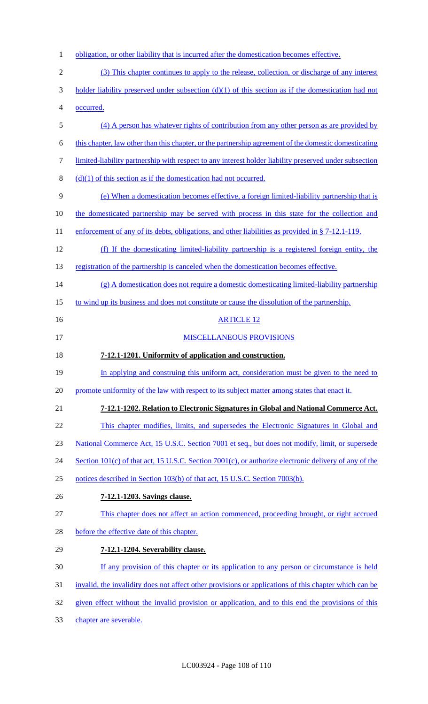| $\mathbf{1}$   | obligation, or other liability that is incurred after the domestication becomes effective.                             |
|----------------|------------------------------------------------------------------------------------------------------------------------|
| $\mathfrak{2}$ | (3) This chapter continues to apply to the release, collection, or discharge of any interest                           |
| 3              | <u>holder liability preserved under subsection <math>(d)(1)</math> of this section as if the domestication had not</u> |
| 4              | occurred.                                                                                                              |
| 5              | (4) A person has whatever rights of contribution from any other person as are provided by                              |
| 6              | this chapter, law other than this chapter, or the partnership agreement of the domestic domesticating                  |
| 7              | limited-liability partnership with respect to any interest holder liability preserved under subsection                 |
| 8              | $(d)(1)$ of this section as if the domestication had not occurred.                                                     |
| 9              | (e) When a domestication becomes effective, a foreign limited-liability partnership that is                            |
| 10             | the domesticated partnership may be served with process in this state for the collection and                           |
| 11             | enforcement of any of its debts, obligations, and other liabilities as provided in $\S$ 7-12.1-119.                    |
| 12             | (f) If the domesticating limited-liability partnership is a registered foreign entity, the                             |
| 13             | registration of the partnership is canceled when the domestication becomes effective.                                  |
| 14             | (g) A domestication does not require a domestic domesticating limited-liability partnership                            |
| 15             | to wind up its business and does not constitute or cause the dissolution of the partnership.                           |
| 16             | <b>ARTICLE 12</b>                                                                                                      |
| 17             | <b>MISCELLANEOUS PROVISIONS</b>                                                                                        |
| 18             | 7-12.1-1201. Uniformity of application and construction.                                                               |
| 19             | In applying and construing this uniform act, consideration must be given to the need to                                |
| 20             | promote uniformity of the law with respect to its subject matter among states that enact it.                           |
| 21             | 7-12.1-1202. Relation to Electronic Signatures in Global and National Commerce Act.                                    |
| 22             | This chapter modifies, limits, and supersedes the Electronic Signatures in Global and                                  |
| 23             | National Commerce Act, 15 U.S.C. Section 7001 et seq., but does not modify, limit, or supersede                        |
| 24             | Section $101(c)$ of that act, 15 U.S.C. Section $7001(c)$ , or authorize electronic delivery of any of the             |
| 25             | notices described in Section 103(b) of that act, 15 U.S.C. Section 7003(b).                                            |
| 26             | 7-12.1-1203. Savings clause.                                                                                           |
| 27             | This chapter does not affect an action commenced, proceeding brought, or right accrued                                 |
| 28             | before the effective date of this chapter.                                                                             |
| 29             | 7-12.1-1204. Severability clause.                                                                                      |
| 30             | If any provision of this chapter or its application to any person or circumstance is held                              |
| 31             | invalid, the invalidity does not affect other provisions or applications of this chapter which can be                  |
| 32             | given effect without the invalid provision or application, and to this end the provisions of this                      |
| 33             | chapter are severable.                                                                                                 |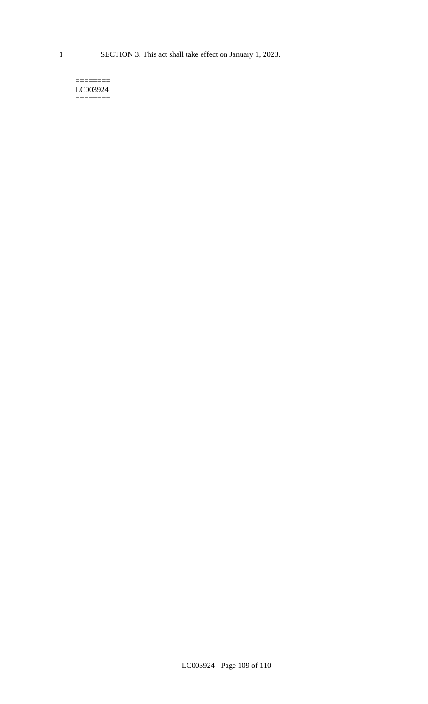1 SECTION 3. This act shall take effect on January 1, 2023.

#### $=$ LC003924  $=$